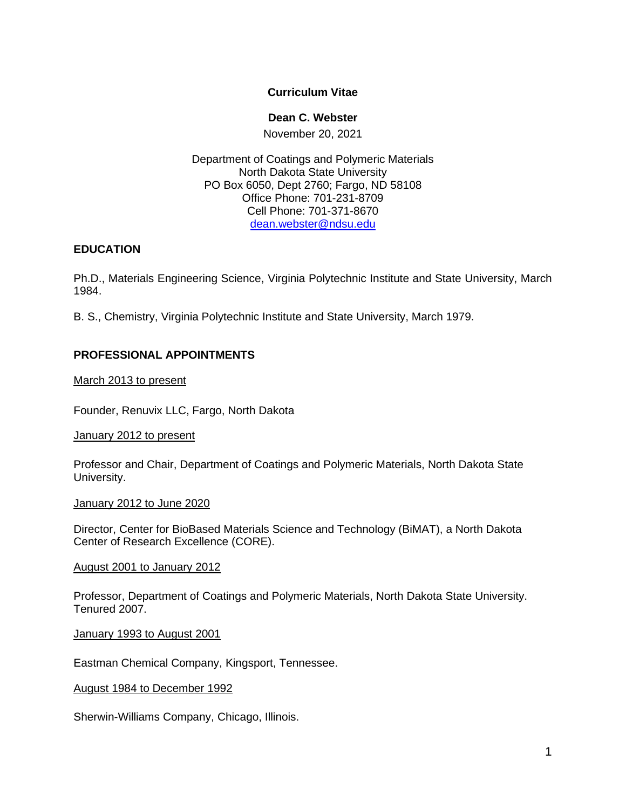## **Curriculum Vitae**

## **Dean C. Webster**

November 20, 2021

Department of Coatings and Polymeric Materials North Dakota State University PO Box 6050, Dept 2760; Fargo, ND 58108 Office Phone: 701-231-8709 Cell Phone: 701-371-8670 [dean.webster@ndsu.edu](mailto:dean.webster@ndsu.edu)

## **EDUCATION**

Ph.D., Materials Engineering Science, Virginia Polytechnic Institute and State University, March 1984.

B. S., Chemistry, Virginia Polytechnic Institute and State University, March 1979.

# **PROFESSIONAL APPOINTMENTS**

March 2013 to present

Founder, Renuvix LLC, Fargo, North Dakota

January 2012 to present

Professor and Chair, Department of Coatings and Polymeric Materials, North Dakota State University.

January 2012 to June 2020

Director, Center for BioBased Materials Science and Technology (BiMAT), a North Dakota Center of Research Excellence (CORE).

## August 2001 to January 2012

Professor, Department of Coatings and Polymeric Materials, North Dakota State University. Tenured 2007.

January 1993 to August 2001

Eastman Chemical Company, Kingsport, Tennessee.

August 1984 to December 1992

Sherwin-Williams Company, Chicago, Illinois.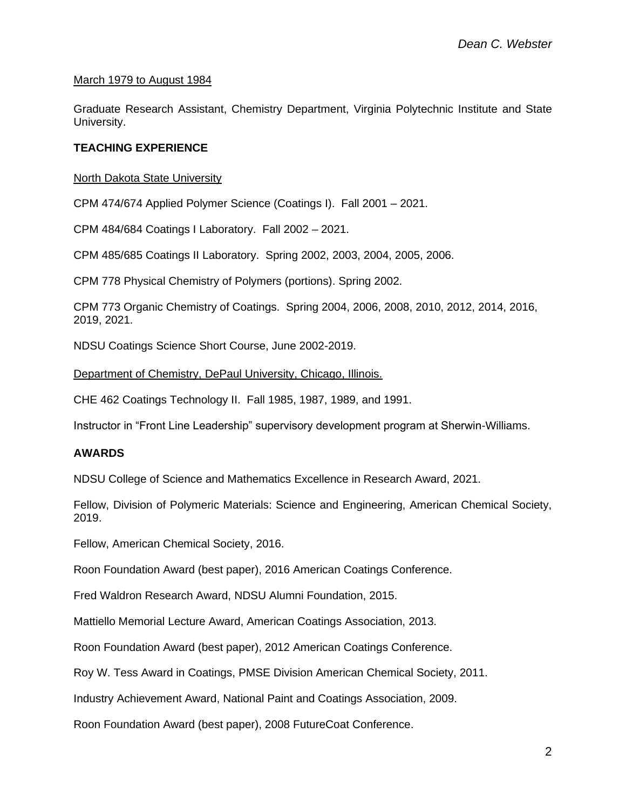#### March 1979 to August 1984

Graduate Research Assistant, Chemistry Department, Virginia Polytechnic Institute and State University.

## **TEACHING EXPERIENCE**

#### North Dakota State University

CPM 474/674 Applied Polymer Science (Coatings I). Fall 2001 – 2021.

CPM 484/684 Coatings I Laboratory. Fall 2002 – 2021.

CPM 485/685 Coatings II Laboratory. Spring 2002, 2003, 2004, 2005, 2006.

CPM 778 Physical Chemistry of Polymers (portions). Spring 2002.

CPM 773 Organic Chemistry of Coatings. Spring 2004, 2006, 2008, 2010, 2012, 2014, 2016, 2019, 2021.

NDSU Coatings Science Short Course, June 2002-2019.

#### Department of Chemistry, DePaul University, Chicago, Illinois.

CHE 462 Coatings Technology II. Fall 1985, 1987, 1989, and 1991.

Instructor in "Front Line Leadership" supervisory development program at Sherwin-Williams.

#### **AWARDS**

NDSU College of Science and Mathematics Excellence in Research Award, 2021.

Fellow, Division of Polymeric Materials: Science and Engineering, American Chemical Society, 2019.

Fellow, American Chemical Society, 2016.

Roon Foundation Award (best paper), 2016 American Coatings Conference.

Fred Waldron Research Award, NDSU Alumni Foundation, 2015.

Mattiello Memorial Lecture Award, American Coatings Association, 2013.

Roon Foundation Award (best paper), 2012 American Coatings Conference.

Roy W. Tess Award in Coatings, PMSE Division American Chemical Society, 2011.

Industry Achievement Award, National Paint and Coatings Association, 2009.

Roon Foundation Award (best paper), 2008 FutureCoat Conference.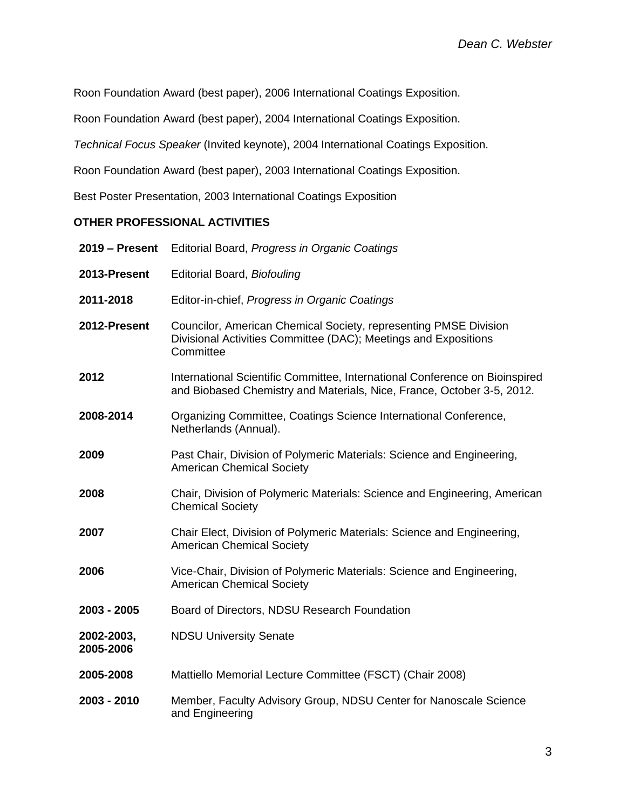Roon Foundation Award (best paper), 2006 International Coatings Exposition.

Roon Foundation Award (best paper), 2004 International Coatings Exposition.

*Technical Focus Speaker* (Invited keynote), 2004 International Coatings Exposition.

Roon Foundation Award (best paper), 2003 International Coatings Exposition.

Best Poster Presentation, 2003 International Coatings Exposition

## **OTHER PROFESSIONAL ACTIVITIES**

| 2019 - Present          | Editorial Board, Progress in Organic Coatings                                                                                                         |
|-------------------------|-------------------------------------------------------------------------------------------------------------------------------------------------------|
| 2013-Present            | Editorial Board, Biofouling                                                                                                                           |
| 2011-2018               | Editor-in-chief, Progress in Organic Coatings                                                                                                         |
| 2012-Present            | Councilor, American Chemical Society, representing PMSE Division<br>Divisional Activities Committee (DAC); Meetings and Expositions<br>Committee      |
| 2012                    | International Scientific Committee, International Conference on Bioinspired<br>and Biobased Chemistry and Materials, Nice, France, October 3-5, 2012. |
| 2008-2014               | Organizing Committee, Coatings Science International Conference,<br>Netherlands (Annual).                                                             |
| 2009                    | Past Chair, Division of Polymeric Materials: Science and Engineering,<br><b>American Chemical Society</b>                                             |
| 2008                    | Chair, Division of Polymeric Materials: Science and Engineering, American<br><b>Chemical Society</b>                                                  |
| 2007                    | Chair Elect, Division of Polymeric Materials: Science and Engineering,<br><b>American Chemical Society</b>                                            |
| 2006                    | Vice-Chair, Division of Polymeric Materials: Science and Engineering,<br><b>American Chemical Society</b>                                             |
| 2003 - 2005             | Board of Directors, NDSU Research Foundation                                                                                                          |
| 2002-2003,<br>2005-2006 | <b>NDSU University Senate</b>                                                                                                                         |
| 2005-2008               | Mattiello Memorial Lecture Committee (FSCT) (Chair 2008)                                                                                              |
| 2003 - 2010             | Member, Faculty Advisory Group, NDSU Center for Nanoscale Science<br>and Engineering                                                                  |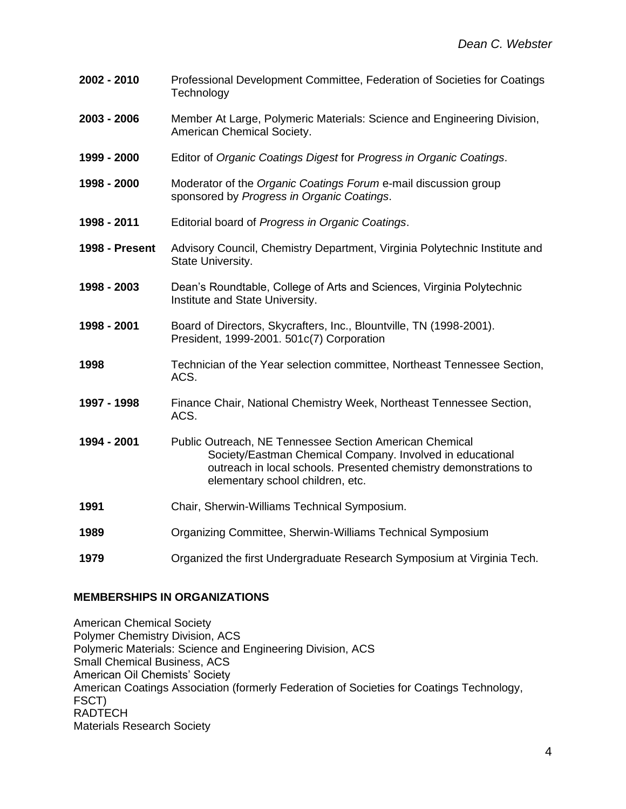- **2002 - 2010** Professional Development Committee, Federation of Societies for Coatings **Technology**
- **2003 - 2006** Member At Large, Polymeric Materials: Science and Engineering Division, American Chemical Society.
- **1999 - 2000** Editor of *Organic Coatings Digest* for *Progress in Organic Coatings*.
- **1998 - 2000** Moderator of the *Organic Coatings Forum* e-mail discussion group sponsored by *Progress in Organic Coatings*.
- **1998 - 2011** Editorial board of *Progress in Organic Coatings*.
- **1998 - Present** Advisory Council, Chemistry Department, Virginia Polytechnic Institute and State University.
- **1998 - 2003** Dean's Roundtable, College of Arts and Sciences, Virginia Polytechnic Institute and State University.
- **1998 - 2001** Board of Directors, Skycrafters, Inc., Blountville, TN (1998-2001). President, 1999-2001. 501c(7) Corporation
- **1998** Technician of the Year selection committee, Northeast Tennessee Section, ACS.
- **1997 - 1998** Finance Chair, National Chemistry Week, Northeast Tennessee Section, ACS.
- **1994 - 2001** Public Outreach, NE Tennessee Section American Chemical Society/Eastman Chemical Company. Involved in educational outreach in local schools. Presented chemistry demonstrations to elementary school children, etc.
- **1991** Chair, Sherwin-Williams Technical Symposium.
- **1989** Organizing Committee, Sherwin-Williams Technical Symposium
- **1979** Organized the first Undergraduate Research Symposium at Virginia Tech.

#### **MEMBERSHIPS IN ORGANIZATIONS**

American Chemical Society Polymer Chemistry Division, ACS Polymeric Materials: Science and Engineering Division, ACS Small Chemical Business, ACS American Oil Chemists' Society American Coatings Association (formerly Federation of Societies for Coatings Technology, FSCT) RADTECH Materials Research Society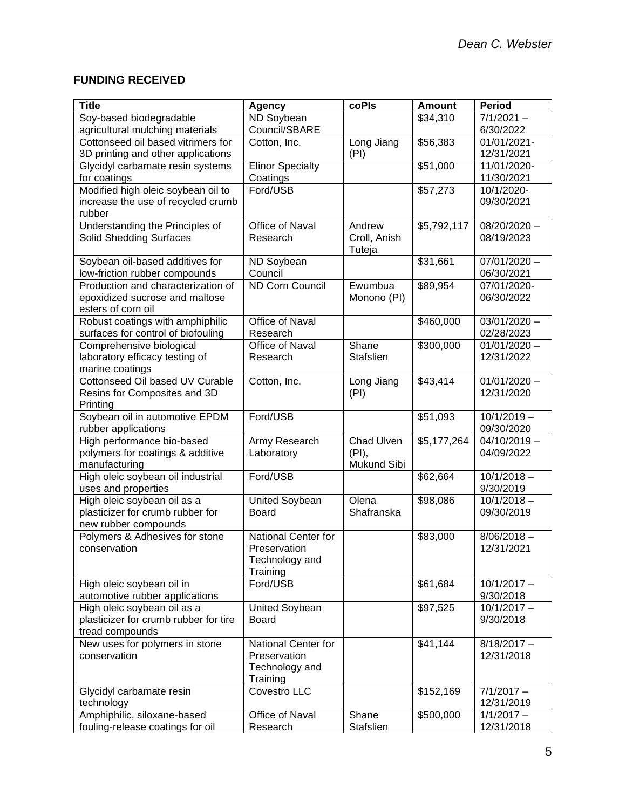# **FUNDING RECEIVED**

| <b>Title</b>                                                             | <b>Agency</b>              | coPIs            | <b>Amount</b>        | <b>Period</b>            |
|--------------------------------------------------------------------------|----------------------------|------------------|----------------------|--------------------------|
| Soy-based biodegradable                                                  | ND Soybean                 |                  | \$34,310             | $7/1/2021 -$             |
| agricultural mulching materials                                          | Council/SBARE              |                  |                      | 6/30/2022                |
| Cottonseed oil based vitrimers for                                       | Cotton, Inc.               | Long Jiang       | \$56,383             | 01/01/2021-              |
| 3D printing and other applications                                       |                            | (PI)             |                      | 12/31/2021               |
| Glycidyl carbamate resin systems                                         | <b>Elinor Specialty</b>    |                  | \$51,000             | 11/01/2020-              |
| for coatings                                                             | Coatings                   |                  |                      | 11/30/2021               |
| Modified high oleic soybean oil to<br>increase the use of recycled crumb | Ford/USB                   |                  | \$57,273             | 10/1/2020-<br>09/30/2021 |
| rubber                                                                   |                            |                  |                      |                          |
| Understanding the Principles of                                          | Office of Naval            | Andrew           | \$5,792,117          | $08/20/2020 -$           |
| <b>Solid Shedding Surfaces</b>                                           | Research                   | Croll, Anish     |                      | 08/19/2023               |
|                                                                          |                            | Tuteja           |                      |                          |
| Soybean oil-based additives for                                          | ND Soybean                 |                  | \$31,661             | $07/01/2020 -$           |
| low-friction rubber compounds                                            | Council                    |                  |                      | 06/30/2021               |
| Production and characterization of                                       | <b>ND Corn Council</b>     | Ewumbua          | $\overline{$89,954}$ | 07/01/2020-              |
| epoxidized sucrose and maltose                                           |                            | Monono (PI)      |                      | 06/30/2022               |
| esters of corn oil                                                       |                            |                  |                      |                          |
| Robust coatings with amphiphilic                                         | Office of Naval            |                  | \$460,000            | $03/01/2020 -$           |
| surfaces for control of biofouling                                       | Research                   |                  |                      | 02/28/2023               |
| Comprehensive biological                                                 | Office of Naval            | Shane            | \$300,000            | $01/01/2020 -$           |
| laboratory efficacy testing of<br>marine coatings                        | Research                   | <b>Stafslien</b> |                      | 12/31/2022               |
| Cottonseed Oil based UV Curable                                          | Cotton, Inc.               | Long Jiang       | \$43,414             | $01/01/2020 -$           |
| Resins for Composites and 3D                                             |                            | (PI)             |                      | 12/31/2020               |
| Printing                                                                 |                            |                  |                      |                          |
| Soybean oil in automotive EPDM                                           | Ford/USB                   |                  | \$51,093             | $10/1/2019 -$            |
| rubber applications                                                      |                            |                  |                      | 09/30/2020               |
| High performance bio-based                                               | <b>Army Research</b>       | Chad Ulven       | \$5,177,264          | $04/10/2019 -$           |
| polymers for coatings & additive                                         | Laboratory                 | (PI),            |                      | 04/09/2022               |
| manufacturing                                                            |                            | Mukund Sibi      |                      |                          |
| High oleic soybean oil industrial                                        | Ford/USB                   |                  | \$62,664             | $10/1/2018 -$            |
| uses and properties                                                      |                            |                  |                      | 9/30/2019                |
| High oleic soybean oil as a                                              | <b>United Soybean</b>      | Olena            | $\overline{$98,086}$ | $10/1/2018 -$            |
| plasticizer for crumb rubber for<br>new rubber compounds                 | <b>Board</b>               | Shafranska       |                      | 09/30/2019               |
| Polymers & Adhesives for stone                                           | National Center for        |                  | \$83,000             | $8/06/2018 -$            |
| conservation                                                             | Preservation               |                  |                      | 12/31/2021               |
|                                                                          | Technology and             |                  |                      |                          |
|                                                                          | Training                   |                  |                      |                          |
| High oleic soybean oil in                                                | Ford/USB                   |                  | \$61,684             | $10/1/2017 -$            |
| automotive rubber applications                                           |                            |                  |                      | 9/30/2018                |
| High oleic soybean oil as a                                              | <b>United Soybean</b>      |                  | \$97,525             | $10/1/2017 -$            |
| plasticizer for crumb rubber for tire                                    | <b>Board</b>               |                  |                      | 9/30/2018                |
| tread compounds                                                          |                            |                  |                      |                          |
| New uses for polymers in stone                                           | National Center for        |                  | \$41,144             | $8/18/2017 -$            |
| conservation                                                             | Preservation               |                  |                      | 12/31/2018               |
|                                                                          | Technology and<br>Training |                  |                      |                          |
| Glycidyl carbamate resin                                                 | Covestro LLC               |                  | \$152,169            | $7/1/2017 -$             |
| technology                                                               |                            |                  |                      | 12/31/2019               |
| Amphiphilic, siloxane-based                                              | Office of Naval            | Shane            | \$500,000            | $1/1/2017 -$             |
| fouling-release coatings for oil                                         | Research                   | Stafslien        |                      | 12/31/2018               |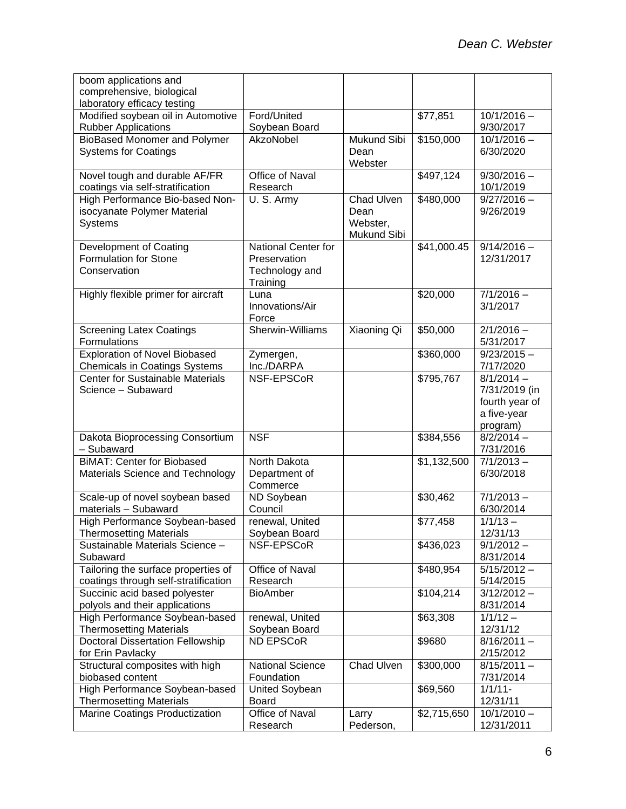| boom applications and                                            |                                  |                         |             |                         |
|------------------------------------------------------------------|----------------------------------|-------------------------|-------------|-------------------------|
| comprehensive, biological                                        |                                  |                         |             |                         |
| laboratory efficacy testing                                      |                                  |                         |             |                         |
| Modified soybean oil in Automotive                               | Ford/United                      |                         | \$77,851    | $10/1/2016 -$           |
| <b>Rubber Applications</b>                                       | Soybean Board                    |                         |             | 9/30/2017               |
| <b>BioBased Monomer and Polymer</b>                              | AkzoNobel                        | Mukund Sibi             | \$150,000   | $10/1/2016 -$           |
| <b>Systems for Coatings</b>                                      |                                  | Dean                    |             | 6/30/2020               |
|                                                                  |                                  | Webster                 |             |                         |
| Novel tough and durable AF/FR                                    | Office of Naval                  |                         | \$497,124   | $9/30/2016 -$           |
| coatings via self-stratification                                 | Research                         |                         |             | 10/1/2019               |
| High Performance Bio-based Non-                                  | U.S. Army                        | <b>Chad Ulven</b>       | \$480,000   | $9/27/2016 -$           |
| isocyanate Polymer Material                                      |                                  | Dean                    |             | 9/26/2019               |
| Systems                                                          |                                  | Webster,<br>Mukund Sibi |             |                         |
| Development of Coating                                           | National Center for              |                         | \$41,000.45 | $9/14/2016 -$           |
| <b>Formulation for Stone</b>                                     | Preservation                     |                         |             | 12/31/2017              |
| Conservation                                                     | Technology and                   |                         |             |                         |
|                                                                  | Training                         |                         |             |                         |
| Highly flexible primer for aircraft                              | Luna                             |                         | \$20,000    | $7/1/2016 -$            |
|                                                                  | Innovations/Air                  |                         |             | 3/1/2017                |
|                                                                  | Force                            |                         |             |                         |
| <b>Screening Latex Coatings</b>                                  | Sherwin-Williams                 | Xiaoning Qi             | \$50,000    | $2/1/2016 -$            |
| Formulations                                                     |                                  |                         |             | 5/31/2017               |
| <b>Exploration of Novel Biobased</b>                             | Zymergen,                        |                         | \$360,000   | $9/23/2015 -$           |
| <b>Chemicals in Coatings Systems</b>                             | Inc./DARPA                       |                         |             | 7/17/2020               |
| <b>Center for Sustainable Materials</b>                          | NSF-EPSCoR                       |                         | \$795,767   | $8/1/2014 -$            |
| Science - Subaward                                               |                                  |                         |             | 7/31/2019 (in           |
|                                                                  |                                  |                         |             | fourth year of          |
|                                                                  |                                  |                         |             | a five-year             |
|                                                                  |                                  |                         |             | program)                |
| Dakota Bioprocessing Consortium                                  | <b>NSF</b>                       |                         | \$384,556   | $8/2/2014 -$            |
| - Subaward                                                       |                                  |                         |             | 7/31/2016               |
| <b>BiMAT: Center for Biobased</b>                                | North Dakota                     |                         | \$1,132,500 | $7/1/2013 -$            |
| Materials Science and Technology                                 | Department of                    |                         |             | 6/30/2018               |
|                                                                  | Commerce                         |                         |             |                         |
| Scale-up of novel soybean based                                  | ND Soybean<br>Council            |                         | \$30,462    | $7/1/2013 -$            |
| materials - Subaward                                             |                                  |                         |             | 6/30/2014<br>$1/1/13 -$ |
| High Performance Soybean-based<br><b>Thermosetting Materials</b> | renewal, United<br>Soybean Board |                         | \$77,458    | 12/31/13                |
| Sustainable Materials Science -                                  | NSF-EPSCoR                       |                         | \$436,023   | $9/1/2012 -$            |
| Subaward                                                         |                                  |                         |             | 8/31/2014               |
| Tailoring the surface properties of                              | Office of Naval                  |                         | \$480,954   | $5/15/2012 -$           |
| coatings through self-stratification                             | Research                         |                         |             | 5/14/2015               |
| Succinic acid based polyester                                    | <b>BioAmber</b>                  |                         | \$104,214   | $3/12/2012 -$           |
| polyols and their applications                                   |                                  |                         |             | 8/31/2014               |
| High Performance Soybean-based                                   | renewal, United                  |                         | \$63,308    | $1/1/12 -$              |
| <b>Thermosetting Materials</b>                                   | Soybean Board                    |                         |             | 12/31/12                |
| <b>Doctoral Dissertation Fellowship</b>                          | ND EPSCoR                        |                         | \$9680      | $8/16/2011 -$           |
| for Erin Pavlacky                                                |                                  |                         |             | 2/15/2012               |
| Structural composites with high                                  | <b>National Science</b>          | Chad Ulven              | \$300,000   | $8/15/2011 -$           |
| biobased content                                                 | Foundation                       |                         |             | 7/31/2014               |
| High Performance Soybean-based                                   | United Soybean                   |                         | \$69,560    | $1/1/11 -$              |
| <b>Thermosetting Materials</b>                                   | <b>Board</b>                     |                         |             | 12/31/11                |
| Marine Coatings Productization                                   | Office of Naval                  | Larry                   | \$2,715,650 | $10/1/2010 -$           |
|                                                                  | Research                         | Pederson,               |             | 12/31/2011              |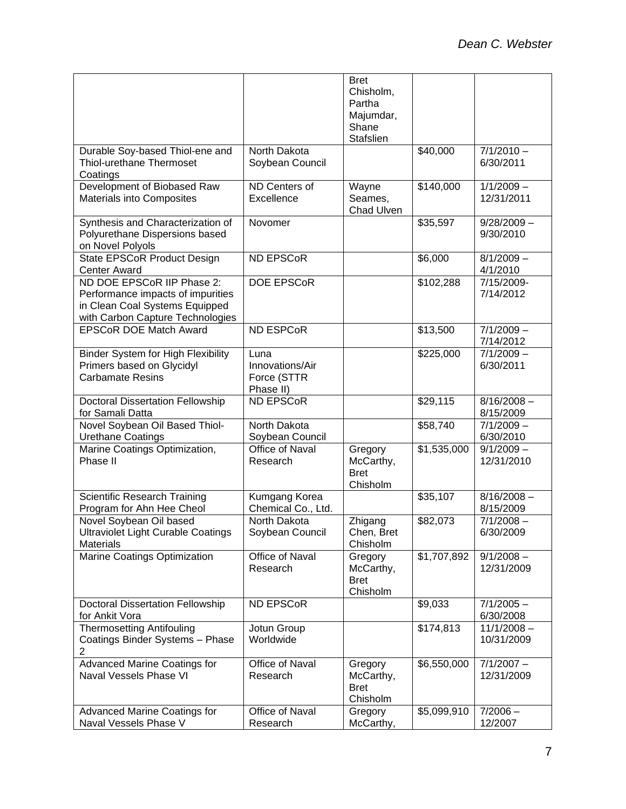|                                                                                                                                       |                                                     | <b>Bret</b><br>Chisholm,<br>Partha<br>Majumdar,<br>Shane<br>Stafslien |                      |                             |
|---------------------------------------------------------------------------------------------------------------------------------------|-----------------------------------------------------|-----------------------------------------------------------------------|----------------------|-----------------------------|
| Durable Soy-based Thiol-ene and<br>Thiol-urethane Thermoset<br>Coatings                                                               | North Dakota<br>Soybean Council                     |                                                                       | \$40,000             | $7/1/2010 -$<br>6/30/2011   |
| Development of Biobased Raw<br>Materials into Composites                                                                              | ND Centers of<br>Excellence                         | Wayne<br>Seames,<br>Chad Ulven                                        | \$140,000            | $1/1/2009 -$<br>12/31/2011  |
| Synthesis and Characterization of<br>Polyurethane Dispersions based<br>on Novel Polyols                                               | Novomer                                             |                                                                       | \$35,597             | $9/28/2009 -$<br>9/30/2010  |
| State EPSCoR Product Design<br><b>Center Award</b>                                                                                    | <b>ND EPSCoR</b>                                    |                                                                       | \$6,000              | $8/1/2009 -$<br>4/1/2010    |
| ND DOE EPSCoR IIP Phase 2:<br>Performance impacts of impurities<br>in Clean Coal Systems Equipped<br>with Carbon Capture Technologies | <b>DOE EPSCOR</b>                                   |                                                                       | \$102,288            | 7/15/2009-<br>7/14/2012     |
| <b>EPSCoR DOE Match Award</b>                                                                                                         | <b>ND ESPCoR</b>                                    |                                                                       | \$13,500             | $7/1/2009 -$<br>7/14/2012   |
| Binder System for High Flexibility<br>Primers based on Glycidyl<br><b>Carbamate Resins</b>                                            | Luna<br>Innovations/Air<br>Force (STTR<br>Phase II) |                                                                       | \$225,000            | $7/1/2009 -$<br>6/30/2011   |
| <b>Doctoral Dissertation Fellowship</b><br>for Samali Datta                                                                           | ND EPSCoR                                           |                                                                       | \$29,115             | $8/16/2008 -$<br>8/15/2009  |
| Novel Soybean Oil Based Thiol-<br><b>Urethane Coatings</b>                                                                            | North Dakota<br>Soybean Council                     |                                                                       | \$58,740             | $7/1/2009 -$<br>6/30/2010   |
| Marine Coatings Optimization,<br>Phase II                                                                                             | Office of Naval<br>Research                         | Gregory<br>McCarthy,<br><b>Bret</b><br>Chisholm                       | \$1,535,000          | $9/1/2009 -$<br>12/31/2010  |
| <b>Scientific Research Training</b><br>Program for Ahn Hee Cheol                                                                      | Kumgang Korea<br>Chemical Co., Ltd.                 |                                                                       | \$35,107             | $8/16/2008 -$<br>8/15/2009  |
| Novel Soybean Oil based<br><b>Ultraviolet Light Curable Coatings</b><br><b>Materials</b>                                              | North Dakota<br>Soybean Council                     | Zhigang<br>Chen, Bret<br>Chisholm                                     | $\overline{$82,073}$ | $7/1/2008 -$<br>6/30/2009   |
| Marine Coatings Optimization                                                                                                          | Office of Naval<br>Research                         | Gregory<br>McCarthy,<br><b>Bret</b><br>Chisholm                       | \$1,707,892          | $9/1/2008 -$<br>12/31/2009  |
| <b>Doctoral Dissertation Fellowship</b><br>for Ankit Vora                                                                             | ND EPSCoR                                           |                                                                       | \$9,033              | $7/1/2005 -$<br>6/30/2008   |
| <b>Thermosetting Antifouling</b><br>Coatings Binder Systems - Phase<br>2                                                              | Jotun Group<br>Worldwide                            |                                                                       | \$174,813            | $11/1/2008 -$<br>10/31/2009 |
| <b>Advanced Marine Coatings for</b><br>Naval Vessels Phase VI                                                                         | Office of Naval<br>Research                         | Gregory<br>McCarthy,<br><b>Bret</b><br>Chisholm                       | \$6,550,000          | $7/1/2007 -$<br>12/31/2009  |
| <b>Advanced Marine Coatings for</b><br>Naval Vessels Phase V                                                                          | Office of Naval<br>Research                         | Gregory<br>McCarthy,                                                  | \$5,099,910          | $7/2006 -$<br>12/2007       |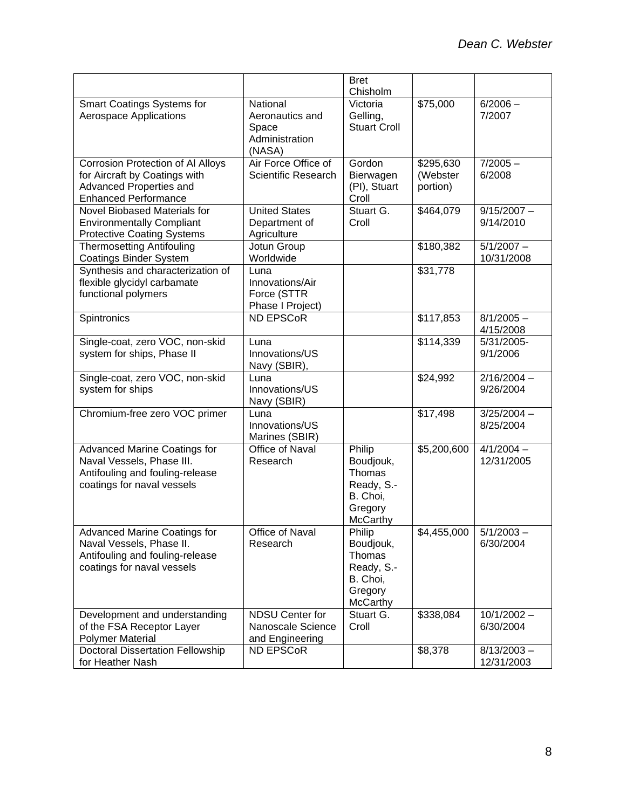|                                                                                                                                   |                                                                  | <b>Bret</b><br>Chisholm                                                               |                                   |                             |
|-----------------------------------------------------------------------------------------------------------------------------------|------------------------------------------------------------------|---------------------------------------------------------------------------------------|-----------------------------------|-----------------------------|
| <b>Smart Coatings Systems for</b><br><b>Aerospace Applications</b>                                                                | National<br>Aeronautics and<br>Space<br>Administration<br>(NASA) | Victoria<br>Gelling,<br><b>Stuart Croll</b>                                           | \$75,000                          | $6/2006 -$<br>7/2007        |
| Corrosion Protection of Al Alloys<br>for Aircraft by Coatings with<br>Advanced Properties and<br><b>Enhanced Performance</b>      | Air Force Office of<br><b>Scientific Research</b>                | Gordon<br>Bierwagen<br>(PI), Stuart<br>Croll                                          | \$295,630<br>(Webster<br>portion) | $7/2005 -$<br>6/2008        |
| Novel Biobased Materials for<br><b>Environmentally Compliant</b><br><b>Protective Coating Systems</b>                             | <b>United States</b><br>Department of<br>Agriculture             | Stuart G.<br>Croll                                                                    | $\overline{$464,079}$             | $9/15/2007 -$<br>9/14/2010  |
| <b>Thermosetting Antifouling</b><br><b>Coatings Binder System</b>                                                                 | Jotun Group<br>Worldwide                                         |                                                                                       | \$180,382                         | $5/1/2007 -$<br>10/31/2008  |
| Synthesis and characterization of<br>flexible glycidyl carbamate<br>functional polymers                                           | Luna<br>Innovations/Air<br>Force (STTR<br>Phase I Project)       |                                                                                       | \$31,778                          |                             |
| Spintronics                                                                                                                       | <b>ND EPSCoR</b>                                                 |                                                                                       | \$117,853                         | $8/1/2005 -$<br>4/15/2008   |
| Single-coat, zero VOC, non-skid<br>system for ships, Phase II                                                                     | Luna<br>Innovations/US<br>Navy (SBIR),                           |                                                                                       | \$114,339                         | 5/31/2005-<br>9/1/2006      |
| Single-coat, zero VOC, non-skid<br>system for ships                                                                               | Luna<br>Innovations/US<br>Navy (SBIR)                            |                                                                                       | \$24,992                          | $2/16/2004 -$<br>9/26/2004  |
| Chromium-free zero VOC primer                                                                                                     | Luna<br>Innovations/US<br>Marines (SBIR)                         |                                                                                       | \$17,498                          | $3/25/2004 -$<br>8/25/2004  |
| <b>Advanced Marine Coatings for</b><br>Naval Vessels, Phase III.<br>Antifouling and fouling-release<br>coatings for naval vessels | Office of Naval<br>Research                                      | Philip<br>Boudjouk,<br>Thomas<br>Ready, S.-<br>B. Choi,<br>Gregory<br>McCarthy        | \$5,200,600                       | $4/1/2004 -$<br>12/31/2005  |
| <b>Advanced Marine Coatings for</b><br>Naval Vessels, Phase II.<br>Antifouling and fouling-release<br>coatings for naval vessels  | <b>Office of Naval</b><br>Research                               | Philip<br>Boudjouk,<br>Thomas<br>Ready, S.-<br>B. Choi,<br>Gregory<br><b>McCarthy</b> | $\overline{$4,455,000}$           | $5/1/2003 -$<br>6/30/2004   |
| Development and understanding<br>of the FSA Receptor Layer<br><b>Polymer Material</b>                                             | <b>NDSU Center for</b><br>Nanoscale Science<br>and Engineering   | Stuart G.<br>Croll                                                                    | \$338,084                         | $10/1/2002 -$<br>6/30/2004  |
| <b>Doctoral Dissertation Fellowship</b><br>for Heather Nash                                                                       | <b>ND EPSCoR</b>                                                 |                                                                                       | \$8,378                           | $8/13/2003 -$<br>12/31/2003 |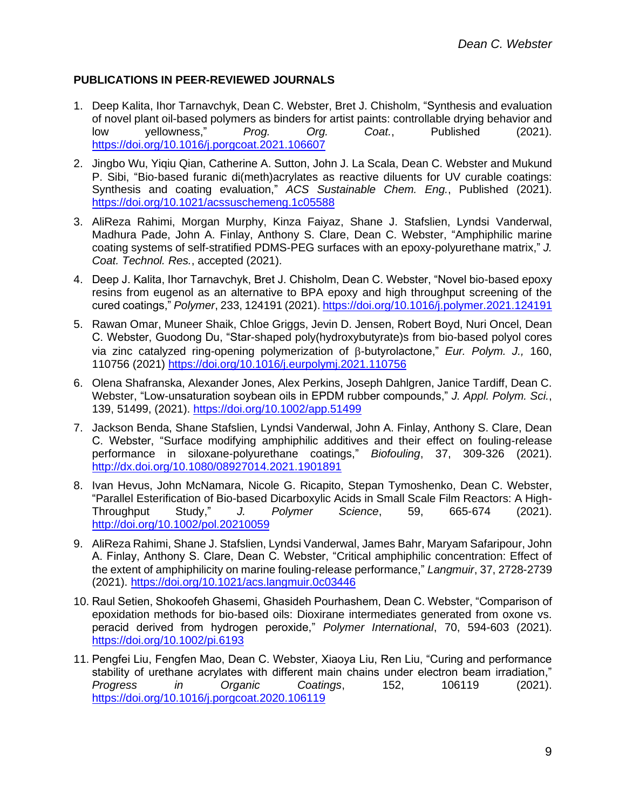## **PUBLICATIONS IN PEER-REVIEWED JOURNALS**

- 1. Deep Kalita, Ihor Tarnavchyk, Dean C. Webster, Bret J. Chisholm, "Synthesis and evaluation of novel plant oil-based polymers as binders for artist paints: controllable drying behavior and low yellowness," *Prog. Org. Coat.*, Published (2021). <https://doi.org/10.1016/j.porgcoat.2021.106607>
- 2. Jingbo Wu, Yiqiu Qian, Catherine A. Sutton, John J. La Scala, Dean C. Webster and Mukund P. Sibi, "Bio-based furanic di(meth)acrylates as reactive diluents for UV curable coatings: Synthesis and coating evaluation," *ACS Sustainable Chem. Eng.*, Published (2021). <https://doi.org/10.1021/acssuschemeng.1c05588>
- 3. AliReza Rahimi, Morgan Murphy, Kinza Faiyaz, Shane J. Stafslien, Lyndsi Vanderwal, Madhura Pade, John A. Finlay, Anthony S. Clare, Dean C. Webster, "Amphiphilic marine coating systems of self-stratified PDMS-PEG surfaces with an epoxy-polyurethane matrix," *J. Coat. Technol. Res.*, accepted (2021).
- 4. Deep J. Kalita, Ihor Tarnavchyk, Bret J. Chisholm, Dean C. Webster, "Novel bio-based epoxy resins from eugenol as an alternative to BPA epoxy and high throughput screening of the cured coatings," *Polymer*, 233, 124191 (2021). <https://doi.org/10.1016/j.polymer.2021.124191>
- 5. Rawan Omar, Muneer Shaik, Chloe Griggs, Jevin D. Jensen, Robert Boyd, Nuri Oncel, Dean C. Webster, Guodong Du, "Star-shaped poly(hydroxybutyrate)s from bio-based polyol cores via zinc catalyzed ring-opening polymerization of β-butyrolactone," *Eur. Polym. J.*, 160, 110756 (2021)<https://doi.org/10.1016/j.eurpolymj.2021.110756>
- 6. Olena Shafranska, Alexander Jones, Alex Perkins, Joseph Dahlgren, Janice Tardiff, Dean C. Webster, "Low-unsaturation soybean oils in EPDM rubber compounds," *J. Appl. Polym. Sci.*, 139, 51499, (2021).<https://doi.org/10.1002/app.51499>
- 7. Jackson Benda, Shane Stafslien, Lyndsi Vanderwal, John A. Finlay, Anthony S. Clare, Dean C. Webster, "Surface modifying amphiphilic additives and their effect on fouling-release performance in siloxane-polyurethane coatings," *Biofouling*, 37, 309-326 (2021). <http://dx.doi.org/10.1080/08927014.2021.1901891>
- 8. Ivan Hevus, John McNamara, Nicole G. Ricapito, Stepan Tymoshenko, Dean C. Webster, "Parallel Esterification of Bio-based Dicarboxylic Acids in Small Scale Film Reactors: A High-Throughput Study," *J. Polymer Science*, 59, 665-674 (2021). <http://doi.org/10.1002/pol.20210059>
- 9. AliReza Rahimi, Shane J. Stafslien, Lyndsi Vanderwal, James Bahr, Maryam Safaripour, John A. Finlay, Anthony S. Clare, Dean C. Webster, "Critical amphiphilic concentration: Effect of the extent of amphiphilicity on marine fouling-release performance," *Langmuir*, 37, 2728-2739 (2021).<https://doi.org/10.1021/acs.langmuir.0c03446>
- 10. Raul Setien, Shokoofeh Ghasemi, Ghasideh Pourhashem, Dean C. Webster, "Comparison of epoxidation methods for bio-based oils: Dioxirane intermediates generated from oxone vs. peracid derived from hydrogen peroxide," *Polymer International*, 70, 594-603 (2021). <https://doi.org/10.1002/pi.6193>
- 11. Pengfei Liu, Fengfen Mao, Dean C. Webster, Xiaoya Liu, Ren Liu, "Curing and performance stability of urethane acrylates with different main chains under electron beam irradiation," *Progress in Organic Coatings*, 152, 106119 (2021). <https://doi.org/10.1016/j.porgcoat.2020.106119>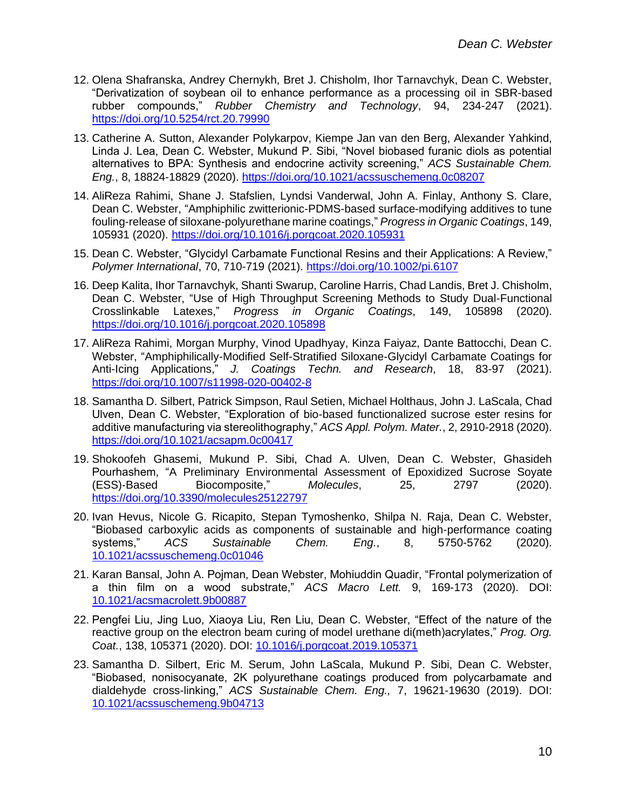- 12. Olena Shafranska, Andrey Chernykh, Bret J. Chisholm, Ihor Tarnavchyk, Dean C. Webster, "Derivatization of soybean oil to enhance performance as a processing oil in SBR-based rubber compounds," *Rubber Chemistry and Technology*, 94, 234-247 (2021). <https://doi.org/10.5254/rct.20.79990>
- 13. Catherine A. Sutton, Alexander Polykarpov, Kiempe Jan van den Berg, Alexander Yahkind, Linda J. Lea, Dean C. Webster, Mukund P. Sibi, "Novel biobased furanic diols as potential alternatives to BPA: Synthesis and endocrine activity screening," *ACS Sustainable Chem. Eng.*, 8, 18824-18829 (2020).<https://doi.org/10.1021/acssuschemeng.0c08207>
- 14. AliReza Rahimi, Shane J. Stafslien, Lyndsi Vanderwal, John A. Finlay, Anthony S. Clare, Dean C. Webster, "Amphiphilic zwitterionic-PDMS-based surface-modifying additives to tune fouling-release of siloxane-polyurethane marine coatings," *Progress in Organic Coatings*, 149, 105931 (2020). <https://doi.org/10.1016/j.porgcoat.2020.105931>
- 15. Dean C. Webster, "Glycidyl Carbamate Functional Resins and their Applications: A Review," *Polymer International*, 70, 710-719 (2021). <https://doi.org/10.1002/pi.6107>
- 16. Deep Kalita, Ihor Tarnavchyk, Shanti Swarup, Caroline Harris, Chad Landis, Bret J. Chisholm, Dean C. Webster, "Use of High Throughput Screening Methods to Study Dual-Functional Crosslinkable Latexes," *Progress in Organic Coatings*, 149, 105898 (2020). <https://doi.org/10.1016/j.porgcoat.2020.105898>
- 17. AliReza Rahimi, Morgan Murphy, Vinod Upadhyay, Kinza Faiyaz, Dante Battocchi, Dean C. Webster, "Amphiphilically-Modified Self-Stratified Siloxane-Glycidyl Carbamate Coatings for Anti-Icing Applications," *J. Coatings Techn. and Research*, 18, 83-97 (2021). <https://doi.org/10.1007/s11998-020-00402-8>
- 18. Samantha D. Silbert, Patrick Simpson, Raul Setien, Michael Holthaus, John J. LaScala, Chad Ulven, Dean C. Webster, "Exploration of bio-based functionalized sucrose ester resins for additive manufacturing via stereolithography," *ACS Appl. Polym. Mater.*, 2, 2910-2918 (2020). <https://doi.org/10.1021/acsapm.0c00417>
- 19. Shokoofeh Ghasemi, Mukund P. Sibi, Chad A. Ulven, Dean C. Webster, Ghasideh Pourhashem, "A Preliminary Environmental Assessment of Epoxidized Sucrose Soyate (ESS)-Based Biocomposite," *Molecules*, 25, 2797 (2020). <https://doi.org/10.3390/molecules25122797>
- 20. Ivan Hevus, Nicole G. Ricapito, Stepan Tymoshenko, Shilpa N. Raja, Dean C. Webster, "Biobased carboxylic acids as components of sustainable and high-performance coating systems," *ACS Sustainable Chem. Eng.*, 8, 5750-5762 (2020). [10.1021/acssuschemeng.0c01046](https://doi.org/10.1021/acssuschemeng.0c01046)
- 21. Karan Bansal, John A. Pojman, Dean Webster, Mohiuddin Quadir, "Frontal polymerization of a thin film on a wood substrate," *ACS Macro Lett.* 9, 169-173 (2020). DOI: [10.1021/acsmacrolett.9b00887](https://doi.org/10.1021/acsmacrolett.9b00887)
- 22. Pengfei Liu, Jing Luo, Xiaoya Liu, Ren Liu, Dean C. Webster, "Effect of the nature of the reactive group on the electron beam curing of model urethane di(meth)acrylates," *Prog. Org. Coat.*, 138, 105371 (2020). DOI: [10.1016/j.porgcoat.2019.105371](https://doi.org/10.1016/j.porgcoat.2019.105371)
- 23. Samantha D. Silbert, Eric M. Serum, John LaScala, Mukund P. Sibi, Dean C. Webster, "Biobased, nonisocyanate, 2K polyurethane coatings produced from polycarbamate and dialdehyde cross-linking," *ACS Sustainable Chem. Eng.,* 7, 19621-19630 (2019). DOI: [10.1021/acssuschemeng.9b04713](https://doi.org/10.1021/acssuschemeng.9b04713)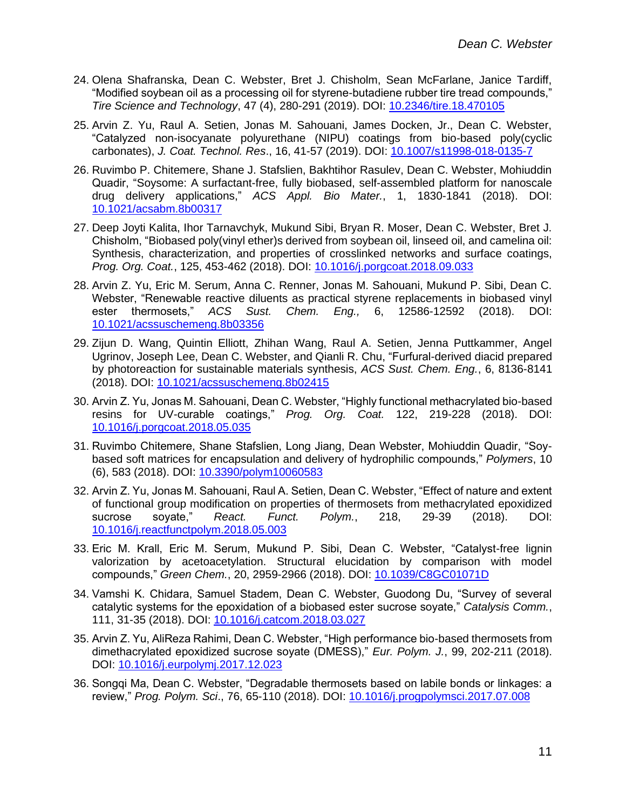- 24. Olena Shafranska, Dean C. Webster, Bret J. Chisholm, Sean McFarlane, Janice Tardiff, "Modified soybean oil as a processing oil for styrene-butadiene rubber tire tread compounds," *Tire Science and Technology*, 47 (4), 280-291 (2019). DOI: [10.2346/tire.18.470105](https://doi.org/10.2346/tire.18.470105)
- 25. Arvin Z. Yu, Raul A. Setien, Jonas M. Sahouani, James Docken, Jr., Dean C. Webster, "Catalyzed non-isocyanate polyurethane (NIPU) coatings from bio-based poly(cyclic carbonates), *J. Coat. Technol. Res*., 16, 41-57 (2019). DOI: [10.1007/s11998-018-0135-7](https://doi.org/10.1007/s11998-018-0135-7)
- 26. Ruvimbo P. Chitemere, Shane J. Stafslien, Bakhtihor Rasulev, Dean C. Webster, Mohiuddin Quadir, "Soysome: A surfactant-free, fully biobased, self-assembled platform for nanoscale drug delivery applications," *ACS Appl. Bio Mater.*, 1, 1830-1841 (2018). DOI: [10.1021/acsabm.8b00317](https://doi.org/10.1021/acsabm.8b00317)
- 27. Deep Joyti Kalita, Ihor Tarnavchyk, Mukund Sibi, Bryan R. Moser, Dean C. Webster, Bret J. Chisholm, "Biobased poly(vinyl ether)s derived from soybean oil, linseed oil, and camelina oil: Synthesis, characterization, and properties of crosslinked networks and surface coatings, *Prog. Org. Coat.*, 125, 453-462 (2018). DOI: [10.1016/j.porgcoat.2018.09.033](https://doi.org/10.1016/j.porgcoat.2018.09.033)
- 28. Arvin Z. Yu, Eric M. Serum, Anna C. Renner, Jonas M. Sahouani, Mukund P. Sibi, Dean C. Webster, "Renewable reactive diluents as practical styrene replacements in biobased vinyl ester thermosets," *ACS Sust. Chem. Eng.,* 6, 12586-12592 (2018). DOI: [10.1021/acssuschemeng.8b03356](http://dx.doi.org/10.1021/acssuschemeng.8b03356)
- 29. Zijun D. Wang, Quintin Elliott, Zhihan Wang, Raul A. Setien, Jenna Puttkammer, Angel Ugrinov, Joseph Lee, Dean C. Webster, and Qianli R. Chu, "Furfural-derived diacid prepared by photoreaction for sustainable materials synthesis, *ACS Sust. Chem. Eng.*, 6, 8136-8141 (2018). DOI: [10.1021/acssuschemeng.8b02415](https://doi.org/10.1021/acssuschemeng.8b02415)
- 30. Arvin Z. Yu, Jonas M. Sahouani, Dean C. Webster, "Highly functional methacrylated bio-based resins for UV-curable coatings," *Prog. Org. Coat.* 122, 219-228 (2018). DOI: [10.1016/j.porgcoat.2018.05.035](https://doi.org/10.1016/j.porgcoat.2018.05.035)
- 31. Ruvimbo Chitemere, Shane Stafslien, Long Jiang, Dean Webster, Mohiuddin Quadir, "Soybased soft matrices for encapsulation and delivery of hydrophilic compounds," *Polymers*, 10 (6), 583 (2018). DOI: [10.3390/polym10060583](https://doi.org/10.3390/polym10060583)
- 32. Arvin Z. Yu, Jonas M. Sahouani, Raul A. Setien, Dean C. Webster, "Effect of nature and extent of functional group modification on properties of thermosets from methacrylated epoxidized sucrose soyate," *React. Funct. Polym.*, 218, 29-39 (2018). DOI: [10.1016/j.reactfunctpolym.2018.05.003](https://doi.org/10.1016/j.reactfunctpolym.2018.05.003)
- 33. Eric M. Krall, Eric M. Serum, Mukund P. Sibi, Dean C. Webster, "Catalyst-free lignin valorization by acetoacetylation. Structural elucidation by comparison with model compounds," *Green Chem.*, 20, 2959-2966 (2018). DOI: [10.1039/C8GC01071D](https://dx.doi.org/10.1039/C8GC01071D)
- 34. Vamshi K. Chidara, Samuel Stadem, Dean C. Webster, Guodong Du, "Survey of several catalytic systems for the epoxidation of a biobased ester sucrose soyate," *Catalysis Comm.*, 111, 31-35 (2018). DOI: [10.1016/j.catcom.2018.03.027](https://doi.org/10.1016/j.catcom.2018.03.027)
- 35. Arvin Z. Yu, AliReza Rahimi, Dean C. Webster, "High performance bio-based thermosets from dimethacrylated epoxidized sucrose soyate (DMESS)," *Eur. Polym. J.*, 99, 202-211 (2018). DOI: [10.1016/j.eurpolymj.2017.12.023](https://doi.org/10.1016/j.eurpolymj.2017.12.023)
- 36. Songqi Ma, Dean C. Webster, "Degradable thermosets based on labile bonds or linkages: a review," *Prog. Polym. Sci*., 76, 65-110 (2018). DOI: [10.1016/j.progpolymsci.2017.07.008](https://doi.org/10.1016/j.progpolymsci.2017.07.008)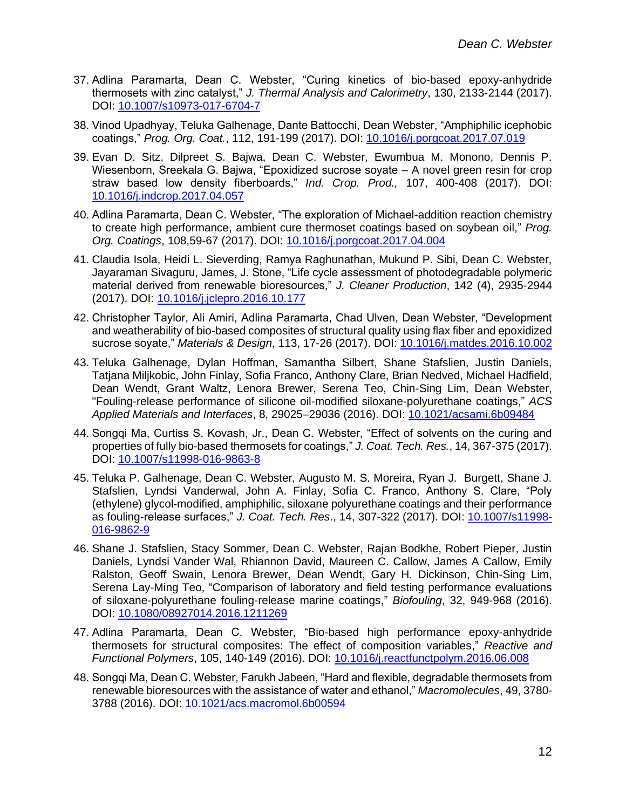- 37. Adlina Paramarta, Dean C. Webster, "Curing kinetics of bio-based epoxy-anhydride thermosets with zinc catalyst," *J. Thermal Analysis and Calorimetry*, 130, 2133-2144 (2017). DOI: [10.1007/s10973-017-6704-7](https://doi.org/10.1007/s10973-017-6704-7)
- 38. Vinod Upadhyay, Teluka Galhenage, Dante Battocchi, Dean Webster, "Amphiphilic icephobic coatings," *Prog. Org. Coat.*, 112, 191-199 (2017). DOI: [10.1016/j.porgcoat.2017.07.019](https://doi.org/10.1016/j.porgcoat.2017.07.019)
- 39. Evan D. Sitz, Dilpreet S. Bajwa, Dean C. Webster, Ewumbua M. Monono, Dennis P. Wiesenborn, Sreekala G. Bajwa, "Epoxidized sucrose soyate – A novel green resin for crop straw based low density fiberboards," *Ind. Crop. Prod.,* 107, 400-408 (2017). DOI: [10.1016/j.indcrop.2017.04.057](https://doi.org/10.1016/j.indcrop.2017.04.057)
- 40. Adlina Paramarta, Dean C. Webster, "The exploration of Michael-addition reaction chemistry to create high performance, ambient cure thermoset coatings based on soybean oil," *Prog. Org. Coatings*, 108,59-67 (2017). DOI: [10.1016/j.porgcoat.2017.04.004](http://dx.doi.org/10.1016/j.porgcoat.2017.04.004)
- 41. Claudia Isola, Heidi L. Sieverding, Ramya Raghunathan, Mukund P. Sibi, Dean C. Webster, Jayaraman Sivaguru, James, J. Stone, "Life cycle assessment of photodegradable polymeric material derived from renewable bioresources," *J. Cleaner Production*, 142 (4), 2935-2944 (2017). DOI: [10.1016/j.jclepro.2016.10.177](http://dx.doi.org/10.1016/j.jclepro.2016.10.177)
- 42. Christopher Taylor, Ali Amiri, Adlina Paramarta, Chad Ulven, Dean Webster, "Development and weatherability of bio-based composites of structural quality using flax fiber and epoxidized sucrose soyate," *Materials & Design*, 113, 17-26 (2017). DOI: [10.1016/j.matdes.2016.10.002](http://dx.doi.org/10.1016/j.matdes.2016.10.002)
- 43. Teluka Galhenage, Dylan Hoffman, Samantha Silbert, Shane Stafslien, Justin Daniels, Tatjana Miljkobic, John Finlay, Sofia Franco, Anthony Clare, Brian Nedved, Michael Hadfield, Dean Wendt, Grant Waltz, Lenora Brewer, Serena Teo, Chin-Sing Lim, Dean Webster, "Fouling-release performance of silicone oil-modified siloxane-polyurethane coatings," *ACS Applied Materials and Interfaces*, 8, 29025–29036 (2016). DOI: [10.1021/acsami.6b09484](http://dx.doi.org/10.1021/acsami.6b09484)
- 44. Songqi Ma, Curtiss S. Kovash, Jr., Dean C. Webster, "Effect of solvents on the curing and properties of fully bio-based thermosets for coatings," *J. Coat. Tech. Res.*, 14, 367-375 (2017). DOI: [10.1007/s11998-016-9863-8](http://dx.doi.org/10.1007/s11998-016-9863-8)
- 45. Teluka P. Galhenage, Dean C. Webster, Augusto M. S. Moreira, Ryan J. Burgett, Shane J. Stafslien, Lyndsi Vanderwal, John A. Finlay, Sofia C. Franco, Anthony S. Clare, "Poly (ethylene) glycol-modified, amphiphilic, siloxane polyurethane coatings and their performance as fouling-release surfaces," *J. Coat. Tech. Res*., 14, 307-322 (2017). DOI: [10.1007/s11998-](http://dx.doi.org/10.1007/s11998-016-9862-9) [016-9862-9](http://dx.doi.org/10.1007/s11998-016-9862-9)
- 46. Shane J. Stafslien, Stacy Sommer, Dean C. Webster, Rajan Bodkhe, Robert Pieper, Justin Daniels, Lyndsi Vander Wal, Rhiannon David, Maureen C. Callow, James A Callow, Emily Ralston, Geoff Swain, Lenora Brewer, Dean Wendt, Gary H. Dickinson, Chin-Sing Lim, Serena Lay-Ming Teo, "Comparison of laboratory and field testing performance evaluations of siloxane-polyurethane fouling-release marine coatings," *Biofouling*, 32, 949-968 (2016). DOI: [10.1080/08927014.2016.1211269](http://dx.doi.org/10.1080/08927014.2016.1211269)
- 47. Adlina Paramarta, Dean C. Webster, "Bio-based high performance epoxy-anhydride thermosets for structural composites: The effect of composition variables," *Reactive and Functional Polymers*, 105, 140-149 (2016). DOI: [10.1016/j.reactfunctpolym.2016.06.008](http://dx.doi.org/10.1016/j.reactfunctpolym.2016.06.008)
- 48. Songqi Ma, Dean C. Webster, Farukh Jabeen, "Hard and flexible, degradable thermosets from renewable bioresources with the assistance of water and ethanol," *Macromolecules*, 49, 3780- 3788 (2016). DOI: [10.1021/acs.macromol.6b00594](http://dx.doi.org/10.1021/acs.macromol.6b00594)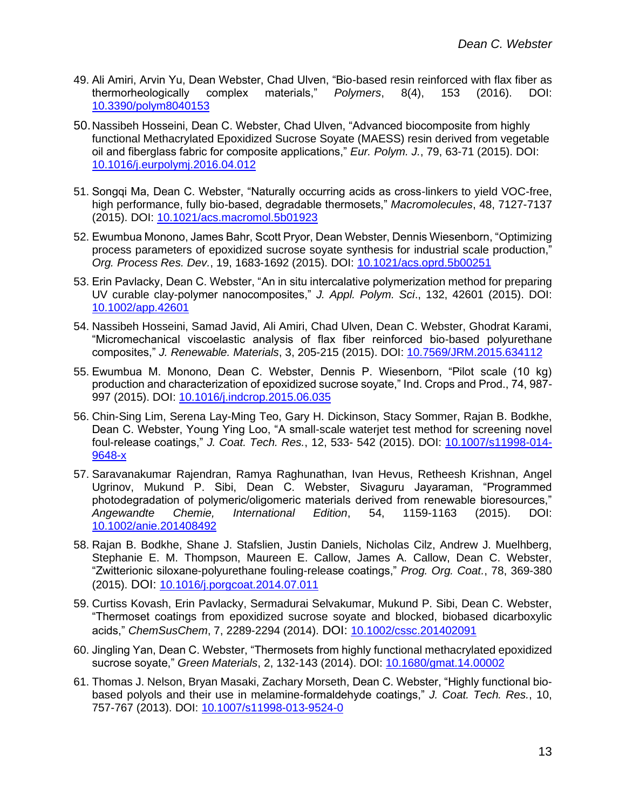- 49. Ali Amiri, Arvin Yu, Dean Webster, Chad Ulven, "Bio-based resin reinforced with flax fiber as thermorheologically complex materials," *Polymers*, 8(4), 153 (2016). DOI: [10.3390/polym8040153](http://dx.doi.org/10.3390/polym8040153)
- 50.Nassibeh Hosseini, Dean C. Webster, Chad Ulven, "Advanced biocomposite from highly functional Methacrylated Epoxidized Sucrose Soyate (MAESS) resin derived from vegetable oil and fiberglass fabric for composite applications," *Eur. Polym. J.*, 79, 63-71 (2015). DOI: [10.1016/j.eurpolymj.2016.04.012](http://dx.doi.org/10.1016/j.eurpolymj.2016.04.012)
- 51. Songqi Ma, Dean C. Webster, "Naturally occurring acids as cross-linkers to yield VOC-free, high performance, fully bio-based, degradable thermosets," *Macromolecules*, 48, 7127-7137 (2015). DOI: [10.1021/acs.macromol.5b01923](http://dx.doi.org/10.1021/acs.macromol.5b01923)
- 52. Ewumbua Monono, James Bahr, Scott Pryor, Dean Webster, Dennis Wiesenborn, "Optimizing process parameters of epoxidized sucrose soyate synthesis for industrial scale production," *Org. Process Res. Dev.*, 19, 1683-1692 (2015). DOI: [10.1021/acs.oprd.5b00251](http://dx.doi.org/10.1021/acs.oprd.5b00251)
- 53. Erin Pavlacky, Dean C. Webster, "An in situ intercalative polymerization method for preparing UV curable clay-polymer nanocomposites," *J. Appl. Polym. Sci*., 132, 42601 (2015). DOI: [10.1002/app.42601](http://dx.doi.org/10.1002/app.42601)
- 54. Nassibeh Hosseini, Samad Javid, Ali Amiri, Chad Ulven, Dean C. Webster, Ghodrat Karami, "Micromechanical viscoelastic analysis of flax fiber reinforced bio-based polyurethane composites," *J. Renewable. Materials*, 3, 205-215 (2015). DOI: [10.7569/JRM.2015.634112](http://dx.doi.org/10.7569/JRM.2015.634112)
- 55. Ewumbua M. Monono, Dean C. Webster, Dennis P. Wiesenborn, "Pilot scale (10 kg) production and characterization of epoxidized sucrose soyate," Ind. Crops and Prod., 74, 987- 997 (2015). DOI: [10.1016/j.indcrop.2015.06.035](http://dx.doi.org/10.1016/j.indcrop.2015.06.035)
- 56. Chin-Sing Lim, Serena Lay-Ming Teo, Gary H. Dickinson, Stacy Sommer, Rajan B. Bodkhe, Dean C. Webster, Young Ying Loo, "A small-scale waterjet test method for screening novel foul-release coatings," *J. Coat. Tech. Res.*, 12, 533- 542 (2015). DOI: [10.1007/s11998-014-](http://dx.doi.org/10.1007/s11998-014-9648-x) [9648-x](http://dx.doi.org/10.1007/s11998-014-9648-x)
- 57. Saravanakumar Rajendran, Ramya Raghunathan, Ivan Hevus, Retheesh Krishnan, Angel Ugrinov, Mukund P. Sibi, Dean C. Webster, Sivaguru Jayaraman, "Programmed photodegradation of polymeric/oligomeric materials derived from renewable bioresources," *Angewandte Chemie, International Edition*, 54, 1159-1163 (2015). DOI: [10.1002/anie.201408492](http://dx.doi.org/10.1002/anie.201408492)
- 58. Rajan B. Bodkhe, Shane J. Stafslien, Justin Daniels, Nicholas Cilz, Andrew J. Muelhberg, Stephanie E. M. Thompson, Maureen E. Callow, James A. Callow, Dean C. Webster, "Zwitterionic siloxane-polyurethane fouling-release coatings," *Prog. Org. Coat.*, 78, 369-380 (2015). DOI: [10.1016/j.porgcoat.2014.07.011](http://dx.doi.org/10.1016/j.porgcoat.2014.07.011)
- 59. Curtiss Kovash, Erin Pavlacky, Sermadurai Selvakumar, Mukund P. Sibi, Dean C. Webster, "Thermoset coatings from epoxidized sucrose soyate and blocked, biobased dicarboxylic acids," *ChemSusChem*, 7, 2289-2294 (2014). DOI: [10.1002/cssc.201402091](http://dx.doi.org/10.1002/cssc.201402091)
- 60. Jingling Yan, Dean C. Webster, "Thermosets from highly functional methacrylated epoxidized sucrose soyate," *Green Materials*, 2, 132-143 (2014). DOI: [10.1680/gmat.14.00002](http://dx.doi.org/10.1680/gmat.14.00002)
- 61. Thomas J. Nelson, Bryan Masaki, Zachary Morseth, Dean C. Webster, "Highly functional biobased polyols and their use in melamine-formaldehyde coatings," *J. Coat. Tech. Res.*, 10, 757-767 (2013). DOI: [10.1007/s11998-013-9524-0](http://dx.doi.org/10.1007/s11998-013-9524-0)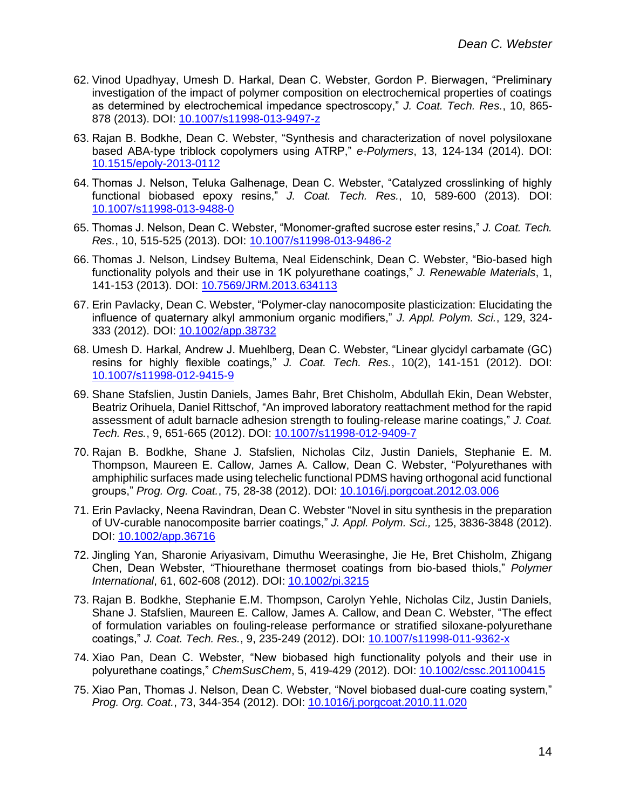- 62. Vinod Upadhyay, Umesh D. Harkal, Dean C. Webster, Gordon P. Bierwagen, "Preliminary investigation of the impact of polymer composition on electrochemical properties of coatings as determined by electrochemical impedance spectroscopy," *J. Coat. Tech. Res.*, 10, 865- 878 (2013). DOI: [10.1007/s11998-013-9497-z](http://dx.doi.org/10.1007/s11998-013-9497-z)
- 63. Rajan B. Bodkhe, Dean C. Webster, "Synthesis and characterization of novel polysiloxane based ABA-type triblock copolymers using ATRP," *e-Polymers*, 13, 124-134 (2014). DOI: [10.1515/epoly-2013-0112](https://doi.org/10.1515/epoly-2013-0112)
- 64. Thomas J. Nelson, Teluka Galhenage, Dean C. Webster, "Catalyzed crosslinking of highly functional biobased epoxy resins," *J. Coat. Tech. Res.*, 10, 589-600 (2013). DOI: [10.1007/s11998-013-9488-0](http://dx.doi.org/10.1007/s11998-013-9488-0)
- 65. Thomas J. Nelson, Dean C. Webster, "Monomer-grafted sucrose ester resins," *J. Coat. Tech. Res.*, 10, 515-525 (2013). DOI: [10.1007/s11998-013-9486-2](http://dx.doi.org/10.1007/s11998-013-9486-2)
- 66. Thomas J. Nelson, Lindsey Bultema, Neal Eidenschink, Dean C. Webster, "Bio-based high functionality polyols and their use in 1K polyurethane coatings," *J. Renewable Materials*, 1, 141-153 (2013). DOI: [10.7569/JRM.2013.634113](http://dx.doi.org/10.7569/JRM.2013.634113)
- 67. Erin Pavlacky, Dean C. Webster, "Polymer-clay nanocomposite plasticization: Elucidating the influence of quaternary alkyl ammonium organic modifiers," *J. Appl. Polym. Sci.*, 129, 324- 333 (2012). DOI: [10.1002/app.38732](http://dx.doi.org/10.1002/app.38732)
- 68. Umesh D. Harkal, Andrew J. Muehlberg, Dean C. Webster, "Linear glycidyl carbamate (GC) resins for highly flexible coatings," *J. Coat. Tech. Res.*, 10(2), 141-151 (2012). DOI: [10.1007/s11998-012-9415-9](https://doi.org/10.1007/s11998-012-9415-9)
- 69. Shane Stafslien, Justin Daniels, James Bahr, Bret Chisholm, Abdullah Ekin, Dean Webster, Beatriz Orihuela, Daniel Rittschof, "An improved laboratory reattachment method for the rapid assessment of adult barnacle adhesion strength to fouling-release marine coatings," *J. Coat. Tech. Res.*, 9, 651-665 (2012). DOI: [10.1007/s11998-012-9409-7](https://doi.org/10.1007/s11998-012-9409-7)
- 70. Rajan B. Bodkhe, Shane J. Stafslien, Nicholas Cilz, Justin Daniels, Stephanie E. M. Thompson, Maureen E. Callow, James A. Callow, Dean C. Webster, "Polyurethanes with amphiphilic surfaces made using telechelic functional PDMS having orthogonal acid functional groups," *Prog. Org. Coat.*, 75, 28-38 (2012). DOI: [10.1016/j.porgcoat.2012.03.006](https://doi.org/10.1016/j.porgcoat.2012.03.006)
- 71. Erin Pavlacky, Neena Ravindran, Dean C. Webster "Novel in situ synthesis in the preparation of UV-curable nanocomposite barrier coatings," *J. Appl. Polym. Sci.,* 125, 3836-3848 (2012). DOI: [10.1002/app.36716](https://doi.org/10.1002/app.36716)
- 72. Jingling Yan, Sharonie Ariyasivam, Dimuthu Weerasinghe, Jie He, Bret Chisholm, Zhigang Chen, Dean Webster, "Thiourethane thermoset coatings from bio-based thiols," *Polymer International*, 61, 602-608 (2012). DOI: [10.1002/pi.3215](https://doi.org/10.1002/pi.3215)
- 73. Rajan B. Bodkhe, Stephanie E.M. Thompson, Carolyn Yehle, Nicholas Cilz, Justin Daniels, Shane J. Stafslien, Maureen E. Callow, James A. Callow, and Dean C. Webster, "The effect of formulation variables on fouling-release performance or stratified siloxane-polyurethane coatings," *J. Coat. Tech. Res.*, 9, 235-249 (2012). DOI: [10.1007/s11998-011-9362-x](https://doi.org/10.1007/s11998-011-9362-x)
- 74. Xiao Pan, Dean C. Webster, "New biobased high functionality polyols and their use in polyurethane coatings," *ChemSusChem*, 5, 419-429 (2012). DOI: [10.1002/cssc.201100415](https://doi.org/10.1002/cssc.201100415)
- 75. Xiao Pan, Thomas J. Nelson, Dean C. Webster, "Novel biobased dual-cure coating system," *Prog. Org. Coat.*, 73, 344-354 (2012). DOI: [10.1016/j.porgcoat.2010.11.020](https://doi.org/10.1016/j.porgcoat.2010.11.020)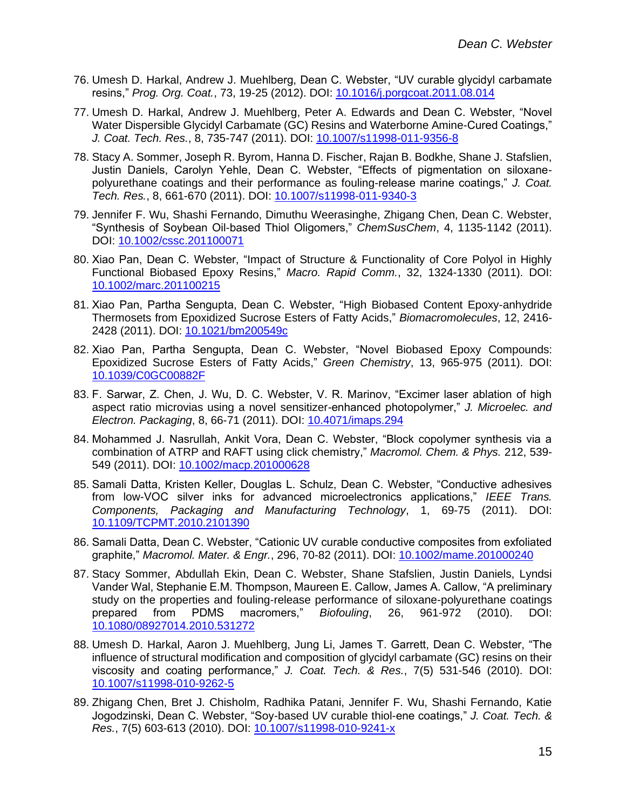- 76. Umesh D. Harkal, Andrew J. Muehlberg, Dean C. Webster, "UV curable glycidyl carbamate resins," *Prog. Org. Coat.*, 73, 19-25 (2012). DOI: [10.1016/j.porgcoat.2011.08.014](https://doi.org/10.1016/j.porgcoat.2011.08.014)
- 77. Umesh D. Harkal, Andrew J. Muehlberg, Peter A. Edwards and Dean C. Webster, "Novel Water Dispersible Glycidyl Carbamate (GC) Resins and Waterborne Amine-Cured Coatings," *J. Coat. Tech. Res.*, 8, 735-747 (2011). DOI: [10.1007/s11998-011-9356-8](https://doi.org/10.1007/s11998-011-9356-8)
- 78. Stacy A. Sommer, Joseph R. Byrom, Hanna D. Fischer, Rajan B. Bodkhe, Shane J. Stafslien, Justin Daniels, Carolyn Yehle, Dean C. Webster, "Effects of pigmentation on siloxanepolyurethane coatings and their performance as fouling-release marine coatings," *J. Coat. Tech. Res.*, 8, 661-670 (2011). DOI: [10.1007/s11998-011-9340-3](https://doi.org/10.1007/s11998-011-9340-3)
- 79. Jennifer F. Wu, Shashi Fernando, Dimuthu Weerasinghe, Zhigang Chen, Dean C. Webster, "Synthesis of Soybean Oil-based Thiol Oligomers," *ChemSusChem*, 4, 1135-1142 (2011). DOI: [10.1002/cssc.201100071](https://doi.org/10.1002/cssc.201100071)
- 80. Xiao Pan, Dean C. Webster, "Impact of Structure & Functionality of Core Polyol in Highly Functional Biobased Epoxy Resins," *Macro. Rapid Comm.*, 32, 1324-1330 (2011). DOI: [10.1002/marc.201100215](https://doi.org/10.1002/marc.201100215)
- 81. Xiao Pan, Partha Sengupta, Dean C. Webster, "High Biobased Content Epoxy-anhydride Thermosets from Epoxidized Sucrose Esters of Fatty Acids," *Biomacromolecules*, 12, 2416- 2428 (2011). DOI: [10.1021/bm200549c](https://doi.org/10.1021/bm200549c)
- 82. Xiao Pan, Partha Sengupta, Dean C. Webster, "Novel Biobased Epoxy Compounds: Epoxidized Sucrose Esters of Fatty Acids," *Green Chemistry*, 13, 965-975 (2011). DOI: [10.1039/C0GC00882F](https://doi.org/10.1039/C0GC00882F)
- 83. F. Sarwar, Z. Chen, J. Wu, D. C. Webster, V. R. Marinov, "Excimer laser ablation of high aspect ratio microvias using a novel sensitizer-enhanced photopolymer," *J. Microelec. and Electron. Packaging*, 8, 66-71 (2011). DOI: [10.4071/imaps.294](https://doi.org/10.4071/imaps.294)
- 84. Mohammed J. Nasrullah, Ankit Vora, Dean C. Webster, "Block copolymer synthesis via a combination of ATRP and RAFT using click chemistry," *Macromol. Chem. & Phys.* 212, 539- 549 (2011). DOI: [10.1002/macp.201000628](https://doi.org/10.1002/macp.201000628)
- 85. Samali Datta, Kristen Keller, Douglas L. Schulz, Dean C. Webster, "Conductive adhesives from low-VOC silver inks for advanced microelectronics applications," *IEEE Trans. Components, Packaging and Manufacturing Technology*, 1, 69-75 (2011). DOI: [10.1109/TCPMT.2010.2101390](https://doi.org/10.1109/TCPMT.2010.2101390)
- 86. Samali Datta, Dean C. Webster, "Cationic UV curable conductive composites from exfoliated graphite," *Macromol. Mater. & Engr.*, 296, 70-82 (2011). DOI: [10.1002/mame.201000240](https://doi.org/10.1002/mame.201000240)
- 87. Stacy Sommer, Abdullah Ekin, Dean C. Webster, Shane Stafslien, Justin Daniels, Lyndsi Vander Wal, Stephanie E.M. Thompson, Maureen E. Callow, James A. Callow, "A preliminary study on the properties and fouling-release performance of siloxane-polyurethane coatings prepared from PDMS macromers," *Biofouling*, 26, 961-972 (2010). DOI: [10.1080/08927014.2010.531272](https://doi.org/10.1080/08927014.2010.531272)
- 88. Umesh D. Harkal, Aaron J. Muehlberg, Jung Li, James T. Garrett, Dean C. Webster, "The influence of structural modification and composition of glycidyl carbamate (GC) resins on their viscosity and coating performance," *J. Coat. Tech. & Res.*, 7(5) 531-546 (2010). DOI: [10.1007/s11998-010-9262-5](https://doi.org/10.1007/s11998-010-9262-5)
- 89. Zhigang Chen, Bret J. Chisholm, Radhika Patani, Jennifer F. Wu, Shashi Fernando, Katie Jogodzinski, Dean C. Webster, "Soy-based UV curable thiol-ene coatings," *J. Coat. Tech. & Res.*, 7(5) 603-613 (2010). DOI: [10.1007/s11998-010-9241-x](https://doi.org/10.1007/s11998-010-9241-x)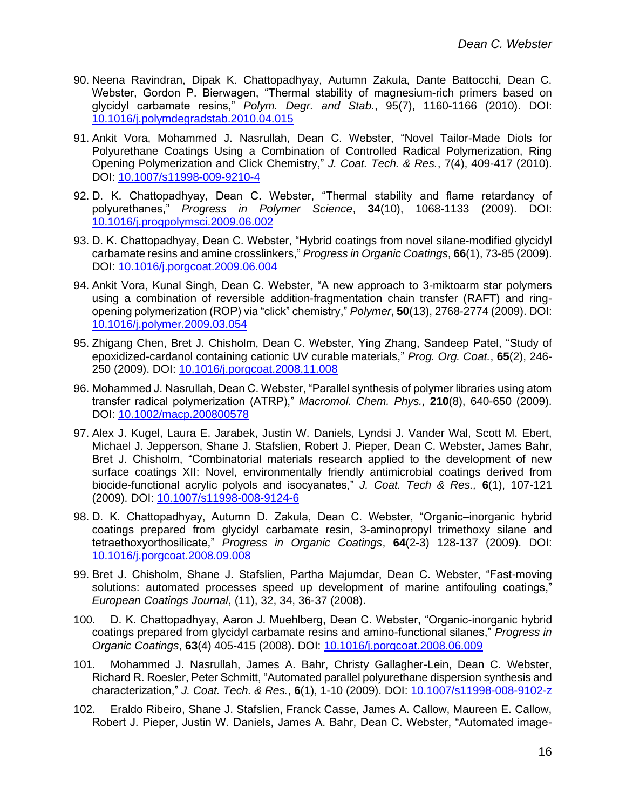- 90. Neena Ravindran, Dipak K. Chattopadhyay, Autumn Zakula, Dante Battocchi, Dean C. Webster, Gordon P. Bierwagen, "Thermal stability of magnesium-rich primers based on glycidyl carbamate resins," *Polym. Degr. and Stab.*, 95(7), 1160-1166 (2010). DOI: [10.1016/j.polymdegradstab.2010.04.015](https://doi.org/10.1016/j.polymdegradstab.2010.04.015)
- 91. Ankit Vora, Mohammed J. Nasrullah, Dean C. Webster, "Novel Tailor-Made Diols for Polyurethane Coatings Using a Combination of Controlled Radical Polymerization, Ring Opening Polymerization and Click Chemistry," *J. Coat. Tech. & Res.*, 7(4), 409-417 (2010). DOI: [10.1007/s11998-009-9210-4](https://doi.org/10.1007/s11998-009-9210-4)
- 92. D. K. Chattopadhyay, Dean C. Webster, "Thermal stability and flame retardancy of polyurethanes," *Progress in Polymer Science*, **34**(10), 1068-1133 (2009). DOI: [10.1016/j.progpolymsci.2009.06.002](https://doi.org/10.1016/j.progpolymsci.2009.06.002)
- 93. D. K. Chattopadhyay, Dean C. Webster, "Hybrid coatings from novel silane-modified glycidyl carbamate resins and amine crosslinkers," *Progress in Organic Coatings*, **66**(1), 73-85 (2009). DOI: [10.1016/j.porgcoat.2009.06.004](https://doi.org/10.1016/j.porgcoat.2009.06.004)
- 94. Ankit Vora, Kunal Singh, Dean C. Webster, "A new approach to 3-miktoarm star polymers using a combination of reversible addition-fragmentation chain transfer (RAFT) and ringopening polymerization (ROP) via "click" chemistry," *Polymer*, **50**(13), 2768-2774 (2009). DOI: [10.1016/j.polymer.2009.03.054](https://doi.org/10.1016/j.polymer.2009.03.054)
- 95. Zhigang Chen, Bret J. Chisholm, Dean C. Webster, Ying Zhang, Sandeep Patel, "Study of epoxidized-cardanol containing cationic UV curable materials," *Prog. Org. Coat.*, **65**(2), 246- 250 (2009). DOI: [10.1016/j.porgcoat.2008.11.008](https://doi.org/10.1016/j.porgcoat.2008.11.008)
- 96. Mohammed J. Nasrullah, Dean C. Webster, "Parallel synthesis of polymer libraries using atom transfer radical polymerization (ATRP)," *Macromol. Chem. Phys.,* **210**(8), 640-650 (2009). DOI: [10.1002/macp.200800578](https://doi.org/10.1002/macp.200800578)
- 97. Alex J. Kugel, Laura E. Jarabek, Justin W. Daniels, Lyndsi J. Vander Wal, Scott M. Ebert, Michael J. Jepperson, Shane J. Stafslien, Robert J. Pieper, Dean C. Webster, James Bahr, Bret J. Chisholm, "Combinatorial materials research applied to the development of new surface coatings XII: Novel, environmentally friendly antimicrobial coatings derived from biocide-functional acrylic polyols and isocyanates," *J. Coat. Tech & Res.,* **6**(1), 107-121 (2009). DOI: [10.1007/s11998-008-9124-6](https://doi.org/10.1007/s11998-008-9124-6)
- 98. D. K. Chattopadhyay, Autumn D. Zakula, Dean C. Webster, "Organic–inorganic hybrid coatings prepared from glycidyl carbamate resin, 3-aminopropyl trimethoxy silane and tetraethoxyorthosilicate," *Progress in Organic Coatings*, **64**(2-3) 128-137 (2009). DOI: [10.1016/j.porgcoat.2008.09.008](https://doi.org/10.1016/j.porgcoat.2008.09.008)
- 99. Bret J. Chisholm, Shane J. Stafslien, Partha Majumdar, Dean C. Webster, "Fast-moving solutions: automated processes speed up development of marine antifouling coatings," *European Coatings Journal*, (11), 32, 34, 36-37 (2008).
- 100. D. K. Chattopadhyay, Aaron J. Muehlberg, Dean C. Webster, "Organic-inorganic hybrid coatings prepared from glycidyl carbamate resins and amino-functional silanes," *Progress in Organic Coatings*, **63**(4) 405-415 (2008). DOI: [10.1016/j.porgcoat.2008.06.009](https://doi.org/10.1016/j.porgcoat.2008.06.009)
- 101. Mohammed J. Nasrullah, James A. Bahr, Christy Gallagher-Lein, Dean C. Webster, Richard R. Roesler, Peter Schmitt, "Automated parallel polyurethane dispersion synthesis and characterization," *J. Coat. Tech. & Res.*, **6**(1), 1-10 (2009). DOI: [10.1007/s11998-008-9102-z](https://doi.org/10.1007/s11998-008-9102-z)
- 102. Eraldo Ribeiro, Shane J. Stafslien, Franck Casse, James A. Callow, Maureen E. Callow, Robert J. Pieper, Justin W. Daniels, James A. Bahr, Dean C. Webster, "Automated image-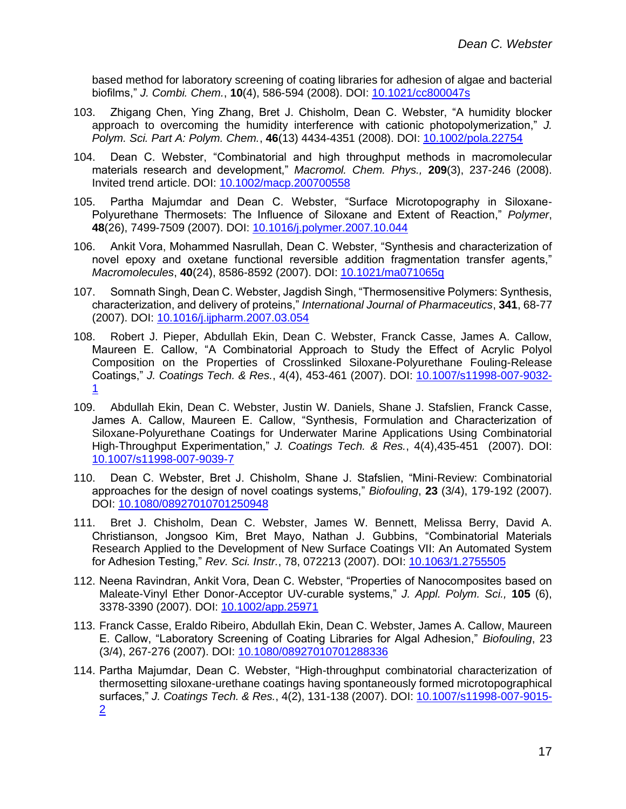based method for laboratory screening of coating libraries for adhesion of algae and bacterial biofilms," *J. Combi. Chem.*, **10**(4), 586-594 (2008). DOI: [10.1021/cc800047s](https://doi.org/10.1021/cc800047s)

- 103. Zhigang Chen, Ying Zhang, Bret J. Chisholm, Dean C. Webster, "A humidity blocker approach to overcoming the humidity interference with cationic photopolymerization," *J. Polym. Sci. Part A: Polym. Chem.*, **46**(13) 4434-4351 (2008). DOI: [10.1002/pola.22754](https://doi.org/10.1002/pola.22754)
- 104. Dean C. Webster, "Combinatorial and high throughput methods in macromolecular materials research and development," *Macromol. Chem. Phys.,* **209**(3), 237-246 (2008). Invited trend article. DOI: [10.1002/macp.200700558](https://doi.org/10.1002/macp.200700558)
- 105. Partha Majumdar and Dean C. Webster, "Surface Microtopography in Siloxane-Polyurethane Thermosets: The Influence of Siloxane and Extent of Reaction," *Polymer*, **48**(26), 7499-7509 (2007). DOI: [10.1016/j.polymer.2007.10.044](https://doi.org/10.1016/j.polymer.2007.10.044)
- 106. Ankit Vora, Mohammed Nasrullah, Dean C. Webster, "Synthesis and characterization of novel epoxy and oxetane functional reversible addition fragmentation transfer agents," *Macromolecules*, **40**(24), 8586-8592 (2007). DOI: [10.1021/ma071065q](https://doi.org/10.1021/ma071065q)
- 107. Somnath Singh, Dean C. Webster, Jagdish Singh, "Thermosensitive Polymers: Synthesis, characterization, and delivery of proteins," *International Journal of Pharmaceutics*, **341**, 68-77 (2007). DOI: [10.1016/j.ijpharm.2007.03.054](https://doi.org/10.1016/j.ijpharm.2007.03.054)
- 108. Robert J. Pieper, Abdullah Ekin, Dean C. Webster, Franck Casse, James A. Callow, Maureen E. Callow, "A Combinatorial Approach to Study the Effect of Acrylic Polyol Composition on the Properties of Crosslinked Siloxane-Polyurethane Fouling-Release Coatings," *J. Coatings Tech. & Res.*, 4(4), 453-461 (2007). DOI: [10.1007/s11998-007-9032-](https://doi.org/10.1007/s11998-007-9032-1) [1](https://doi.org/10.1007/s11998-007-9032-1)
- 109. Abdullah Ekin, Dean C. Webster, Justin W. Daniels, Shane J. Stafslien, Franck Casse, James A. Callow, Maureen E. Callow, "Synthesis, Formulation and Characterization of Siloxane-Polyurethane Coatings for Underwater Marine Applications Using Combinatorial High-Throughput Experimentation," *J. Coatings Tech. & Res.*, 4(4),435-451 (2007). DOI: [10.1007/s11998-007-9039-7](https://doi.org/10.1007/s11998-007-9039-7)
- 110. Dean C. Webster, Bret J. Chisholm, Shane J. Stafslien, "Mini-Review: Combinatorial approaches for the design of novel coatings systems," *Biofouling*, **23** (3/4), 179-192 (2007). DOI: [10.1080/08927010701250948](https://doi.org/10.1080/08927010701250948)
- 111. Bret J. Chisholm, Dean C. Webster, James W. Bennett, Melissa Berry, David A. Christianson, Jongsoo Kim, Bret Mayo, Nathan J. Gubbins, "Combinatorial Materials Research Applied to the Development of New Surface Coatings VII: An Automated System for Adhesion Testing," *Rev. Sci. Instr.*, 78, 072213 (2007). DOI: [10.1063/1.2755505](https://doi.org/10.1063/1.2755505)
- 112. Neena Ravindran, Ankit Vora, Dean C. Webster, "Properties of Nanocomposites based on Maleate-Vinyl Ether Donor-Acceptor UV-curable systems," *J. Appl. Polym. Sci.,* **105** (6), 3378-3390 (2007). DOI: [10.1002/app.25971](https://doi.org/10.1002/app.25971)
- 113. Franck Casse, Eraldo Ribeiro, Abdullah Ekin, Dean C. Webster, James A. Callow, Maureen E. Callow, "Laboratory Screening of Coating Libraries for Algal Adhesion," *Biofouling*, 23 (3/4), 267-276 (2007). DOI: [10.1080/08927010701288336](https://doi.org/10.1080/08927010701288336)
- 114. Partha Majumdar, Dean C. Webster, "High-throughput combinatorial characterization of thermosetting siloxane-urethane coatings having spontaneously formed microtopographical surfaces," *J. Coatings Tech. & Res.*, 4(2), 131-138 (2007). DOI: [10.1007/s11998-007-9015-](https://doi.org/10.1007/s11998-007-9015-2) [2](https://doi.org/10.1007/s11998-007-9015-2)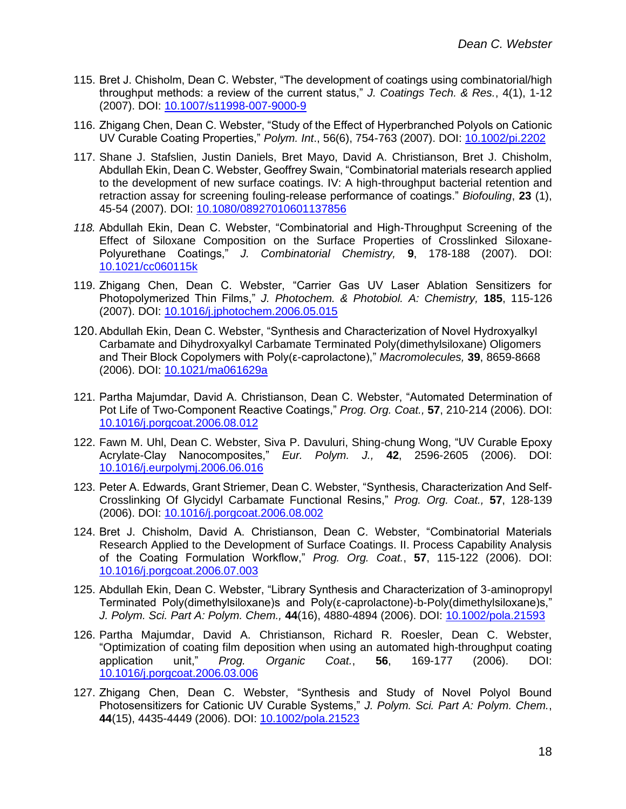- 115. Bret J. Chisholm, Dean C. Webster, "The development of coatings using combinatorial/high throughput methods: a review of the current status," *J. Coatings Tech. & Res.*, 4(1), 1-12 (2007). DOI: [10.1007/s11998-007-9000-9](https://doi.org/10.1007/s11998-007-9000-9)
- 116. Zhigang Chen, Dean C. Webster, "Study of the Effect of Hyperbranched Polyols on Cationic UV Curable Coating Properties," *Polym. Int*., 56(6), 754-763 (2007). DOI: [10.1002/pi.2202](https://doi.org/10.1002/pi.2202)
- 117. Shane J. Stafslien, Justin Daniels, Bret Mayo, David A. Christianson, Bret J. Chisholm, Abdullah Ekin, Dean C. Webster, Geoffrey Swain, "Combinatorial materials research applied to the development of new surface coatings. IV: A high-throughput bacterial retention and retraction assay for screening fouling-release performance of coatings." *Biofouling*, **23** (1), 45-54 (2007). DOI: [10.1080/08927010601137856](https://doi.org/10.1080/08927010601137856)
- *118.* Abdullah Ekin, Dean C. Webster, "Combinatorial and High-Throughput Screening of the Effect of Siloxane Composition on the Surface Properties of Crosslinked Siloxane-Polyurethane Coatings," *J. Combinatorial Chemistry,* **9**, 178-188 (2007). DOI: [10.1021/cc060115k](https://doi.org/10.1021/cc060115k)
- 119. Zhigang Chen, Dean C. Webster, "Carrier Gas UV Laser Ablation Sensitizers for Photopolymerized Thin Films," *J. Photochem. & Photobiol. A: Chemistry,* **185**, 115-126 (2007). DOI: [10.1016/j.jphotochem.2006.05.015](https://doi.org/10.1016/j.jphotochem.2006.05.015)
- 120.Abdullah Ekin, Dean C. Webster, "Synthesis and Characterization of Novel Hydroxyalkyl Carbamate and Dihydroxyalkyl Carbamate Terminated Poly(dimethylsiloxane) Oligomers and Their Block Copolymers with Poly(ε-caprolactone)," *Macromolecules,* **39**, 8659-8668 (2006). DOI: [10.1021/ma061629a](https://doi.org/10.1021/ma061629a)
- 121. Partha Majumdar, David A. Christianson, Dean C. Webster, "Automated Determination of Pot Life of Two-Component Reactive Coatings," *Prog. Org. Coat.,* **57**, 210-214 (2006). DOI: [10.1016/j.porgcoat.2006.08.012](https://doi.org/10.1016/j.porgcoat.2006.08.012)
- 122. Fawn M. Uhl, Dean C. Webster, Siva P. Davuluri, Shing-chung Wong, "UV Curable Epoxy Acrylate-Clay Nanocomposites," *Eur. Polym. J.,* **42**, 2596-2605 (2006). DOI: [10.1016/j.eurpolymj.2006.06.016](https://doi.org/10.1016/j.eurpolymj.2006.06.016)
- 123. Peter A. Edwards, Grant Striemer, Dean C. Webster, "Synthesis, Characterization And Self-Crosslinking Of Glycidyl Carbamate Functional Resins," *Prog. Org. Coat.,* **57**, 128-139 (2006). DOI: [10.1016/j.porgcoat.2006.08.002](https://doi.org/10.1016/j.porgcoat.2006.08.002)
- 124. Bret J. Chisholm, David A. Christianson, Dean C. Webster, "Combinatorial Materials Research Applied to the Development of Surface Coatings. II. Process Capability Analysis of the Coating Formulation Workflow," *Prog. Org. Coat.*, **57**, 115-122 (2006). DOI: [10.1016/j.porgcoat.2006.07.003](https://doi.org/10.1016/j.porgcoat.2006.07.003)
- 125. Abdullah Ekin, Dean C. Webster, "Library Synthesis and Characterization of 3-aminopropyl Terminated Poly(dimethylsiloxane)s and Poly(ε-caprolactone)-b-Poly(dimethylsiloxane)s," *J. Polym. Sci. Part A: Polym. Chem.,* **44**(16), 4880-4894 (2006). DOI: [10.1002/pola.21593](https://doi.org/10.1002/pola.21593)
- 126. Partha Majumdar, David A. Christianson, Richard R. Roesler, Dean C. Webster, "Optimization of coating film deposition when using an automated high-throughput coating application unit," *Prog. Organic Coat.*, **56**, 169-177 (2006). DOI: [10.1016/j.porgcoat.2006.03.006](https://doi.org/10.1016/j.porgcoat.2006.03.006)
- 127. Zhigang Chen, Dean C. Webster, "Synthesis and Study of Novel Polyol Bound Photosensitizers for Cationic UV Curable Systems," *J. Polym. Sci. Part A: Polym. Chem.*, **44**(15), 4435-4449 (2006). DOI: [10.1002/pola.21523](https://doi.org/10.1002/pola.21523)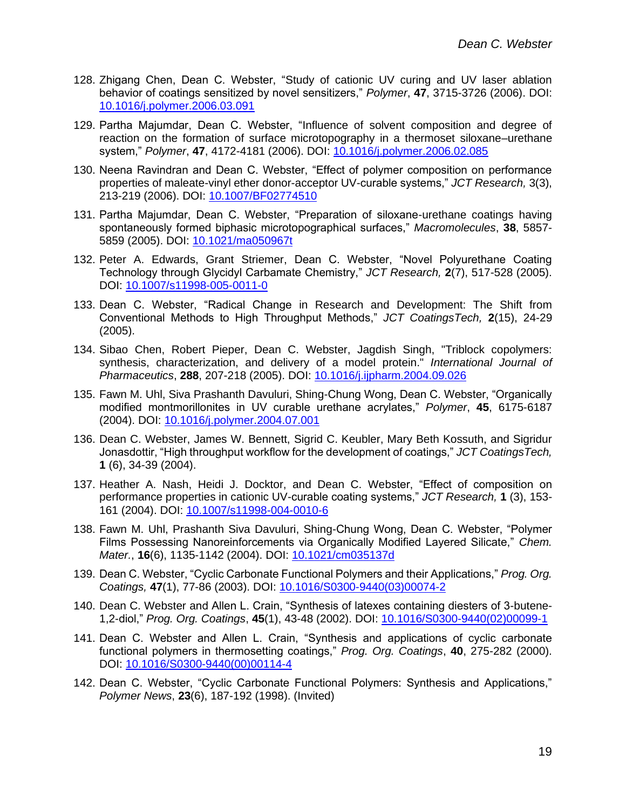- 128. Zhigang Chen, Dean C. Webster, "Study of cationic UV curing and UV laser ablation behavior of coatings sensitized by novel sensitizers," *Polymer*, **47**, 3715-3726 (2006). DOI: [10.1016/j.polymer.2006.03.091](https://doi.org/10.1016/j.polymer.2006.03.091)
- 129. Partha Majumdar, Dean C. Webster, "Influence of solvent composition and degree of reaction on the formation of surface microtopography in a thermoset siloxane–urethane system," *Polymer*, **47**, 4172-4181 (2006). DOI: [10.1016/j.polymer.2006.02.085](https://doi.org/10.1016/j.polymer.2006.02.085)
- 130. Neena Ravindran and Dean C. Webster, "Effect of polymer composition on performance properties of maleate-vinyl ether donor-acceptor UV-curable systems," *JCT Research,* 3(3), 213-219 (2006). DOI: [10.1007/BF02774510](https://doi.org/10.1007/BF02774510)
- 131. Partha Majumdar, Dean C. Webster, "Preparation of siloxane-urethane coatings having spontaneously formed biphasic microtopographical surfaces," *Macromolecules*, **38**, 5857- 5859 (2005). DOI: [10.1021/ma050967t](https://doi.org/10.1021/ma050967t)
- 132. Peter A. Edwards, Grant Striemer, Dean C. Webster, "Novel Polyurethane Coating Technology through Glycidyl Carbamate Chemistry," *JCT Research,* **2**(7), 517-528 (2005). DOI: [10.1007/s11998-005-0011-0](https://doi.org/10.1007/s11998-005-0011-0)
- 133. Dean C. Webster, "Radical Change in Research and Development: The Shift from Conventional Methods to High Throughput Methods," *JCT CoatingsTech,* **2**(15), 24-29 (2005).
- 134. Sibao Chen, Robert Pieper, Dean C. Webster, Jagdish Singh, "Triblock copolymers: synthesis, characterization, and delivery of a model protein." *International Journal of Pharmaceutics*, **288**, 207-218 (2005). DOI: [10.1016/j.ijpharm.2004.09.026](https://doi.org/10.1016/j.ijpharm.2004.09.026)
- 135. Fawn M. Uhl, Siva Prashanth Davuluri, Shing-Chung Wong, Dean C. Webster, "Organically modified montmorillonites in UV curable urethane acrylates," *Polymer*, **45**, 6175-6187 (2004). DOI: [10.1016/j.polymer.2004.07.001](https://doi.org/10.1016/j.polymer.2004.07.001)
- 136. Dean C. Webster, James W. Bennett, Sigrid C. Keubler, Mary Beth Kossuth, and Sigridur Jonasdottir, "High throughput workflow for the development of coatings," *JCT CoatingsTech,*  **1** (6), 34-39 (2004).
- 137. Heather A. Nash, Heidi J. Docktor, and Dean C. Webster, "Effect of composition on performance properties in cationic UV-curable coating systems," *JCT Research,* **1** (3), 153- 161 (2004). DOI: [10.1007/s11998-004-0010-6](https://doi.org/10.1007/s11998-004-0010-6)
- 138. Fawn M. Uhl, Prashanth Siva Davuluri, Shing-Chung Wong, Dean C. Webster, "Polymer Films Possessing Nanoreinforcements via Organically Modified Layered Silicate," *Chem. Mater.*, **16**(6), 1135-1142 (2004). DOI: [10.1021/cm035137d](https://doi.org/10.1021/cm035137d)
- 139. Dean C. Webster, "Cyclic Carbonate Functional Polymers and their Applications," *Prog. Org. Coatings,* **47**(1), 77-86 (2003). DOI: [10.1016/S0300-9440\(03\)00074-2](https://doi.org/10.1016/S0300-9440(03)00074-2)
- 140. Dean C. Webster and Allen L. Crain, "Synthesis of latexes containing diesters of 3-butene-1,2-diol," *Prog. Org. Coatings*, **45**(1), 43-48 (2002). DOI: [10.1016/S0300-9440\(02\)00099-1](https://doi.org/10.1016/S0300-9440(02)00099-1)
- 141. Dean C. Webster and Allen L. Crain, "Synthesis and applications of cyclic carbonate functional polymers in thermosetting coatings," *Prog. Org. Coatings*, **40**, 275-282 (2000). DOI: [10.1016/S0300-9440\(00\)00114-4](https://doi.org/10.1016/S0300-9440(00)00114-4)
- 142. Dean C. Webster, "Cyclic Carbonate Functional Polymers: Synthesis and Applications," *Polymer News*, **23**(6), 187-192 (1998). (Invited)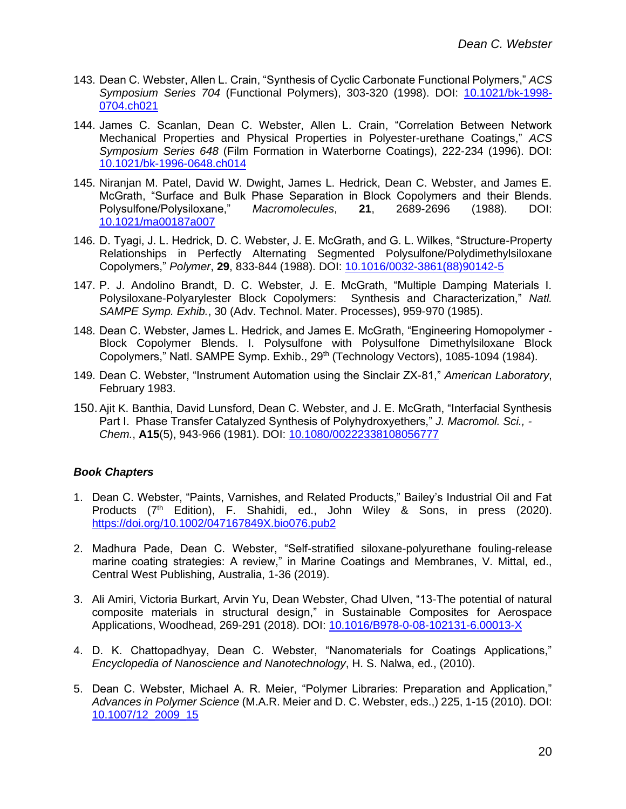- 143. Dean C. Webster, Allen L. Crain, "Synthesis of Cyclic Carbonate Functional Polymers," *ACS Symposium Series 704* (Functional Polymers), 303-320 (1998). DOI: [10.1021/bk-1998-](https://doi.org/10.1021/bk-1998-0704.ch021) [0704.ch021](https://doi.org/10.1021/bk-1998-0704.ch021)
- 144. James C. Scanlan, Dean C. Webster, Allen L. Crain, "Correlation Between Network Mechanical Properties and Physical Properties in Polyester-urethane Coatings," *ACS Symposium Series 648* (Film Formation in Waterborne Coatings), 222-234 (1996). DOI: [10.1021/bk-1996-0648.ch014](http://doi.org/10.1021/bk-1996-0648.ch014)
- 145. Niranjan M. Patel, David W. Dwight, James L. Hedrick, Dean C. Webster, and James E. McGrath, "Surface and Bulk Phase Separation in Block Copolymers and their Blends. Polysulfone/Polysiloxane," *Macromolecules*, **21**, 2689-2696 (1988). DOI: [10.1021/ma00187a007](http://doi.org/10.1021/ma00187a007)
- 146. D. Tyagi, J. L. Hedrick, D. C. Webster, J. E. McGrath, and G. L. Wilkes, "Structure-Property Relationships in Perfectly Alternating Segmented Polysulfone/Polydimethylsiloxane Copolymers," *Polymer*, **29**, 833-844 (1988). DOI: [10.1016/0032-3861\(88\)90142-5](https://doi.org/10.1016/0032-3861(88)90142-5)
- 147. P. J. Andolino Brandt, D. C. Webster, J. E. McGrath, "Multiple Damping Materials I. Polysiloxane-Polyarylester Block Copolymers: Synthesis and Characterization," *Natl. SAMPE Symp. Exhib.*, 30 (Adv. Technol. Mater. Processes), 959-970 (1985).
- 148. Dean C. Webster, James L. Hedrick, and James E. McGrath, "Engineering Homopolymer Block Copolymer Blends. I. Polysulfone with Polysulfone Dimethylsiloxane Block Copolymers," Natl. SAMPE Symp. Exhib., 29<sup>th</sup> (Technology Vectors), 1085-1094 (1984).
- 149. Dean C. Webster, "Instrument Automation using the Sinclair ZX-81," *American Laboratory*, February 1983.
- 150.Ajit K. Banthia, David Lunsford, Dean C. Webster, and J. E. McGrath, "Interfacial Synthesis Part I. Phase Transfer Catalyzed Synthesis of Polyhydroxyethers," *J. Macromol. Sci., - Chem.*, **A15**(5), 943-966 (1981). DOI: [10.1080/00222338108056777](https://doi.org/10.1080/00222338108056777)

## *Book Chapters*

- 1. Dean C. Webster, "Paints, Varnishes, and Related Products," Bailey's Industrial Oil and Fat Products (7th Edition), F. Shahidi, ed., John Wiley & Sons, in press (2020). <https://doi.org/10.1002/047167849X.bio076.pub2>
- 2. Madhura Pade, Dean C. Webster, "Self-stratified siloxane-polyurethane fouling-release marine coating strategies: A review," in Marine Coatings and Membranes, V. Mittal, ed., Central West Publishing, Australia, 1-36 (2019).
- 3. Ali Amiri, Victoria Burkart, Arvin Yu, Dean Webster, Chad Ulven, "13-The potential of natural composite materials in structural design," in Sustainable Composites for Aerospace Applications, Woodhead, 269-291 (2018). DOI: [10.1016/B978-0-08-102131-6.00013-X](https://doi.org/10.1016/B978-0-08-102131-6.00013-X)
- 4. D. K. Chattopadhyay, Dean C. Webster, "Nanomaterials for Coatings Applications," *Encyclopedia of Nanoscience and Nanotechnology*, H. S. Nalwa, ed., (2010).
- 5. Dean C. Webster, Michael A. R. Meier, "Polymer Libraries: Preparation and Application," *Advances in Polymer Science* (M.A.R. Meier and D. C. Webster, eds.,) 225, 1-15 (2010). DOI: [10.1007/12\\_2009\\_15](http://doi.org/10.1007/12_2009_15)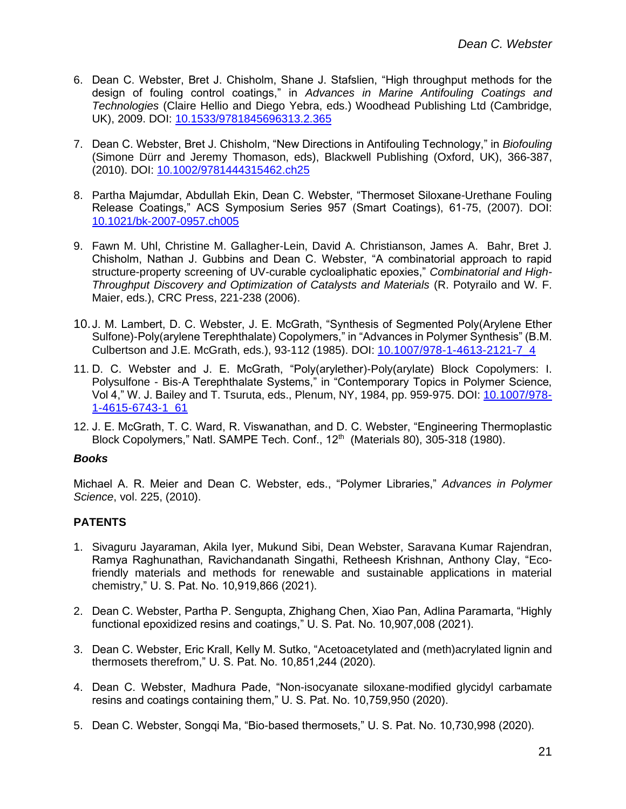- 6. Dean C. Webster, Bret J. Chisholm, Shane J. Stafslien, "High throughput methods for the design of fouling control coatings," in *Advances in Marine Antifouling Coatings and Technologies* (Claire Hellio and Diego Yebra, eds.) Woodhead Publishing Ltd (Cambridge, UK), 2009. DOI: [10.1533/9781845696313.2.365](https://doi.org/10.1533/9781845696313.2.365)
- 7. Dean C. Webster, Bret J. Chisholm, "New Directions in Antifouling Technology," in *Biofouling* (Simone Dürr and Jeremy Thomason, eds), Blackwell Publishing (Oxford, UK), 366-387, (2010). DOI: [10.1002/9781444315462.ch25](https://doi.org/10.1002/9781444315462.ch25)
- 8. Partha Majumdar, Abdullah Ekin, Dean C. Webster, "Thermoset Siloxane-Urethane Fouling Release Coatings," ACS Symposium Series 957 (Smart Coatings), 61-75, (2007). DOI: [10.1021/bk-2007-0957.ch005](http://doi.org/10.1021/bk-2007-0957.ch005)
- 9. Fawn M. Uhl, Christine M. Gallagher-Lein, David A. Christianson, James A. Bahr, Bret J. Chisholm, Nathan J. Gubbins and Dean C. Webster, "A combinatorial approach to rapid structure-property screening of UV-curable cycloaliphatic epoxies," *Combinatorial and High-Throughput Discovery and Optimization of Catalysts and Materials* (R. Potyrailo and W. F. Maier, eds.), CRC Press, 221-238 (2006).
- 10.J. M. Lambert, D. C. Webster, J. E. McGrath, "Synthesis of Segmented Poly(Arylene Ether Sulfone)-Poly(arylene Terephthalate) Copolymers," in "Advances in Polymer Synthesis" (B.M. Culbertson and J.E. McGrath, eds.), 93-112 (1985). DOI: [10.1007/978-1-4613-2121-7\\_4](https://doi.org/10.1007/978-1-4613-2121-7_4)
- 11. D. C. Webster and J. E. McGrath, "Poly(arylether)-Poly(arylate) Block Copolymers: I. Polysulfone - Bis-A Terephthalate Systems," in "Contemporary Topics in Polymer Science, Vol 4," W. J. Bailey and T. Tsuruta, eds., Plenum, NY, 1984, pp. 959-975. DOI: [10.1007/978-](https://doi.org/10.1007/978-1-4615-6743-1_61) [1-4615-6743-1\\_61](https://doi.org/10.1007/978-1-4615-6743-1_61)
- 12. J. E. McGrath, T. C. Ward, R. Viswanathan, and D. C. Webster, "Engineering Thermoplastic Block Copolymers," Natl. SAMPE Tech. Conf., 12<sup>th</sup> (Materials 80), 305-318 (1980).

## *Books*

Michael A. R. Meier and Dean C. Webster, eds., "Polymer Libraries," *Advances in Polymer Science*, vol. 225, (2010).

# **PATENTS**

- 1. Sivaguru Jayaraman, Akila Iyer, Mukund Sibi, Dean Webster, Saravana Kumar Rajendran, Ramya Raghunathan, Ravichandanath Singathi, Retheesh Krishnan, Anthony Clay, "Ecofriendly materials and methods for renewable and sustainable applications in material chemistry," U. S. Pat. No. 10,919,866 (2021).
- 2. Dean C. Webster, Partha P. Sengupta, Zhighang Chen, Xiao Pan, Adlina Paramarta, "Highly functional epoxidized resins and coatings," U. S. Pat. No. 10,907,008 (2021).
- 3. Dean C. Webster, Eric Krall, Kelly M. Sutko, "Acetoacetylated and (meth)acrylated lignin and thermosets therefrom," U. S. Pat. No. 10,851,244 (2020).
- 4. Dean C. Webster, Madhura Pade, "Non-isocyanate siloxane-modified glycidyl carbamate resins and coatings containing them," U. S. Pat. No. 10,759,950 (2020).
- 5. Dean C. Webster, Songqi Ma, "Bio-based thermosets," U. S. Pat. No. 10,730,998 (2020).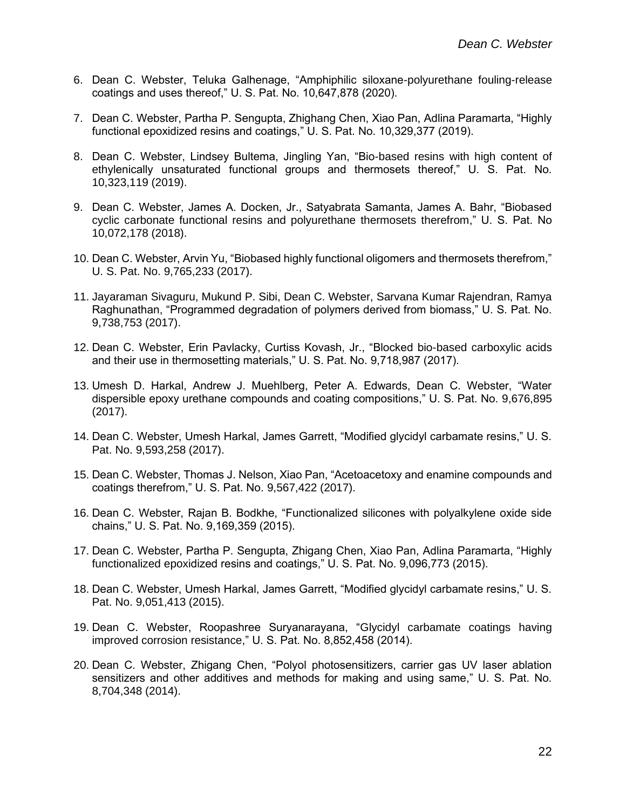- 6. Dean C. Webster, Teluka Galhenage, "Amphiphilic siloxane-polyurethane fouling-release coatings and uses thereof," U. S. Pat. No. 10,647,878 (2020).
- 7. Dean C. Webster, Partha P. Sengupta, Zhighang Chen, Xiao Pan, Adlina Paramarta, "Highly functional epoxidized resins and coatings," U. S. Pat. No. 10,329,377 (2019).
- 8. Dean C. Webster, Lindsey Bultema, Jingling Yan, "Bio-based resins with high content of ethylenically unsaturated functional groups and thermosets thereof," U. S. Pat. No. 10,323,119 (2019).
- 9. Dean C. Webster, James A. Docken, Jr., Satyabrata Samanta, James A. Bahr, "Biobased cyclic carbonate functional resins and polyurethane thermosets therefrom," U. S. Pat. No 10,072,178 (2018).
- 10. Dean C. Webster, Arvin Yu, "Biobased highly functional oligomers and thermosets therefrom," U. S. Pat. No. 9,765,233 (2017).
- 11. Jayaraman Sivaguru, Mukund P. Sibi, Dean C. Webster, Sarvana Kumar Rajendran, Ramya Raghunathan, "Programmed degradation of polymers derived from biomass," U. S. Pat. No. 9,738,753 (2017).
- 12. Dean C. Webster, Erin Pavlacky, Curtiss Kovash, Jr., "Blocked bio-based carboxylic acids and their use in thermosetting materials," U. S. Pat. No. 9,718,987 (2017).
- 13. Umesh D. Harkal, Andrew J. Muehlberg, Peter A. Edwards, Dean C. Webster, "Water dispersible epoxy urethane compounds and coating compositions," U. S. Pat. No. 9,676,895 (2017).
- 14. Dean C. Webster, Umesh Harkal, James Garrett, "Modified glycidyl carbamate resins," U. S. Pat. No. 9,593,258 (2017).
- 15. Dean C. Webster, Thomas J. Nelson, Xiao Pan, "Acetoacetoxy and enamine compounds and coatings therefrom," U. S. Pat. No. 9,567,422 (2017).
- 16. Dean C. Webster, Rajan B. Bodkhe, "Functionalized silicones with polyalkylene oxide side chains," U. S. Pat. No. 9,169,359 (2015).
- 17. Dean C. Webster, Partha P. Sengupta, Zhigang Chen, Xiao Pan, Adlina Paramarta, "Highly functionalized epoxidized resins and coatings," U. S. Pat. No. 9,096,773 (2015).
- 18. Dean C. Webster, Umesh Harkal, James Garrett, "Modified glycidyl carbamate resins," U. S. Pat. No. 9,051,413 (2015).
- 19. Dean C. Webster, Roopashree Suryanarayana, "Glycidyl carbamate coatings having improved corrosion resistance," U. S. Pat. No. 8,852,458 (2014).
- 20. Dean C. Webster, Zhigang Chen, "Polyol photosensitizers, carrier gas UV laser ablation sensitizers and other additives and methods for making and using same," U. S. Pat. No. 8,704,348 (2014).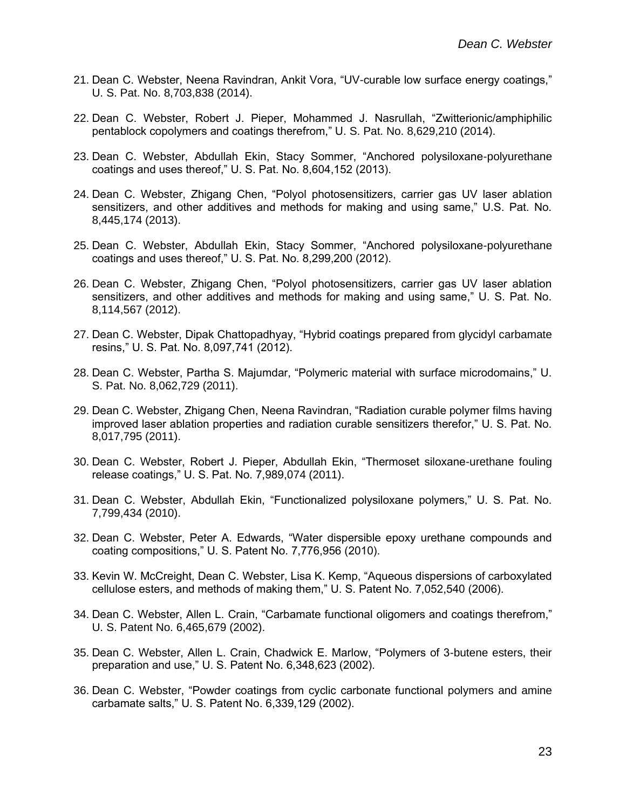- 21. Dean C. Webster, Neena Ravindran, Ankit Vora, "UV-curable low surface energy coatings," U. S. Pat. No. 8,703,838 (2014).
- 22. Dean C. Webster, Robert J. Pieper, Mohammed J. Nasrullah, "Zwitterionic/amphiphilic pentablock copolymers and coatings therefrom," U. S. Pat. No. 8,629,210 (2014).
- 23. Dean C. Webster, Abdullah Ekin, Stacy Sommer, "Anchored polysiloxane-polyurethane coatings and uses thereof," U. S. Pat. No. 8,604,152 (2013).
- 24. Dean C. Webster, Zhigang Chen, "Polyol photosensitizers, carrier gas UV laser ablation sensitizers, and other additives and methods for making and using same," U.S. Pat. No. 8,445,174 (2013).
- 25. Dean C. Webster, Abdullah Ekin, Stacy Sommer, "Anchored polysiloxane-polyurethane coatings and uses thereof," U. S. Pat. No. 8,299,200 (2012).
- 26. Dean C. Webster, Zhigang Chen, "Polyol photosensitizers, carrier gas UV laser ablation sensitizers, and other additives and methods for making and using same," U. S. Pat. No. 8,114,567 (2012).
- 27. Dean C. Webster, Dipak Chattopadhyay, "Hybrid coatings prepared from glycidyl carbamate resins," U. S. Pat. No. 8,097,741 (2012).
- 28. Dean C. Webster, Partha S. Majumdar, "Polymeric material with surface microdomains," U. S. Pat. No. 8,062,729 (2011).
- 29. Dean C. Webster, Zhigang Chen, Neena Ravindran, "Radiation curable polymer films having improved laser ablation properties and radiation curable sensitizers therefor," U. S. Pat. No. 8,017,795 (2011).
- 30. Dean C. Webster, Robert J. Pieper, Abdullah Ekin, "Thermoset siloxane-urethane fouling release coatings," U. S. Pat. No. 7,989,074 (2011).
- 31. Dean C. Webster, Abdullah Ekin, "Functionalized polysiloxane polymers," U. S. Pat. No. 7,799,434 (2010).
- 32. Dean C. Webster, Peter A. Edwards, "Water dispersible epoxy urethane compounds and coating compositions," U. S. Patent No. 7,776,956 (2010).
- 33. Kevin W. McCreight, Dean C. Webster, Lisa K. Kemp, "Aqueous dispersions of carboxylated cellulose esters, and methods of making them," U. S. Patent No. 7,052,540 (2006).
- 34. Dean C. Webster, Allen L. Crain, "Carbamate functional oligomers and coatings therefrom," U. S. Patent No. 6,465,679 (2002).
- 35. Dean C. Webster, Allen L. Crain, Chadwick E. Marlow, "Polymers of 3-butene esters, their preparation and use," U. S. Patent No. 6,348,623 (2002).
- 36. Dean C. Webster, "Powder coatings from cyclic carbonate functional polymers and amine carbamate salts," U. S. Patent No. 6,339,129 (2002).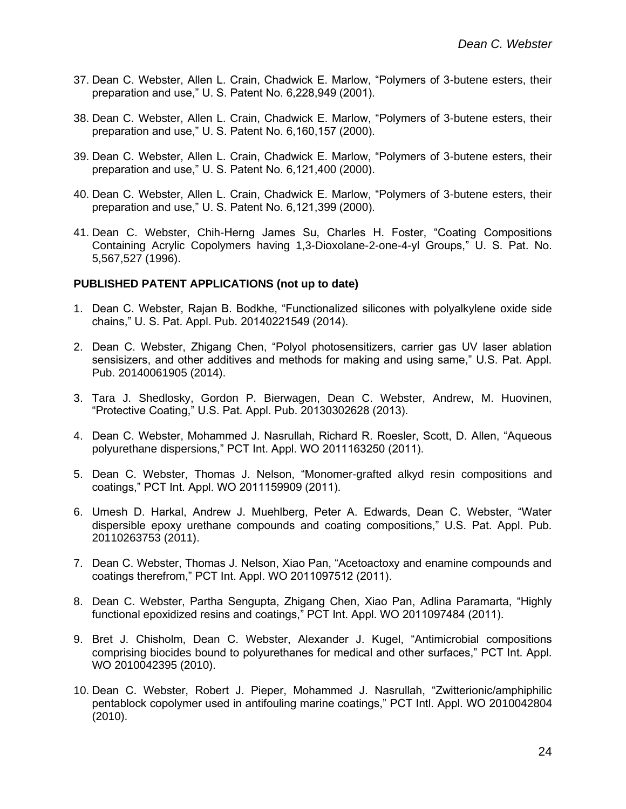- 37. Dean C. Webster, Allen L. Crain, Chadwick E. Marlow, "Polymers of 3-butene esters, their preparation and use," U. S. Patent No. 6,228,949 (2001).
- 38. Dean C. Webster, Allen L. Crain, Chadwick E. Marlow, "Polymers of 3-butene esters, their preparation and use," U. S. Patent No. 6,160,157 (2000).
- 39. Dean C. Webster, Allen L. Crain, Chadwick E. Marlow, "Polymers of 3-butene esters, their preparation and use," U. S. Patent No. 6,121,400 (2000).
- 40. Dean C. Webster, Allen L. Crain, Chadwick E. Marlow, "Polymers of 3-butene esters, their preparation and use," U. S. Patent No. 6,121,399 (2000).
- 41. Dean C. Webster, Chih-Herng James Su, Charles H. Foster, "Coating Compositions Containing Acrylic Copolymers having 1,3-Dioxolane-2-one-4-yl Groups," U. S. Pat. No. 5,567,527 (1996).

#### **PUBLISHED PATENT APPLICATIONS (not up to date)**

- 1. Dean C. Webster, Rajan B. Bodkhe, "Functionalized silicones with polyalkylene oxide side chains," U. S. Pat. Appl. Pub. 20140221549 (2014).
- 2. Dean C. Webster, Zhigang Chen, "Polyol photosensitizers, carrier gas UV laser ablation sensisizers, and other additives and methods for making and using same," U.S. Pat. Appl. Pub. 20140061905 (2014).
- 3. Tara J. Shedlosky, Gordon P. Bierwagen, Dean C. Webster, Andrew, M. Huovinen, "Protective Coating," U.S. Pat. Appl. Pub. 20130302628 (2013).
- 4. Dean C. Webster, Mohammed J. Nasrullah, Richard R. Roesler, Scott, D. Allen, "Aqueous polyurethane dispersions," PCT Int. Appl. WO 2011163250 (2011).
- 5. Dean C. Webster, Thomas J. Nelson, "Monomer-grafted alkyd resin compositions and coatings," PCT Int. Appl. WO 2011159909 (2011).
- 6. Umesh D. Harkal, Andrew J. Muehlberg, Peter A. Edwards, Dean C. Webster, "Water dispersible epoxy urethane compounds and coating compositions," U.S. Pat. Appl. Pub. 20110263753 (2011).
- 7. Dean C. Webster, Thomas J. Nelson, Xiao Pan, "Acetoactoxy and enamine compounds and coatings therefrom," PCT Int. Appl. WO 2011097512 (2011).
- 8. Dean C. Webster, Partha Sengupta, Zhigang Chen, Xiao Pan, Adlina Paramarta, "Highly functional epoxidized resins and coatings," PCT Int. Appl. WO 2011097484 (2011).
- 9. Bret J. Chisholm, Dean C. Webster, Alexander J. Kugel, "Antimicrobial compositions comprising biocides bound to polyurethanes for medical and other surfaces," PCT Int. Appl. WO 2010042395 (2010).
- 10. Dean C. Webster, Robert J. Pieper, Mohammed J. Nasrullah, "Zwitterionic/amphiphilic pentablock copolymer used in antifouling marine coatings," PCT Intl. Appl. WO 2010042804 (2010).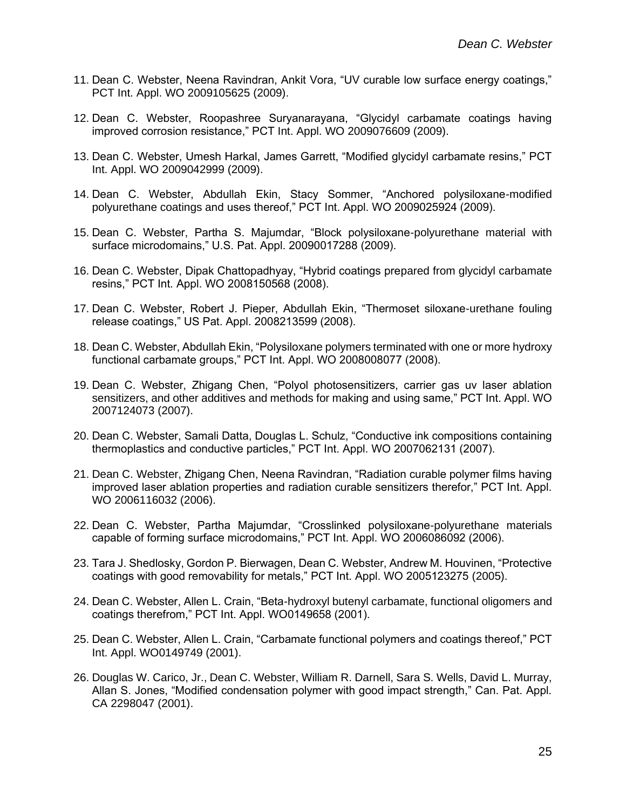- 11. Dean C. Webster, Neena Ravindran, Ankit Vora, "UV curable low surface energy coatings," PCT Int. Appl. WO 2009105625 (2009).
- 12. Dean C. Webster, Roopashree Suryanarayana, "Glycidyl carbamate coatings having improved corrosion resistance," PCT Int. Appl. WO 2009076609 (2009).
- 13. Dean C. Webster, Umesh Harkal, James Garrett, "Modified glycidyl carbamate resins," PCT Int. Appl. WO 2009042999 (2009).
- 14. Dean C. Webster, Abdullah Ekin, Stacy Sommer, "Anchored polysiloxane-modified polyurethane coatings and uses thereof," PCT Int. Appl. WO 2009025924 (2009).
- 15. Dean C. Webster, Partha S. Majumdar, "Block polysiloxane-polyurethane material with surface microdomains," U.S. Pat. Appl. 20090017288 (2009).
- 16. Dean C. Webster, Dipak Chattopadhyay, "Hybrid coatings prepared from glycidyl carbamate resins," PCT Int. Appl. WO 2008150568 (2008).
- 17. Dean C. Webster, Robert J. Pieper, Abdullah Ekin, "Thermoset siloxane-urethane fouling release coatings," US Pat. Appl. 2008213599 (2008).
- 18. Dean C. Webster, Abdullah Ekin, "Polysiloxane polymers terminated with one or more hydroxy functional carbamate groups," PCT Int. Appl. WO 2008008077 (2008).
- 19. Dean C. Webster, Zhigang Chen, "Polyol photosensitizers, carrier gas uv laser ablation sensitizers, and other additives and methods for making and using same," PCT Int. Appl. WO 2007124073 (2007).
- 20. Dean C. Webster, Samali Datta, Douglas L. Schulz, "Conductive ink compositions containing thermoplastics and conductive particles," PCT Int. Appl. WO 2007062131 (2007).
- 21. Dean C. Webster, Zhigang Chen, Neena Ravindran, "Radiation curable polymer films having improved laser ablation properties and radiation curable sensitizers therefor," PCT Int. Appl. WO 2006116032 (2006).
- 22. Dean C. Webster, Partha Majumdar, "Crosslinked polysiloxane-polyurethane materials capable of forming surface microdomains," PCT Int. Appl. WO 2006086092 (2006).
- 23. Tara J. Shedlosky, Gordon P. Bierwagen, Dean C. Webster, Andrew M. Houvinen, "Protective coatings with good removability for metals," PCT Int. Appl. WO 2005123275 (2005).
- 24. Dean C. Webster, Allen L. Crain, "Beta-hydroxyl butenyl carbamate, functional oligomers and coatings therefrom," PCT Int. Appl. WO0149658 (2001).
- 25. Dean C. Webster, Allen L. Crain, "Carbamate functional polymers and coatings thereof," PCT Int. Appl. WO0149749 (2001).
- 26. Douglas W. Carico, Jr., Dean C. Webster, William R. Darnell, Sara S. Wells, David L. Murray, Allan S. Jones, "Modified condensation polymer with good impact strength," Can. Pat. Appl. CA 2298047 (2001).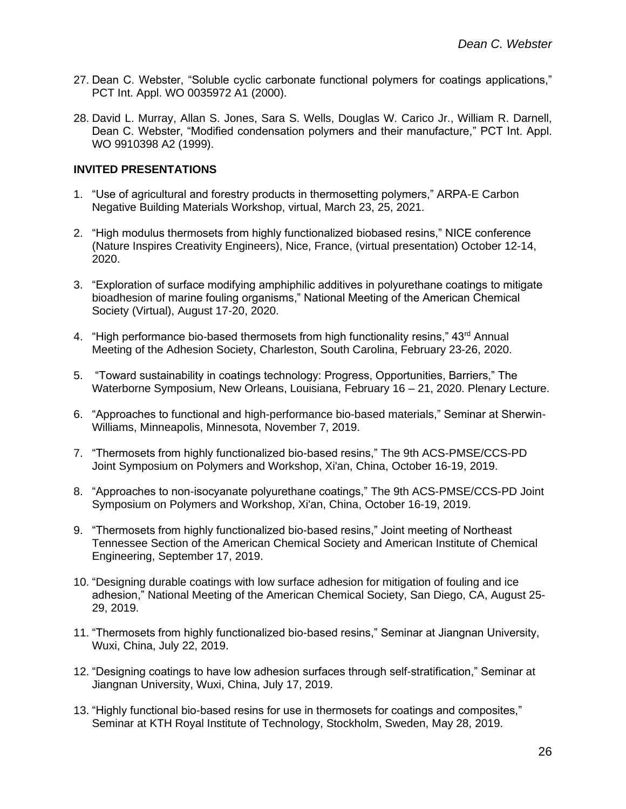- 27. Dean C. Webster, "Soluble cyclic carbonate functional polymers for coatings applications," PCT Int. Appl. WO 0035972 A1 (2000).
- 28. David L. Murray, Allan S. Jones, Sara S. Wells, Douglas W. Carico Jr., William R. Darnell, Dean C. Webster, "Modified condensation polymers and their manufacture," PCT Int. Appl. WO 9910398 A2 (1999).

## **INVITED PRESENTATIONS**

- 1. "Use of agricultural and forestry products in thermosetting polymers," ARPA-E Carbon Negative Building Materials Workshop, virtual, March 23, 25, 2021.
- 2. "High modulus thermosets from highly functionalized biobased resins," NICE conference (Nature Inspires Creativity Engineers), Nice, France, (virtual presentation) October 12-14, 2020.
- 3. "Exploration of surface modifying amphiphilic additives in polyurethane coatings to mitigate bioadhesion of marine fouling organisms," National Meeting of the American Chemical Society (Virtual), August 17-20, 2020.
- 4. "High performance bio-based thermosets from high functionality resins," 43<sup>rd</sup> Annual Meeting of the Adhesion Society, Charleston, South Carolina, February 23-26, 2020.
- 5. "Toward sustainability in coatings technology: Progress, Opportunities, Barriers," The Waterborne Symposium, New Orleans, Louisiana, February 16 – 21, 2020. Plenary Lecture.
- 6. "Approaches to functional and high-performance bio-based materials," Seminar at Sherwin-Williams, Minneapolis, Minnesota, November 7, 2019.
- 7. "Thermosets from highly functionalized bio-based resins," The 9th ACS-PMSE/CCS-PD Joint Symposium on Polymers and Workshop, Xi'an, China, October 16-19, 2019.
- 8. "Approaches to non-isocyanate polyurethane coatings," The 9th ACS-PMSE/CCS-PD Joint Symposium on Polymers and Workshop, Xi'an, China, October 16-19, 2019.
- 9. "Thermosets from highly functionalized bio-based resins," Joint meeting of Northeast Tennessee Section of the American Chemical Society and American Institute of Chemical Engineering, September 17, 2019.
- 10. "Designing durable coatings with low surface adhesion for mitigation of fouling and ice adhesion," National Meeting of the American Chemical Society, San Diego, CA, August 25- 29, 2019.
- 11. "Thermosets from highly functionalized bio-based resins," Seminar at Jiangnan University, Wuxi, China, July 22, 2019.
- 12. "Designing coatings to have low adhesion surfaces through self-stratification," Seminar at Jiangnan University, Wuxi, China, July 17, 2019.
- 13. "Highly functional bio-based resins for use in thermosets for coatings and composites," Seminar at KTH Royal Institute of Technology, Stockholm, Sweden, May 28, 2019.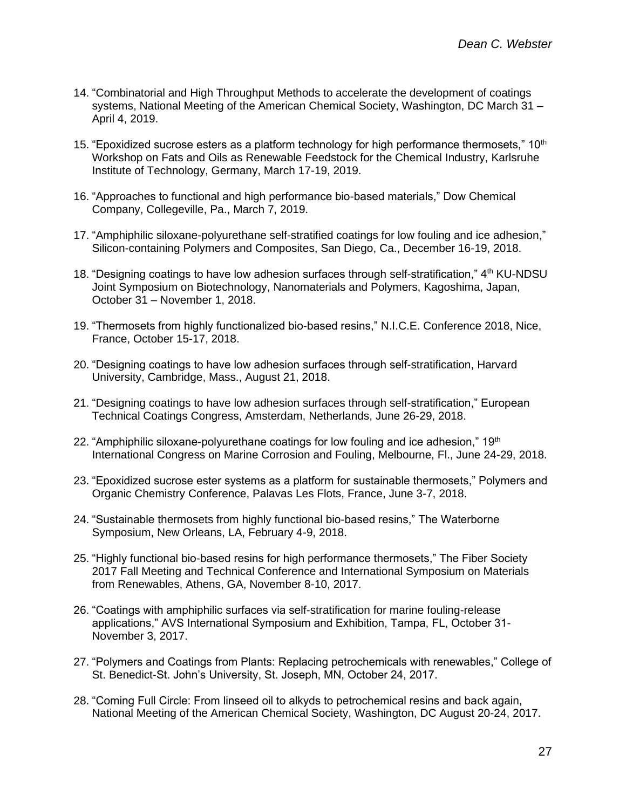- 14. "Combinatorial and High Throughput Methods to accelerate the development of coatings systems, National Meeting of the American Chemical Society, Washington, DC March 31 – April 4, 2019.
- 15. "Epoxidized sucrose esters as a platform technology for high performance thermosets,"  $10<sup>th</sup>$ Workshop on Fats and Oils as Renewable Feedstock for the Chemical Industry, Karlsruhe Institute of Technology, Germany, March 17-19, 2019.
- 16. "Approaches to functional and high performance bio-based materials," Dow Chemical Company, Collegeville, Pa., March 7, 2019.
- 17. "Amphiphilic siloxane-polyurethane self-stratified coatings for low fouling and ice adhesion," Silicon-containing Polymers and Composites, San Diego, Ca., December 16-19, 2018.
- 18. "Designing coatings to have low adhesion surfaces through self-stratification," 4<sup>th</sup> KU-NDSU Joint Symposium on Biotechnology, Nanomaterials and Polymers, Kagoshima, Japan, October 31 – November 1, 2018.
- 19. "Thermosets from highly functionalized bio-based resins," N.I.C.E. Conference 2018, Nice, France, October 15-17, 2018.
- 20. "Designing coatings to have low adhesion surfaces through self-stratification, Harvard University, Cambridge, Mass., August 21, 2018.
- 21. "Designing coatings to have low adhesion surfaces through self-stratification," European Technical Coatings Congress, Amsterdam, Netherlands, June 26-29, 2018.
- 22. "Amphiphilic siloxane-polyurethane coatings for low fouling and ice adhesion,"  $19<sup>th</sup>$ International Congress on Marine Corrosion and Fouling, Melbourne, Fl., June 24-29, 2018.
- 23. "Epoxidized sucrose ester systems as a platform for sustainable thermosets," Polymers and Organic Chemistry Conference, Palavas Les Flots, France, June 3-7, 2018.
- 24. "Sustainable thermosets from highly functional bio-based resins," The Waterborne Symposium, New Orleans, LA, February 4-9, 2018.
- 25. "Highly functional bio-based resins for high performance thermosets," The Fiber Society 2017 Fall Meeting and Technical Conference and International Symposium on Materials from Renewables, Athens, GA, November 8-10, 2017.
- 26. "Coatings with amphiphilic surfaces via self-stratification for marine fouling-release applications," AVS International Symposium and Exhibition, Tampa, FL, October 31- November 3, 2017.
- 27. "Polymers and Coatings from Plants: Replacing petrochemicals with renewables," College of St. Benedict-St. John's University, St. Joseph, MN, October 24, 2017.
- 28. "Coming Full Circle: From linseed oil to alkyds to petrochemical resins and back again, National Meeting of the American Chemical Society, Washington, DC August 20-24, 2017.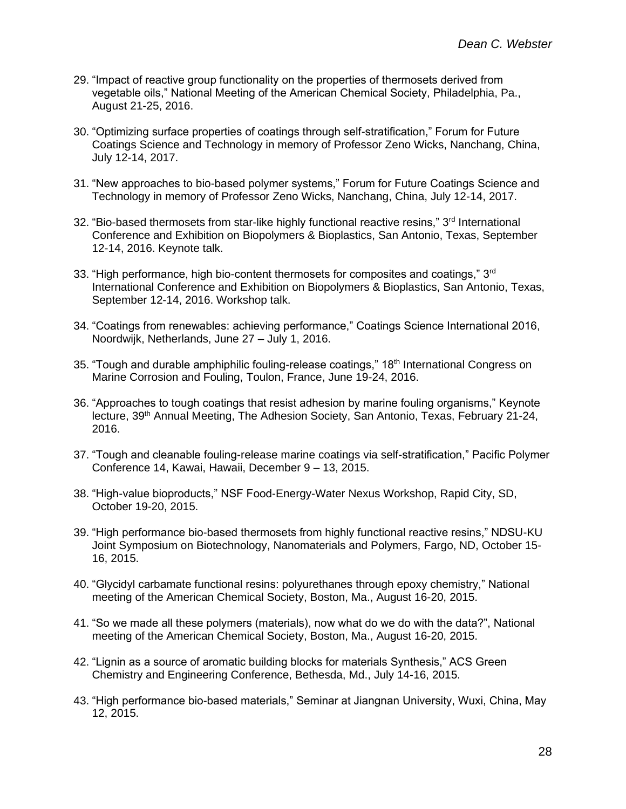- 29. "Impact of reactive group functionality on the properties of thermosets derived from vegetable oils," National Meeting of the American Chemical Society, Philadelphia, Pa., August 21-25, 2016.
- 30. "Optimizing surface properties of coatings through self-stratification," Forum for Future Coatings Science and Technology in memory of Professor Zeno Wicks, Nanchang, China, July 12-14, 2017.
- 31. "New approaches to bio-based polymer systems," Forum for Future Coatings Science and Technology in memory of Professor Zeno Wicks, Nanchang, China, July 12-14, 2017.
- 32. "Bio-based thermosets from star-like highly functional reactive resins," 3<sup>rd</sup> International Conference and Exhibition on Biopolymers & Bioplastics, San Antonio, Texas, September 12-14, 2016. Keynote talk.
- 33. "High performance, high bio-content thermosets for composites and coatings,"  $3<sup>rd</sup>$ International Conference and Exhibition on Biopolymers & Bioplastics, San Antonio, Texas, September 12-14, 2016. Workshop talk.
- 34. "Coatings from renewables: achieving performance," Coatings Science International 2016, Noordwijk, Netherlands, June 27 – July 1, 2016.
- 35. "Tough and durable amphiphilic fouling-release coatings,"  $18<sup>th</sup>$  International Congress on Marine Corrosion and Fouling, Toulon, France, June 19-24, 2016.
- 36. "Approaches to tough coatings that resist adhesion by marine fouling organisms," Keynote lecture, 39<sup>th</sup> Annual Meeting, The Adhesion Society, San Antonio, Texas, February 21-24, 2016.
- 37. "Tough and cleanable fouling-release marine coatings via self-stratification," Pacific Polymer Conference 14, Kawai, Hawaii, December 9 – 13, 2015.
- 38. "High-value bioproducts," NSF Food-Energy-Water Nexus Workshop, Rapid City, SD, October 19-20, 2015.
- 39. "High performance bio-based thermosets from highly functional reactive resins," NDSU-KU Joint Symposium on Biotechnology, Nanomaterials and Polymers, Fargo, ND, October 15- 16, 2015.
- 40. "Glycidyl carbamate functional resins: polyurethanes through epoxy chemistry," National meeting of the American Chemical Society, Boston, Ma., August 16-20, 2015.
- 41. "So we made all these polymers (materials), now what do we do with the data?", National meeting of the American Chemical Society, Boston, Ma., August 16-20, 2015.
- 42. "Lignin as a source of aromatic building blocks for materials Synthesis," ACS Green Chemistry and Engineering Conference, Bethesda, Md., July 14-16, 2015.
- 43. "High performance bio-based materials," Seminar at Jiangnan University, Wuxi, China, May 12, 2015.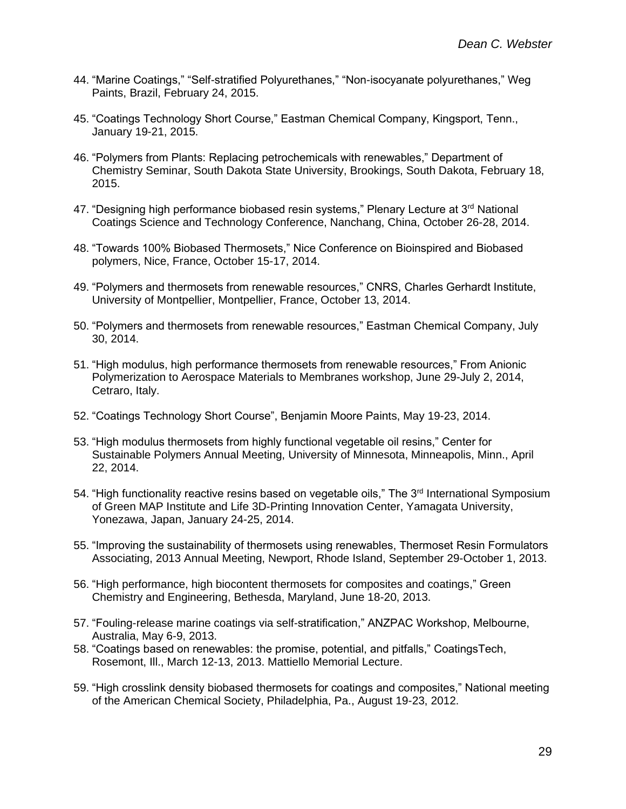- 44. "Marine Coatings," "Self-stratified Polyurethanes," "Non-isocyanate polyurethanes," Weg Paints, Brazil, February 24, 2015.
- 45. "Coatings Technology Short Course," Eastman Chemical Company, Kingsport, Tenn., January 19-21, 2015.
- 46. "Polymers from Plants: Replacing petrochemicals with renewables," Department of Chemistry Seminar, South Dakota State University, Brookings, South Dakota, February 18, 2015.
- 47. "Designing high performance biobased resin systems," Plenary Lecture at 3<sup>rd</sup> National Coatings Science and Technology Conference, Nanchang, China, October 26-28, 2014.
- 48. "Towards 100% Biobased Thermosets," Nice Conference on Bioinspired and Biobased polymers, Nice, France, October 15-17, 2014.
- 49. "Polymers and thermosets from renewable resources," CNRS, Charles Gerhardt Institute, University of Montpellier, Montpellier, France, October 13, 2014.
- 50. "Polymers and thermosets from renewable resources," Eastman Chemical Company, July 30, 2014.
- 51. "High modulus, high performance thermosets from renewable resources," From Anionic Polymerization to Aerospace Materials to Membranes workshop, June 29-July 2, 2014, Cetraro, Italy.
- 52. "Coatings Technology Short Course", Benjamin Moore Paints, May 19-23, 2014.
- 53. "High modulus thermosets from highly functional vegetable oil resins," Center for Sustainable Polymers Annual Meeting, University of Minnesota, Minneapolis, Minn., April 22, 2014.
- 54. "High functionality reactive resins based on vegetable oils," The 3<sup>rd</sup> International Symposium of Green MAP Institute and Life 3D-Printing Innovation Center, Yamagata University, Yonezawa, Japan, January 24-25, 2014.
- 55. "Improving the sustainability of thermosets using renewables, Thermoset Resin Formulators Associating, 2013 Annual Meeting, Newport, Rhode Island, September 29-October 1, 2013.
- 56. "High performance, high biocontent thermosets for composites and coatings," Green Chemistry and Engineering, Bethesda, Maryland, June 18-20, 2013.
- 57. "Fouling-release marine coatings via self-stratification," ANZPAC Workshop, Melbourne, Australia, May 6-9, 2013.
- 58. "Coatings based on renewables: the promise, potential, and pitfalls," CoatingsTech, Rosemont, Ill., March 12-13, 2013. Mattiello Memorial Lecture.
- 59. "High crosslink density biobased thermosets for coatings and composites," National meeting of the American Chemical Society, Philadelphia, Pa., August 19-23, 2012.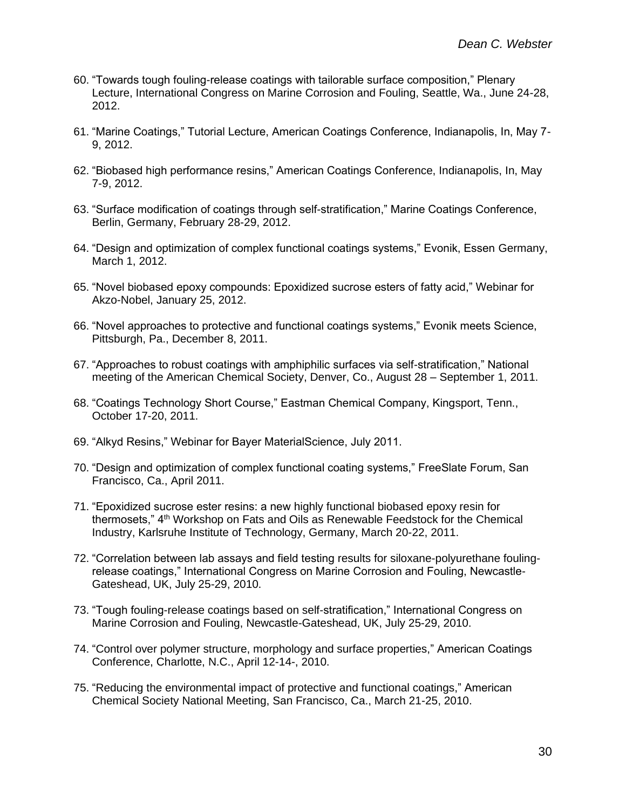- 60. "Towards tough fouling-release coatings with tailorable surface composition," Plenary Lecture, International Congress on Marine Corrosion and Fouling, Seattle, Wa., June 24-28, 2012.
- 61. "Marine Coatings," Tutorial Lecture, American Coatings Conference, Indianapolis, In, May 7- 9, 2012.
- 62. "Biobased high performance resins," American Coatings Conference, Indianapolis, In, May 7-9, 2012.
- 63. "Surface modification of coatings through self-stratification," Marine Coatings Conference, Berlin, Germany, February 28-29, 2012.
- 64. "Design and optimization of complex functional coatings systems," Evonik, Essen Germany, March 1, 2012.
- 65. "Novel biobased epoxy compounds: Epoxidized sucrose esters of fatty acid," Webinar for Akzo-Nobel, January 25, 2012.
- 66. "Novel approaches to protective and functional coatings systems," Evonik meets Science, Pittsburgh, Pa., December 8, 2011.
- 67. "Approaches to robust coatings with amphiphilic surfaces via self-stratification," National meeting of the American Chemical Society, Denver, Co., August 28 – September 1, 2011.
- 68. "Coatings Technology Short Course," Eastman Chemical Company, Kingsport, Tenn., October 17-20, 2011.
- 69. "Alkyd Resins," Webinar for Bayer MaterialScience, July 2011.
- 70. "Design and optimization of complex functional coating systems," FreeSlate Forum, San Francisco, Ca., April 2011.
- 71. "Epoxidized sucrose ester resins: a new highly functional biobased epoxy resin for thermosets," 4<sup>th</sup> Workshop on Fats and Oils as Renewable Feedstock for the Chemical Industry, Karlsruhe Institute of Technology, Germany, March 20-22, 2011.
- 72. "Correlation between lab assays and field testing results for siloxane-polyurethane foulingrelease coatings," International Congress on Marine Corrosion and Fouling, Newcastle-Gateshead, UK, July 25-29, 2010.
- 73. "Tough fouling-release coatings based on self-stratification," International Congress on Marine Corrosion and Fouling, Newcastle-Gateshead, UK, July 25-29, 2010.
- 74. "Control over polymer structure, morphology and surface properties," American Coatings Conference, Charlotte, N.C., April 12-14-, 2010.
- 75. "Reducing the environmental impact of protective and functional coatings," American Chemical Society National Meeting, San Francisco, Ca., March 21-25, 2010.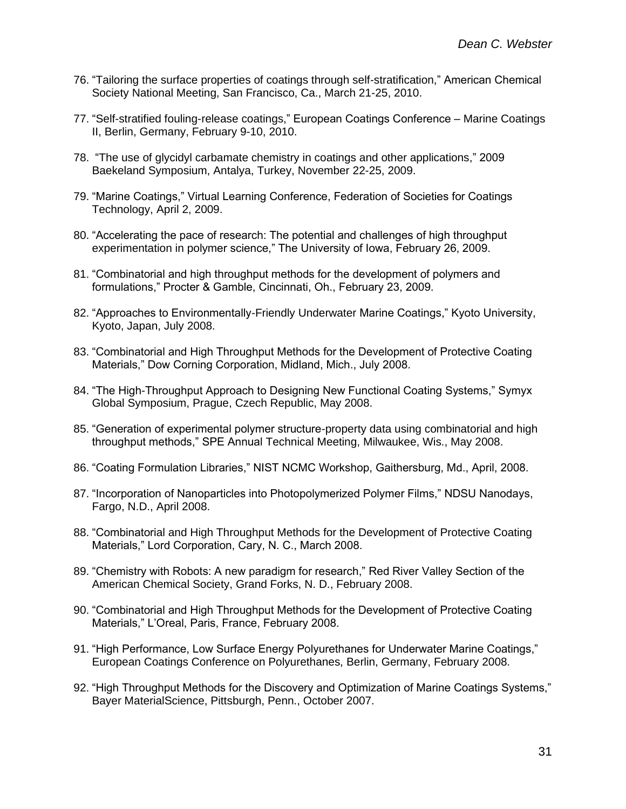- 76. "Tailoring the surface properties of coatings through self-stratification," American Chemical Society National Meeting, San Francisco, Ca., March 21-25, 2010.
- 77. "Self-stratified fouling-release coatings," European Coatings Conference Marine Coatings II, Berlin, Germany, February 9-10, 2010.
- 78. "The use of glycidyl carbamate chemistry in coatings and other applications," 2009 Baekeland Symposium, Antalya, Turkey, November 22-25, 2009.
- 79. "Marine Coatings," Virtual Learning Conference, Federation of Societies for Coatings Technology, April 2, 2009.
- 80. "Accelerating the pace of research: The potential and challenges of high throughput experimentation in polymer science," The University of Iowa, February 26, 2009.
- 81. "Combinatorial and high throughput methods for the development of polymers and formulations," Procter & Gamble, Cincinnati, Oh., February 23, 2009.
- 82. "Approaches to Environmentally-Friendly Underwater Marine Coatings," Kyoto University, Kyoto, Japan, July 2008.
- 83. "Combinatorial and High Throughput Methods for the Development of Protective Coating Materials," Dow Corning Corporation, Midland, Mich., July 2008.
- 84. "The High-Throughput Approach to Designing New Functional Coating Systems," Symyx Global Symposium, Prague, Czech Republic, May 2008.
- 85. "Generation of experimental polymer structure-property data using combinatorial and high throughput methods," SPE Annual Technical Meeting, Milwaukee, Wis., May 2008.
- 86. "Coating Formulation Libraries," NIST NCMC Workshop, Gaithersburg, Md., April, 2008.
- 87. "Incorporation of Nanoparticles into Photopolymerized Polymer Films," NDSU Nanodays, Fargo, N.D., April 2008.
- 88. "Combinatorial and High Throughput Methods for the Development of Protective Coating Materials," Lord Corporation, Cary, N. C., March 2008.
- 89. "Chemistry with Robots: A new paradigm for research," Red River Valley Section of the American Chemical Society, Grand Forks, N. D., February 2008.
- 90. "Combinatorial and High Throughput Methods for the Development of Protective Coating Materials," L'Oreal, Paris, France, February 2008.
- 91. "High Performance, Low Surface Energy Polyurethanes for Underwater Marine Coatings," European Coatings Conference on Polyurethanes, Berlin, Germany, February 2008.
- 92. "High Throughput Methods for the Discovery and Optimization of Marine Coatings Systems," Bayer MaterialScience, Pittsburgh, Penn., October 2007.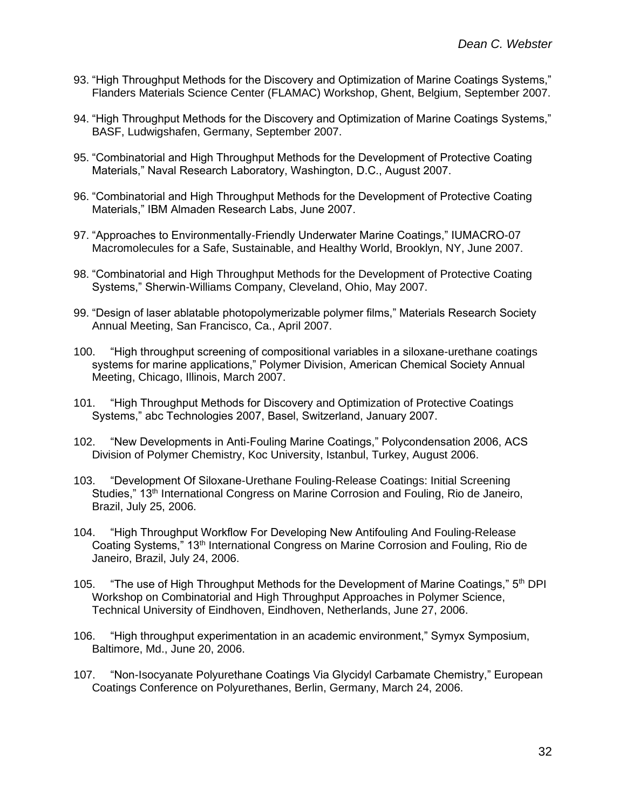- 93. "High Throughput Methods for the Discovery and Optimization of Marine Coatings Systems," Flanders Materials Science Center (FLAMAC) Workshop, Ghent, Belgium, September 2007.
- 94. "High Throughput Methods for the Discovery and Optimization of Marine Coatings Systems," BASF, Ludwigshafen, Germany, September 2007.
- 95. "Combinatorial and High Throughput Methods for the Development of Protective Coating Materials," Naval Research Laboratory, Washington, D.C., August 2007.
- 96. "Combinatorial and High Throughput Methods for the Development of Protective Coating Materials," IBM Almaden Research Labs, June 2007.
- 97. "Approaches to Environmentally-Friendly Underwater Marine Coatings," IUMACRO-07 Macromolecules for a Safe, Sustainable, and Healthy World, Brooklyn, NY, June 2007.
- 98. "Combinatorial and High Throughput Methods for the Development of Protective Coating Systems," Sherwin-Williams Company, Cleveland, Ohio, May 2007.
- 99. "Design of laser ablatable photopolymerizable polymer films," Materials Research Society Annual Meeting, San Francisco, Ca., April 2007.
- 100. "High throughput screening of compositional variables in a siloxane-urethane coatings systems for marine applications," Polymer Division, American Chemical Society Annual Meeting, Chicago, Illinois, March 2007.
- 101. "High Throughput Methods for Discovery and Optimization of Protective Coatings Systems," abc Technologies 2007, Basel, Switzerland, January 2007.
- 102. "New Developments in Anti-Fouling Marine Coatings," Polycondensation 2006, ACS Division of Polymer Chemistry, Koc University, Istanbul, Turkey, August 2006.
- 103. "Development Of Siloxane-Urethane Fouling-Release Coatings: Initial Screening Studies," 13th International Congress on Marine Corrosion and Fouling, Rio de Janeiro, Brazil, July 25, 2006.
- 104. "High Throughput Workflow For Developing New Antifouling And Fouling-Release Coating Systems," 13<sup>th</sup> International Congress on Marine Corrosion and Fouling, Rio de Janeiro, Brazil, July 24, 2006.
- 105. "The use of High Throughput Methods for the Development of Marine Coatings," 5<sup>th</sup> DPI Workshop on Combinatorial and High Throughput Approaches in Polymer Science, Technical University of Eindhoven, Eindhoven, Netherlands, June 27, 2006.
- 106. "High throughput experimentation in an academic environment," Symyx Symposium, Baltimore, Md., June 20, 2006.
- 107. "Non-Isocyanate Polyurethane Coatings Via Glycidyl Carbamate Chemistry," European Coatings Conference on Polyurethanes, Berlin, Germany, March 24, 2006.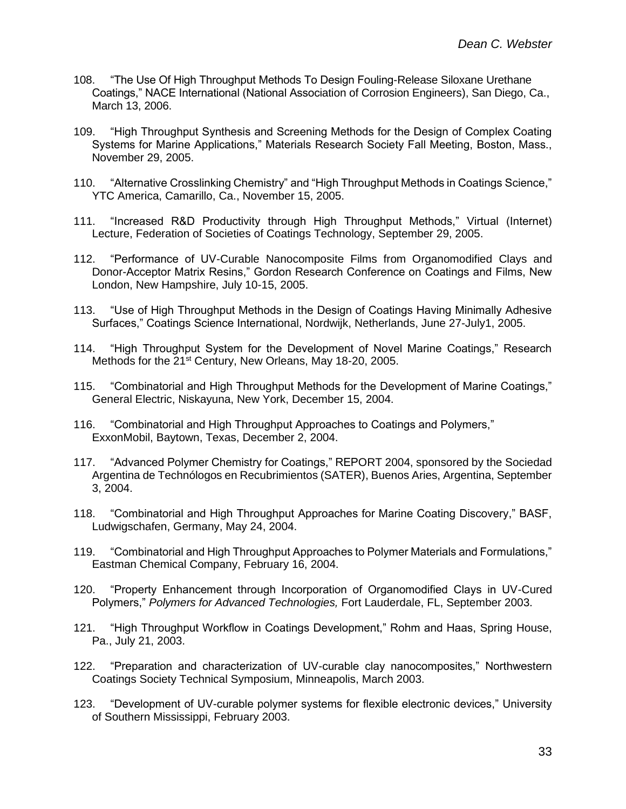- 108. "The Use Of High Throughput Methods To Design Fouling-Release Siloxane Urethane Coatings," NACE International (National Association of Corrosion Engineers), San Diego, Ca., March 13, 2006.
- 109. "High Throughput Synthesis and Screening Methods for the Design of Complex Coating Systems for Marine Applications," Materials Research Society Fall Meeting, Boston, Mass., November 29, 2005.
- 110. "Alternative Crosslinking Chemistry" and "High Throughput Methods in Coatings Science," YTC America, Camarillo, Ca., November 15, 2005.
- 111. "Increased R&D Productivity through High Throughput Methods," Virtual (Internet) Lecture, Federation of Societies of Coatings Technology, September 29, 2005.
- 112. "Performance of UV-Curable Nanocomposite Films from Organomodified Clays and Donor-Acceptor Matrix Resins," Gordon Research Conference on Coatings and Films, New London, New Hampshire, July 10-15, 2005.
- 113. "Use of High Throughput Methods in the Design of Coatings Having Minimally Adhesive Surfaces," Coatings Science International, Nordwijk, Netherlands, June 27-July1, 2005.
- 114. "High Throughput System for the Development of Novel Marine Coatings," Research Methods for the 21<sup>st</sup> Century, New Orleans, May 18-20, 2005.
- 115. "Combinatorial and High Throughput Methods for the Development of Marine Coatings," General Electric, Niskayuna, New York, December 15, 2004.
- 116. "Combinatorial and High Throughput Approaches to Coatings and Polymers," ExxonMobil, Baytown, Texas, December 2, 2004.
- 117. "Advanced Polymer Chemistry for Coatings," REPORT 2004, sponsored by the Sociedad Argentina de Technólogos en Recubrimientos (SATER), Buenos Aries, Argentina, September 3, 2004.
- 118. "Combinatorial and High Throughput Approaches for Marine Coating Discovery," BASF, Ludwigschafen, Germany, May 24, 2004.
- 119. "Combinatorial and High Throughput Approaches to Polymer Materials and Formulations," Eastman Chemical Company, February 16, 2004.
- 120. "Property Enhancement through Incorporation of Organomodified Clays in UV-Cured Polymers," *Polymers for Advanced Technologies,* Fort Lauderdale, FL, September 2003.
- 121. "High Throughput Workflow in Coatings Development," Rohm and Haas, Spring House, Pa., July 21, 2003.
- 122. "Preparation and characterization of UV-curable clay nanocomposites," Northwestern Coatings Society Technical Symposium, Minneapolis, March 2003.
- 123. "Development of UV-curable polymer systems for flexible electronic devices," University of Southern Mississippi, February 2003.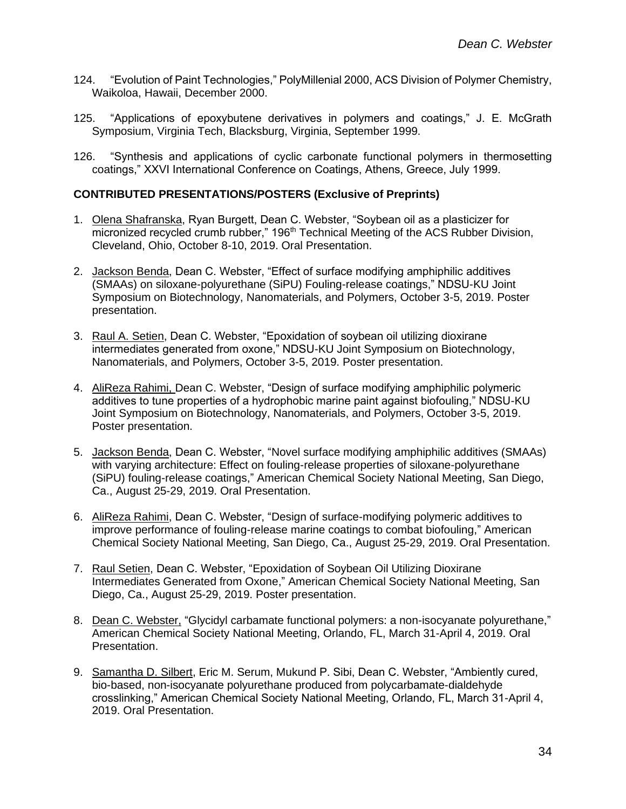- 124. "Evolution of Paint Technologies," PolyMillenial 2000, ACS Division of Polymer Chemistry, Waikoloa, Hawaii, December 2000.
- 125. "Applications of epoxybutene derivatives in polymers and coatings," J. E. McGrath Symposium, Virginia Tech, Blacksburg, Virginia, September 1999.
- 126. "Synthesis and applications of cyclic carbonate functional polymers in thermosetting coatings," XXVI International Conference on Coatings, Athens, Greece, July 1999.

#### **CONTRIBUTED PRESENTATIONS/POSTERS (Exclusive of Preprints)**

- 1. Olena Shafranska, Ryan Burgett, Dean C. Webster, "Soybean oil as a plasticizer for micronized recycled crumb rubber," 196<sup>th</sup> Technical Meeting of the ACS Rubber Division, Cleveland, Ohio, October 8-10, 2019. Oral Presentation.
- 2. Jackson Benda, Dean C. Webster, "Effect of surface modifying amphiphilic additives (SMAAs) on siloxane-polyurethane (SiPU) Fouling-release coatings," NDSU-KU Joint Symposium on Biotechnology, Nanomaterials, and Polymers, October 3-5, 2019. Poster presentation.
- 3. Raul A. Setien, Dean C. Webster, "Epoxidation of soybean oil utilizing dioxirane intermediates generated from oxone," NDSU-KU Joint Symposium on Biotechnology, Nanomaterials, and Polymers, October 3-5, 2019. Poster presentation.
- 4. AliReza Rahimi, Dean C. Webster, "Design of surface modifying amphiphilic polymeric additives to tune properties of a hydrophobic marine paint against biofouling," NDSU-KU Joint Symposium on Biotechnology, Nanomaterials, and Polymers, October 3-5, 2019. Poster presentation.
- 5. Jackson Benda, Dean C. Webster, "Novel surface modifying amphiphilic additives (SMAAs) with varying architecture: Effect on fouling-release properties of siloxane-polyurethane (SiPU) fouling-release coatings," American Chemical Society National Meeting, San Diego, Ca., August 25-29, 2019. Oral Presentation.
- 6. AliReza Rahimi, Dean C. Webster, "Design of surface-modifying polymeric additives to improve performance of fouling-release marine coatings to combat biofouling," American Chemical Society National Meeting, San Diego, Ca., August 25-29, 2019. Oral Presentation.
- 7. Raul Setien, Dean C. Webster, "Epoxidation of Soybean Oil Utilizing Dioxirane Intermediates Generated from Oxone," American Chemical Society National Meeting, San Diego, Ca., August 25-29, 2019. Poster presentation.
- 8. Dean C. Webster, "Glycidyl carbamate functional polymers: a non-isocyanate polyurethane," American Chemical Society National Meeting, Orlando, FL, March 31-April 4, 2019. Oral Presentation.
- 9. Samantha D. Silbert, Eric M. Serum, Mukund P. Sibi, Dean C. Webster, "Ambiently cured, bio-based, non-isocyanate polyurethane produced from polycarbamate-dialdehyde crosslinking," American Chemical Society National Meeting, Orlando, FL, March 31-April 4, 2019. Oral Presentation.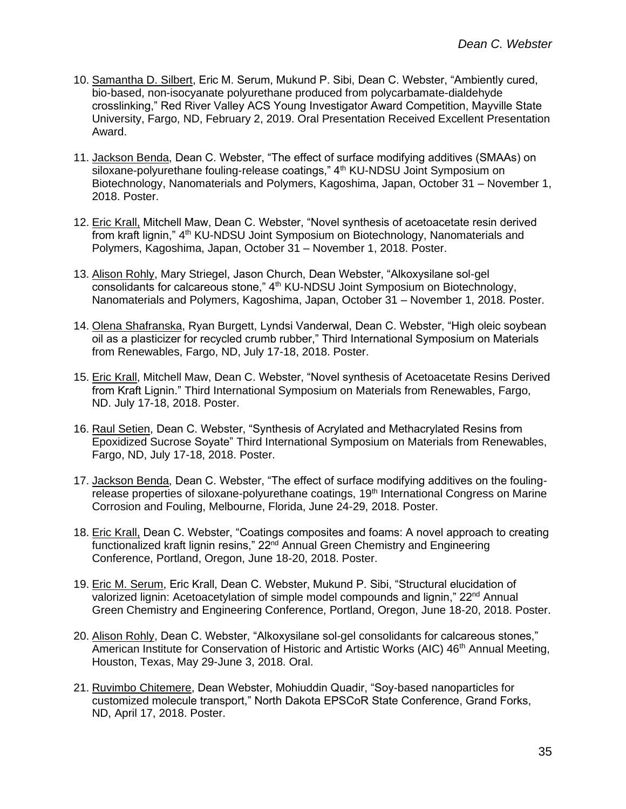- 10. Samantha D. Silbert, Eric M. Serum, Mukund P. Sibi, Dean C. Webster, "Ambiently cured, bio-based, non-isocyanate polyurethane produced from polycarbamate-dialdehyde crosslinking," Red River Valley ACS Young Investigator Award Competition, Mayville State University, Fargo, ND, February 2, 2019. Oral Presentation Received Excellent Presentation Award.
- 11. Jackson Benda, Dean C. Webster, "The effect of surface modifying additives (SMAAs) on siloxane-polyurethane fouling-release coatings," 4<sup>th</sup> KU-NDSU Joint Symposium on Biotechnology, Nanomaterials and Polymers, Kagoshima, Japan, October 31 – November 1, 2018. Poster.
- 12. Eric Krall, Mitchell Maw, Dean C. Webster, "Novel synthesis of acetoacetate resin derived from kraft lignin," 4<sup>th</sup> KU-NDSU Joint Symposium on Biotechnology, Nanomaterials and Polymers, Kagoshima, Japan, October 31 – November 1, 2018. Poster.
- 13. Alison Rohly, Mary Striegel, Jason Church, Dean Webster, "Alkoxysilane sol-gel consolidants for calcareous stone," 4<sup>th</sup> KU-NDSU Joint Symposium on Biotechnology, Nanomaterials and Polymers, Kagoshima, Japan, October 31 – November 1, 2018. Poster.
- 14. Olena Shafranska, Ryan Burgett, Lyndsi Vanderwal, Dean C. Webster, "High oleic soybean oil as a plasticizer for recycled crumb rubber," Third International Symposium on Materials from Renewables, Fargo, ND, July 17-18, 2018. Poster.
- 15. Eric Krall, Mitchell Maw, Dean C. Webster, "Novel synthesis of Acetoacetate Resins Derived from Kraft Lignin." Third International Symposium on Materials from Renewables, Fargo, ND. July 17-18, 2018. Poster.
- 16. Raul Setien, Dean C. Webster, "Synthesis of Acrylated and Methacrylated Resins from Epoxidized Sucrose Soyate" Third International Symposium on Materials from Renewables, Fargo, ND, July 17-18, 2018. Poster.
- 17. Jackson Benda, Dean C. Webster, "The effect of surface modifying additives on the foulingrelease properties of siloxane-polyurethane coatings, 19<sup>th</sup> International Congress on Marine Corrosion and Fouling, Melbourne, Florida, June 24-29, 2018. Poster.
- 18. Eric Krall, Dean C. Webster, "Coatings composites and foams: A novel approach to creating functionalized kraft lignin resins," 22<sup>nd</sup> Annual Green Chemistry and Engineering Conference, Portland, Oregon, June 18-20, 2018. Poster.
- 19. Eric M. Serum, Eric Krall, Dean C. Webster, Mukund P. Sibi, "Structural elucidation of valorized lignin: Acetoacetylation of simple model compounds and lignin,"  $22<sup>nd</sup>$  Annual Green Chemistry and Engineering Conference, Portland, Oregon, June 18-20, 2018. Poster.
- 20. Alison Rohly, Dean C. Webster, "Alkoxysilane sol-gel consolidants for calcareous stones," American Institute for Conservation of Historic and Artistic Works (AIC) 46<sup>th</sup> Annual Meeting, Houston, Texas, May 29-June 3, 2018. Oral.
- 21. Ruvimbo Chitemere, Dean Webster, Mohiuddin Quadir, "Soy-based nanoparticles for customized molecule transport," North Dakota EPSCoR State Conference, Grand Forks, ND, April 17, 2018. Poster.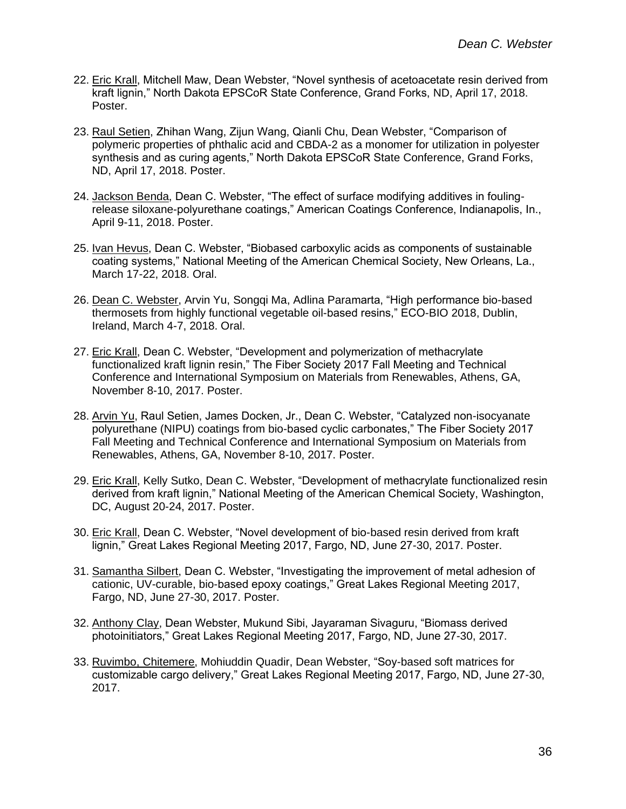- 22. Eric Krall, Mitchell Maw, Dean Webster, "Novel synthesis of acetoacetate resin derived from kraft lignin," North Dakota EPSCoR State Conference, Grand Forks, ND, April 17, 2018. Poster.
- 23. Raul Setien, Zhihan Wang, Zijun Wang, Qianli Chu, Dean Webster, "Comparison of polymeric properties of phthalic acid and CBDA-2 as a monomer for utilization in polyester synthesis and as curing agents," North Dakota EPSCoR State Conference, Grand Forks, ND, April 17, 2018. Poster.
- 24. Jackson Benda, Dean C. Webster, "The effect of surface modifying additives in foulingrelease siloxane-polyurethane coatings," American Coatings Conference, Indianapolis, In., April 9-11, 2018. Poster.
- 25. Ivan Hevus, Dean C. Webster, "Biobased carboxylic acids as components of sustainable coating systems," National Meeting of the American Chemical Society, New Orleans, La., March 17-22, 2018. Oral.
- 26. Dean C. Webster, Arvin Yu, Songqi Ma, Adlina Paramarta, "High performance bio-based thermosets from highly functional vegetable oil-based resins," ECO-BIO 2018, Dublin, Ireland, March 4-7, 2018. Oral.
- 27. Eric Krall, Dean C. Webster, "Development and polymerization of methacrylate functionalized kraft lignin resin," The Fiber Society 2017 Fall Meeting and Technical Conference and International Symposium on Materials from Renewables, Athens, GA, November 8-10, 2017. Poster.
- 28. Arvin Yu, Raul Setien, James Docken, Jr., Dean C. Webster, "Catalyzed non-isocyanate polyurethane (NIPU) coatings from bio-based cyclic carbonates," The Fiber Society 2017 Fall Meeting and Technical Conference and International Symposium on Materials from Renewables, Athens, GA, November 8-10, 2017. Poster.
- 29. Eric Krall, Kelly Sutko, Dean C. Webster, "Development of methacrylate functionalized resin derived from kraft lignin," National Meeting of the American Chemical Society, Washington, DC, August 20-24, 2017. Poster.
- 30. Eric Krall, Dean C. Webster, "Novel development of bio-based resin derived from kraft lignin," Great Lakes Regional Meeting 2017, Fargo, ND, June 27-30, 2017. Poster.
- 31. Samantha Silbert, Dean C. Webster, "Investigating the improvement of metal adhesion of cationic, UV-curable, bio-based epoxy coatings," Great Lakes Regional Meeting 2017, Fargo, ND, June 27-30, 2017. Poster.
- 32. Anthony Clay, Dean Webster, Mukund Sibi, Jayaraman Sivaguru, "Biomass derived photoinitiators," Great Lakes Regional Meeting 2017, Fargo, ND, June 27-30, 2017.
- 33. Ruvimbo, Chitemere, Mohiuddin Quadir, Dean Webster, "Soy-based soft matrices for customizable cargo delivery," Great Lakes Regional Meeting 2017, Fargo, ND, June 27-30, 2017.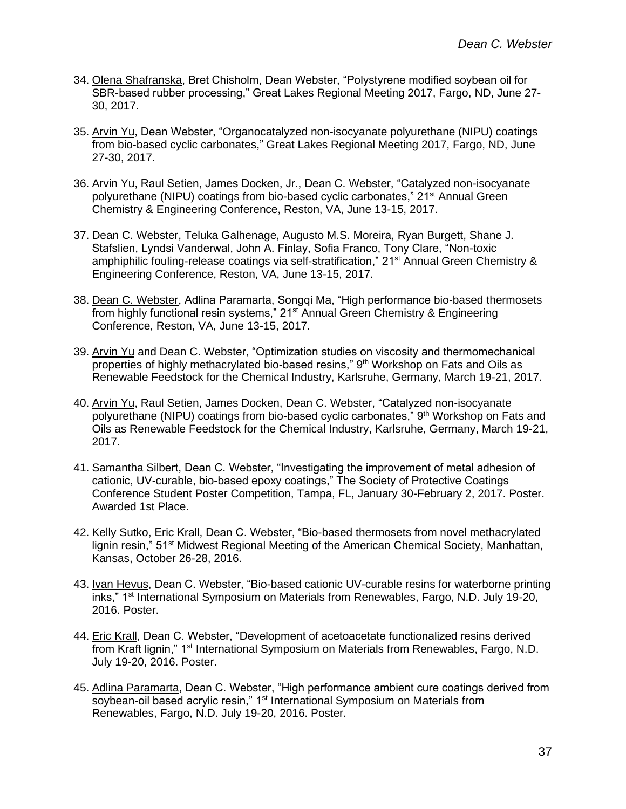- 34. Olena Shafranska, Bret Chisholm, Dean Webster, "Polystyrene modified soybean oil for SBR-based rubber processing," Great Lakes Regional Meeting 2017, Fargo, ND, June 27- 30, 2017.
- 35. Arvin Yu, Dean Webster, "Organocatalyzed non-isocyanate polyurethane (NIPU) coatings from bio-based cyclic carbonates," Great Lakes Regional Meeting 2017, Fargo, ND, June 27-30, 2017.
- 36. Arvin Yu, Raul Setien, James Docken, Jr., Dean C. Webster, "Catalyzed non-isocyanate polyurethane (NIPU) coatings from bio-based cyclic carbonates," 21<sup>st</sup> Annual Green Chemistry & Engineering Conference, Reston, VA, June 13-15, 2017.
- 37. Dean C. Webster, Teluka Galhenage, Augusto M.S. Moreira, Ryan Burgett, Shane J. Stafslien, Lyndsi Vanderwal, John A. Finlay, Sofia Franco, Tony Clare, "Non-toxic amphiphilic fouling-release coatings via self-stratification," 21<sup>st</sup> Annual Green Chemistry & Engineering Conference, Reston, VA, June 13-15, 2017.
- 38. Dean C. Webster, Adlina Paramarta, Songqi Ma, "High performance bio-based thermosets from highly functional resin systems," 21<sup>st</sup> Annual Green Chemistry & Engineering Conference, Reston, VA, June 13-15, 2017.
- 39. Arvin Yu and Dean C. Webster, "Optimization studies on viscosity and thermomechanical properties of highly methacrylated bio-based resins,"  $9<sup>th</sup>$  Workshop on Fats and Oils as Renewable Feedstock for the Chemical Industry, Karlsruhe, Germany, March 19-21, 2017.
- 40. Arvin Yu, Raul Setien, James Docken, Dean C. Webster, "Catalyzed non-isocyanate polyurethane (NIPU) coatings from bio-based cyclic carbonates," 9<sup>th</sup> Workshop on Fats and Oils as Renewable Feedstock for the Chemical Industry, Karlsruhe, Germany, March 19-21, 2017.
- 41. Samantha Silbert, Dean C. Webster, "Investigating the improvement of metal adhesion of cationic, UV-curable, bio-based epoxy coatings," The Society of Protective Coatings Conference Student Poster Competition, Tampa, FL, January 30-February 2, 2017. Poster. Awarded 1st Place.
- 42. Kelly Sutko, Eric Krall, Dean C. Webster, "Bio-based thermosets from novel methacrylated lignin resin," 51st Midwest Regional Meeting of the American Chemical Society, Manhattan, Kansas, October 26-28, 2016.
- 43. Ivan Hevus, Dean C. Webster, "Bio-based cationic UV-curable resins for waterborne printing inks," 1<sup>st</sup> International Symposium on Materials from Renewables, Fargo, N.D. July 19-20, 2016. Poster.
- 44. Eric Krall, Dean C. Webster, "Development of acetoacetate functionalized resins derived from Kraft lignin," 1<sup>st</sup> International Symposium on Materials from Renewables, Fargo, N.D. July 19-20, 2016. Poster.
- 45. Adlina Paramarta, Dean C. Webster, "High performance ambient cure coatings derived from soybean-oil based acrylic resin," 1<sup>st</sup> International Symposium on Materials from Renewables, Fargo, N.D. July 19-20, 2016. Poster.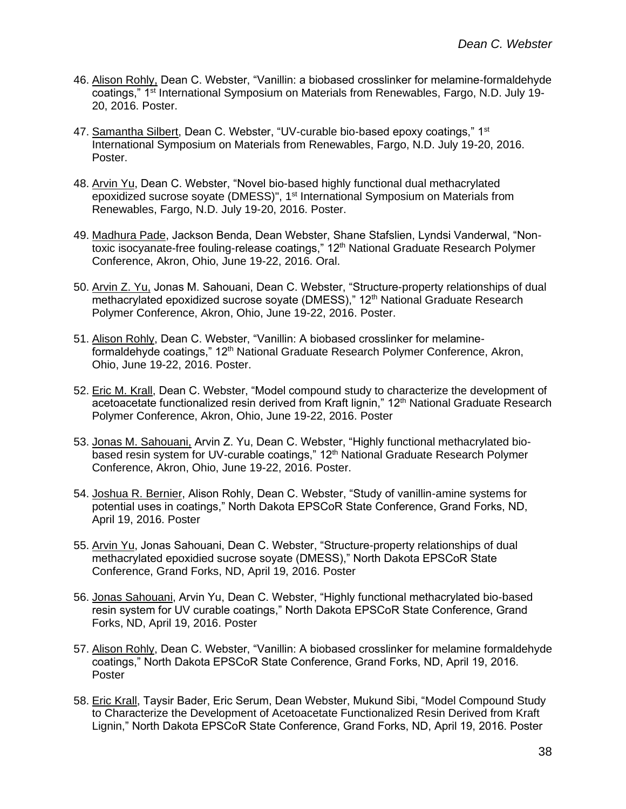- 46. Alison Rohly, Dean C. Webster, "Vanillin: a biobased crosslinker for melamine-formaldehyde coatings," 1st International Symposium on Materials from Renewables, Fargo, N.D. July 19- 20, 2016. Poster.
- 47. Samantha Silbert, Dean C. Webster, "UV-curable bio-based epoxy coatings," 1st International Symposium on Materials from Renewables, Fargo, N.D. July 19-20, 2016. Poster.
- 48. Arvin Yu, Dean C. Webster, "Novel bio-based highly functional dual methacrylated epoxidized sucrose soyate (DMESS)", 1<sup>st</sup> International Symposium on Materials from Renewables, Fargo, N.D. July 19-20, 2016. Poster.
- 49. Madhura Pade, Jackson Benda, Dean Webster, Shane Stafslien, Lyndsi Vanderwal, "Nontoxic isocyanate-free fouling-release coatings," 12<sup>th</sup> National Graduate Research Polymer Conference, Akron, Ohio, June 19-22, 2016. Oral.
- 50. Arvin Z. Yu, Jonas M. Sahouani, Dean C. Webster, "Structure-property relationships of dual methacrylated epoxidized sucrose soyate (DMESS)," 12<sup>th</sup> National Graduate Research Polymer Conference, Akron, Ohio, June 19-22, 2016. Poster.
- 51. Alison Rohly, Dean C. Webster, "Vanillin: A biobased crosslinker for melamineformaldehyde coatings," 12<sup>th</sup> National Graduate Research Polymer Conference, Akron, Ohio, June 19-22, 2016. Poster.
- 52. Eric M. Krall, Dean C. Webster, "Model compound study to characterize the development of acetoacetate functionalized resin derived from Kraft lignin," 12<sup>th</sup> National Graduate Research Polymer Conference, Akron, Ohio, June 19-22, 2016. Poster
- 53. Jonas M. Sahouani, Arvin Z. Yu, Dean C. Webster, "Highly functional methacrylated biobased resin system for UV-curable coatings," 12<sup>th</sup> National Graduate Research Polymer Conference, Akron, Ohio, June 19-22, 2016. Poster.
- 54. Joshua R. Bernier, Alison Rohly, Dean C. Webster, "Study of vanillin-amine systems for potential uses in coatings," North Dakota EPSCoR State Conference, Grand Forks, ND, April 19, 2016. Poster
- 55. Arvin Yu, Jonas Sahouani, Dean C. Webster, "Structure-property relationships of dual methacrylated epoxidied sucrose soyate (DMESS)," North Dakota EPSCoR State Conference, Grand Forks, ND, April 19, 2016. Poster
- 56. Jonas Sahouani, Arvin Yu, Dean C. Webster, "Highly functional methacrylated bio-based resin system for UV curable coatings," North Dakota EPSCoR State Conference, Grand Forks, ND, April 19, 2016. Poster
- 57. Alison Rohly, Dean C. Webster, "Vanillin: A biobased crosslinker for melamine formaldehyde coatings," North Dakota EPSCoR State Conference, Grand Forks, ND, April 19, 2016. Poster
- 58. Eric Krall, Taysir Bader, Eric Serum, Dean Webster, Mukund Sibi, "Model Compound Study to Characterize the Development of Acetoacetate Functionalized Resin Derived from Kraft Lignin," North Dakota EPSCoR State Conference, Grand Forks, ND, April 19, 2016. Poster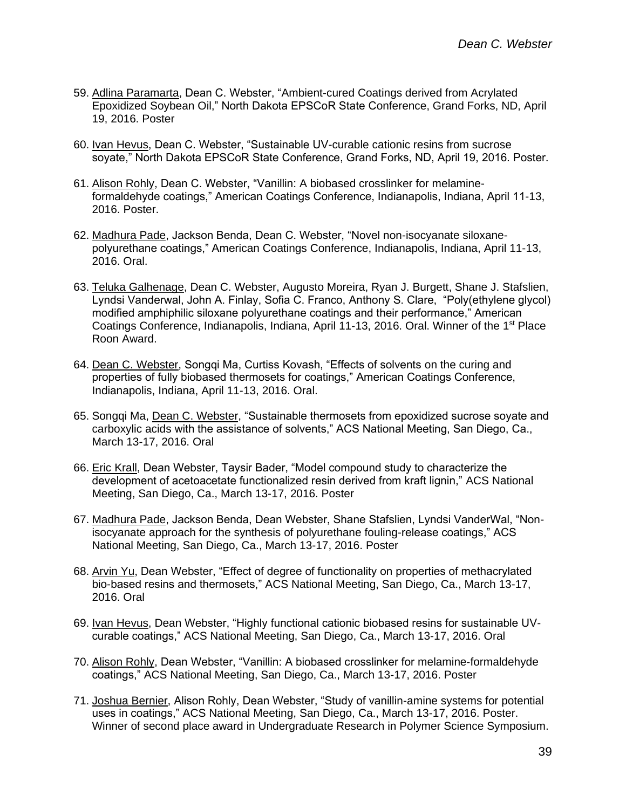- 59. Adlina Paramarta, Dean C. Webster, "Ambient-cured Coatings derived from Acrylated Epoxidized Soybean Oil," North Dakota EPSCoR State Conference, Grand Forks, ND, April 19, 2016. Poster
- 60. Ivan Hevus, Dean C. Webster, "Sustainable UV-curable cationic resins from sucrose soyate," North Dakota EPSCoR State Conference, Grand Forks, ND, April 19, 2016. Poster.
- 61. Alison Rohly, Dean C. Webster, "Vanillin: A biobased crosslinker for melamineformaldehyde coatings," American Coatings Conference, Indianapolis, Indiana, April 11-13, 2016. Poster.
- 62. Madhura Pade, Jackson Benda, Dean C. Webster, "Novel non-isocyanate siloxanepolyurethane coatings," American Coatings Conference, Indianapolis, Indiana, April 11-13, 2016. Oral.
- 63. Teluka Galhenage, Dean C. Webster, Augusto Moreira, Ryan J. Burgett, Shane J. Stafslien, Lyndsi Vanderwal, John A. Finlay, Sofia C. Franco, Anthony S. Clare, "Poly(ethylene glycol) modified amphiphilic siloxane polyurethane coatings and their performance," American Coatings Conference, Indianapolis, Indiana, April 11-13, 2016. Oral. Winner of the 1<sup>st</sup> Place Roon Award.
- 64. Dean C. Webster, Songqi Ma, Curtiss Kovash, "Effects of solvents on the curing and properties of fully biobased thermosets for coatings," American Coatings Conference, Indianapolis, Indiana, April 11-13, 2016. Oral.
- 65. Songqi Ma, Dean C. Webster, "Sustainable thermosets from epoxidized sucrose soyate and carboxylic acids with the assistance of solvents," ACS National Meeting, San Diego, Ca., March 13-17, 2016. Oral
- 66. Eric Krall, Dean Webster, Taysir Bader, "Model compound study to characterize the development of acetoacetate functionalized resin derived from kraft lignin," ACS National Meeting, San Diego, Ca., March 13-17, 2016. Poster
- 67. Madhura Pade, Jackson Benda, Dean Webster, Shane Stafslien, Lyndsi VanderWal, "Nonisocyanate approach for the synthesis of polyurethane fouling-release coatings," ACS National Meeting, San Diego, Ca., March 13-17, 2016. Poster
- 68. Arvin Yu, Dean Webster, "Effect of degree of functionality on properties of methacrylated bio-based resins and thermosets," ACS National Meeting, San Diego, Ca., March 13-17, 2016. Oral
- 69. Ivan Hevus, Dean Webster, "Highly functional cationic biobased resins for sustainable UVcurable coatings," ACS National Meeting, San Diego, Ca., March 13-17, 2016. Oral
- 70. Alison Rohly, Dean Webster, "Vanillin: A biobased crosslinker for melamine-formaldehyde coatings," ACS National Meeting, San Diego, Ca., March 13-17, 2016. Poster
- 71. Joshua Bernier, Alison Rohly, Dean Webster, "Study of vanillin-amine systems for potential uses in coatings," ACS National Meeting, San Diego, Ca., March 13-17, 2016. Poster. Winner of second place award in Undergraduate Research in Polymer Science Symposium.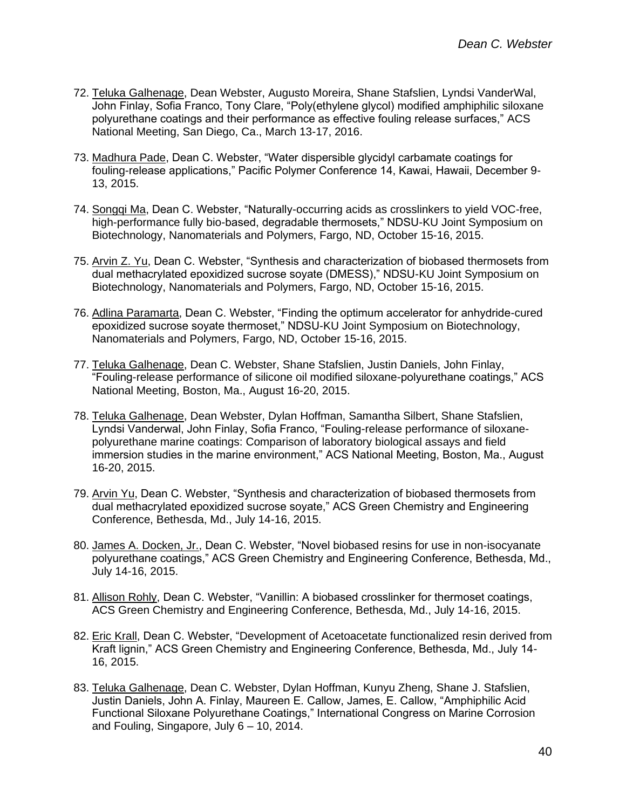- 72. Teluka Galhenage, Dean Webster, Augusto Moreira, Shane Stafslien, Lyndsi VanderWal, John Finlay, Sofia Franco, Tony Clare, "Poly(ethylene glycol) modified amphiphilic siloxane polyurethane coatings and their performance as effective fouling release surfaces," ACS National Meeting, San Diego, Ca., March 13-17, 2016.
- 73. Madhura Pade, Dean C. Webster, "Water dispersible glycidyl carbamate coatings for fouling-release applications," Pacific Polymer Conference 14, Kawai, Hawaii, December 9- 13, 2015.
- 74. Songqi Ma, Dean C. Webster, "Naturally-occurring acids as crosslinkers to yield VOC-free, high-performance fully bio-based, degradable thermosets," NDSU-KU Joint Symposium on Biotechnology, Nanomaterials and Polymers, Fargo, ND, October 15-16, 2015.
- 75. Arvin Z. Yu, Dean C. Webster, "Synthesis and characterization of biobased thermosets from dual methacrylated epoxidized sucrose soyate (DMESS)," NDSU-KU Joint Symposium on Biotechnology, Nanomaterials and Polymers, Fargo, ND, October 15-16, 2015.
- 76. Adlina Paramarta, Dean C. Webster, "Finding the optimum accelerator for anhydride-cured epoxidized sucrose soyate thermoset," NDSU-KU Joint Symposium on Biotechnology, Nanomaterials and Polymers, Fargo, ND, October 15-16, 2015.
- 77. Teluka Galhenage, Dean C. Webster, Shane Stafslien, Justin Daniels, John Finlay, "Fouling-release performance of silicone oil modified siloxane-polyurethane coatings," ACS National Meeting, Boston, Ma., August 16-20, 2015.
- 78. Teluka Galhenage, Dean Webster, Dylan Hoffman, Samantha Silbert, Shane Stafslien, Lyndsi Vanderwal, John Finlay, Sofia Franco, "Fouling-release performance of siloxanepolyurethane marine coatings: Comparison of laboratory biological assays and field immersion studies in the marine environment," ACS National Meeting, Boston, Ma., August 16-20, 2015.
- 79. Arvin Yu, Dean C. Webster, "Synthesis and characterization of biobased thermosets from dual methacrylated epoxidized sucrose soyate," ACS Green Chemistry and Engineering Conference, Bethesda, Md., July 14-16, 2015.
- 80. James A. Docken, Jr., Dean C. Webster, "Novel biobased resins for use in non-isocyanate polyurethane coatings," ACS Green Chemistry and Engineering Conference, Bethesda, Md., July 14-16, 2015.
- 81. Allison Rohly, Dean C. Webster, "Vanillin: A biobased crosslinker for thermoset coatings, ACS Green Chemistry and Engineering Conference, Bethesda, Md., July 14-16, 2015.
- 82. Eric Krall, Dean C. Webster, "Development of Acetoacetate functionalized resin derived from Kraft lignin," ACS Green Chemistry and Engineering Conference, Bethesda, Md., July 14- 16, 2015.
- 83. Teluka Galhenage, Dean C. Webster, Dylan Hoffman, Kunyu Zheng, Shane J. Stafslien, Justin Daniels, John A. Finlay, Maureen E. Callow, James, E. Callow, "Amphiphilic Acid Functional Siloxane Polyurethane Coatings," International Congress on Marine Corrosion and Fouling, Singapore, July 6 – 10, 2014.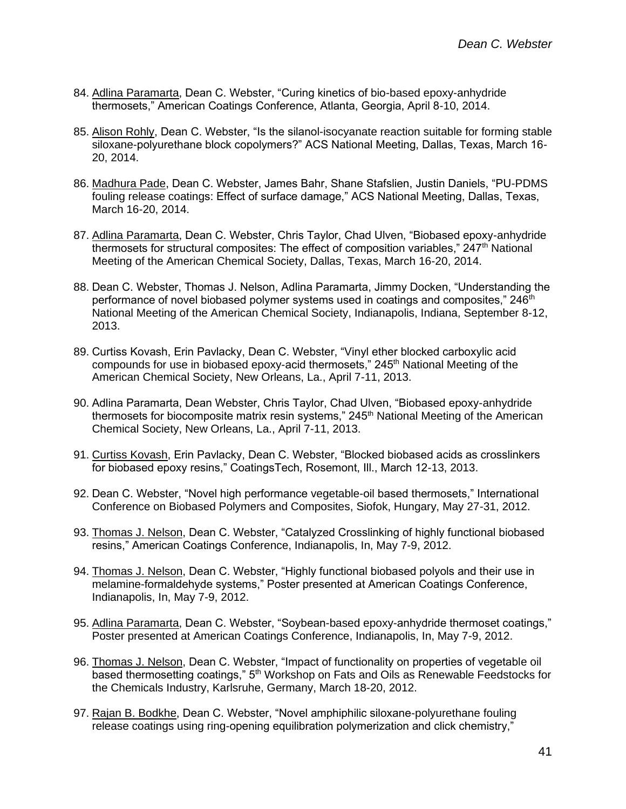- 84. Adlina Paramarta, Dean C. Webster, "Curing kinetics of bio-based epoxy-anhydride thermosets," American Coatings Conference, Atlanta, Georgia, April 8-10, 2014.
- 85. Alison Rohly, Dean C. Webster, "Is the silanol-isocyanate reaction suitable for forming stable siloxane-polyurethane block copolymers?" ACS National Meeting, Dallas, Texas, March 16- 20, 2014.
- 86. Madhura Pade, Dean C. Webster, James Bahr, Shane Stafslien, Justin Daniels, "PU-PDMS fouling release coatings: Effect of surface damage," ACS National Meeting, Dallas, Texas, March 16-20, 2014.
- 87. Adlina Paramarta, Dean C. Webster, Chris Taylor, Chad Ulven, "Biobased epoxy-anhydride thermosets for structural composites: The effect of composition variables," 247<sup>th</sup> National Meeting of the American Chemical Society, Dallas, Texas, March 16-20, 2014.
- 88. Dean C. Webster, Thomas J. Nelson, Adlina Paramarta, Jimmy Docken, "Understanding the performance of novel biobased polymer systems used in coatings and composites,"  $246<sup>th</sup>$ National Meeting of the American Chemical Society, Indianapolis, Indiana, September 8-12, 2013.
- 89. Curtiss Kovash, Erin Pavlacky, Dean C. Webster, "Vinyl ether blocked carboxylic acid compounds for use in biobased epoxy-acid thermosets,"  $245<sup>th</sup>$  National Meeting of the American Chemical Society, New Orleans, La., April 7-11, 2013.
- 90. Adlina Paramarta, Dean Webster, Chris Taylor, Chad Ulven, "Biobased epoxy-anhydride thermosets for biocomposite matrix resin systems," 245<sup>th</sup> National Meeting of the American Chemical Society, New Orleans, La., April 7-11, 2013.
- 91. Curtiss Kovash, Erin Pavlacky, Dean C. Webster, "Blocked biobased acids as crosslinkers for biobased epoxy resins," CoatingsTech, Rosemont, Ill., March 12-13, 2013.
- 92. Dean C. Webster, "Novel high performance vegetable-oil based thermosets," International Conference on Biobased Polymers and Composites, Siofok, Hungary, May 27-31, 2012.
- 93. Thomas J. Nelson, Dean C. Webster, "Catalyzed Crosslinking of highly functional biobased resins," American Coatings Conference, Indianapolis, In, May 7-9, 2012.
- 94. Thomas J. Nelson, Dean C. Webster, "Highly functional biobased polyols and their use in melamine-formaldehyde systems," Poster presented at American Coatings Conference, Indianapolis, In, May 7-9, 2012.
- 95. Adlina Paramarta, Dean C. Webster, "Soybean-based epoxy-anhydride thermoset coatings," Poster presented at American Coatings Conference, Indianapolis, In, May 7-9, 2012.
- 96. Thomas J. Nelson, Dean C. Webster, "Impact of functionality on properties of vegetable oil based thermosetting coatings," 5<sup>th</sup> Workshop on Fats and Oils as Renewable Feedstocks for the Chemicals Industry, Karlsruhe, Germany, March 18-20, 2012.
- 97. Rajan B. Bodkhe, Dean C. Webster, "Novel amphiphilic siloxane-polyurethane fouling release coatings using ring-opening equilibration polymerization and click chemistry,"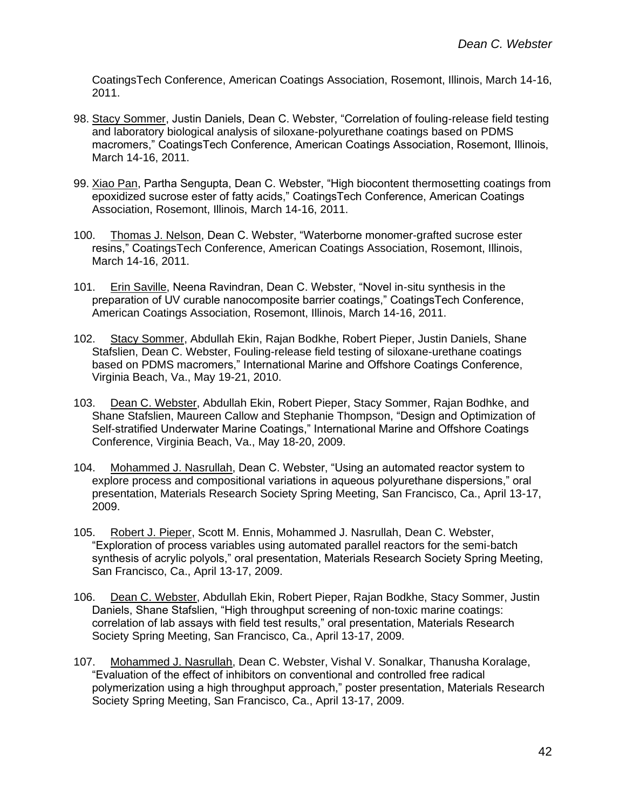CoatingsTech Conference, American Coatings Association, Rosemont, Illinois, March 14-16, 2011.

- 98. Stacy Sommer, Justin Daniels, Dean C. Webster, "Correlation of fouling-release field testing and laboratory biological analysis of siloxane-polyurethane coatings based on PDMS macromers," CoatingsTech Conference, American Coatings Association, Rosemont, Illinois, March 14-16, 2011.
- 99. Xiao Pan, Partha Sengupta, Dean C. Webster, "High biocontent thermosetting coatings from epoxidized sucrose ester of fatty acids," CoatingsTech Conference, American Coatings Association, Rosemont, Illinois, March 14-16, 2011.
- 100. Thomas J. Nelson, Dean C. Webster, "Waterborne monomer-grafted sucrose ester resins," CoatingsTech Conference, American Coatings Association, Rosemont, Illinois, March 14-16, 2011.
- 101. Erin Saville, Neena Ravindran, Dean C. Webster, "Novel in-situ synthesis in the preparation of UV curable nanocomposite barrier coatings," CoatingsTech Conference, American Coatings Association, Rosemont, Illinois, March 14-16, 2011.
- 102. Stacy Sommer, Abdullah Ekin, Rajan Bodkhe, Robert Pieper, Justin Daniels, Shane Stafslien, Dean C. Webster, Fouling-release field testing of siloxane-urethane coatings based on PDMS macromers," International Marine and Offshore Coatings Conference, Virginia Beach, Va., May 19-21, 2010.
- 103. Dean C. Webster, Abdullah Ekin, Robert Pieper, Stacy Sommer, Rajan Bodhke, and Shane Stafslien, Maureen Callow and Stephanie Thompson, "Design and Optimization of Self-stratified Underwater Marine Coatings," International Marine and Offshore Coatings Conference, Virginia Beach, Va., May 18-20, 2009.
- 104. Mohammed J. Nasrullah, Dean C. Webster, "Using an automated reactor system to explore process and compositional variations in aqueous polyurethane dispersions," oral presentation, Materials Research Society Spring Meeting, San Francisco, Ca., April 13-17, 2009.
- 105. Robert J. Pieper, Scott M. Ennis, Mohammed J. Nasrullah, Dean C. Webster, "Exploration of process variables using automated parallel reactors for the semi-batch synthesis of acrylic polyols," oral presentation, Materials Research Society Spring Meeting, San Francisco, Ca., April 13-17, 2009.
- 106. Dean C. Webster, Abdullah Ekin, Robert Pieper, Rajan Bodkhe, Stacy Sommer, Justin Daniels, Shane Stafslien, "High throughput screening of non-toxic marine coatings: correlation of lab assays with field test results," oral presentation, Materials Research Society Spring Meeting, San Francisco, Ca., April 13-17, 2009.
- 107. Mohammed J. Nasrullah, Dean C. Webster, Vishal V. Sonalkar, Thanusha Koralage, "Evaluation of the effect of inhibitors on conventional and controlled free radical polymerization using a high throughput approach," poster presentation, Materials Research Society Spring Meeting, San Francisco, Ca., April 13-17, 2009.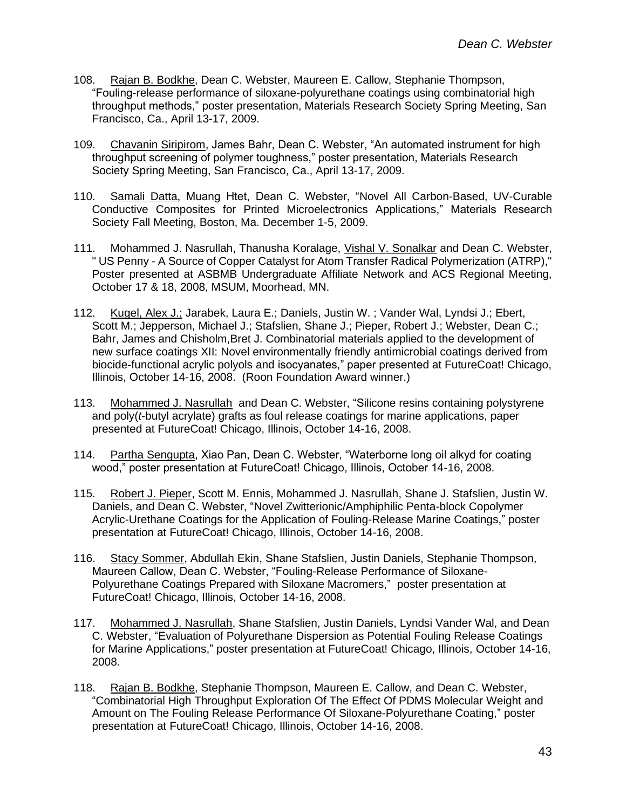- 108. Rajan B. Bodkhe, Dean C. Webster, Maureen E. Callow, Stephanie Thompson, "Fouling-release performance of siloxane-polyurethane coatings using combinatorial high throughput methods," poster presentation, Materials Research Society Spring Meeting, San Francisco, Ca., April 13-17, 2009.
- 109. Chavanin Siripirom, James Bahr, Dean C. Webster, "An automated instrument for high throughput screening of polymer toughness," poster presentation, Materials Research Society Spring Meeting, San Francisco, Ca., April 13-17, 2009.
- 110. Samali Datta, Muang Htet, Dean C. Webster, "Novel All Carbon-Based, UV-Curable Conductive Composites for Printed Microelectronics Applications," Materials Research Society Fall Meeting, Boston, Ma. December 1-5, 2009.
- 111. Mohammed J. Nasrullah, Thanusha Koralage, Vishal V. Sonalkar and Dean C. Webster, " US Penny - A Source of Copper Catalyst for Atom Transfer Radical Polymerization (ATRP)," Poster presented at ASBMB Undergraduate Affiliate Network and ACS Regional Meeting, October 17 & 18, 2008, MSUM, Moorhead, MN.
- 112. Kugel, Alex J.; Jarabek, Laura E.; Daniels, Justin W. ; Vander Wal, Lyndsi J.; Ebert, Scott M.; Jepperson, Michael J.; Stafslien, Shane J.; Pieper, Robert J.; Webster, Dean C.; Bahr, James and Chisholm,Bret J. Combinatorial materials applied to the development of new surface coatings XII: Novel environmentally friendly antimicrobial coatings derived from biocide-functional acrylic polyols and isocyanates," paper presented at FutureCoat! Chicago, Illinois, October 14-16, 2008. (Roon Foundation Award winner.)
- 113. Mohammed J. Nasrullah and Dean C. Webster, "Silicone resins containing polystyrene and poly(*t*-butyl acrylate) grafts as foul release coatings for marine applications, paper presented at FutureCoat! Chicago, Illinois, October 14-16, 2008.
- 114. Partha Sengupta, Xiao Pan, Dean C. Webster, "Waterborne long oil alkyd for coating wood," poster presentation at FutureCoat! Chicago, Illinois, October 14-16, 2008.
- 115. Robert J. Pieper, Scott M. Ennis, Mohammed J. Nasrullah, Shane J. Stafslien, Justin W. Daniels, and Dean C. Webster, "Novel Zwitterionic/Amphiphilic Penta-block Copolymer Acrylic-Urethane Coatings for the Application of Fouling-Release Marine Coatings," poster presentation at FutureCoat! Chicago, Illinois, October 14-16, 2008.
- 116. Stacy Sommer, Abdullah Ekin, Shane Stafslien, Justin Daniels, Stephanie Thompson, Maureen Callow, Dean C. Webster, "Fouling-Release Performance of Siloxane-Polyurethane Coatings Prepared with Siloxane Macromers," poster presentation at FutureCoat! Chicago, Illinois, October 14-16, 2008.
- 117. Mohammed J. Nasrullah, Shane Stafslien, Justin Daniels, Lyndsi Vander Wal, and Dean C. Webster, "Evaluation of Polyurethane Dispersion as Potential Fouling Release Coatings for Marine Applications," poster presentation at FutureCoat! Chicago, Illinois, October 14-16, 2008.
- 118. Rajan B. Bodkhe, Stephanie Thompson, Maureen E. Callow, and Dean C. Webster, "Combinatorial High Throughput Exploration Of The Effect Of PDMS Molecular Weight and Amount on The Fouling Release Performance Of Siloxane-Polyurethane Coating," poster presentation at FutureCoat! Chicago, Illinois, October 14-16, 2008.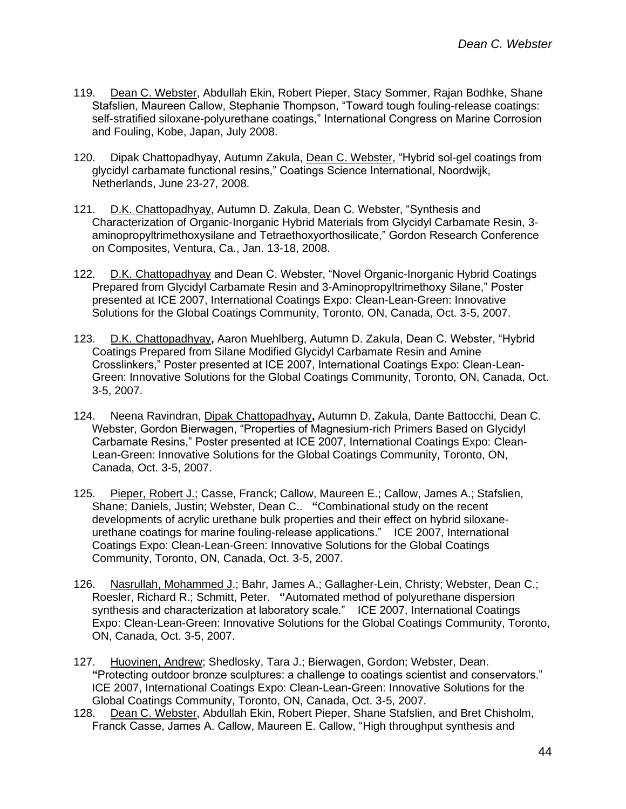- 119. Dean C. Webster, Abdullah Ekin, Robert Pieper, Stacy Sommer, Rajan Bodhke, Shane Stafslien, Maureen Callow, Stephanie Thompson, "Toward tough fouling-release coatings: self-stratified siloxane-polyurethane coatings," International Congress on Marine Corrosion and Fouling, Kobe, Japan, July 2008.
- 120. Dipak Chattopadhyay, Autumn Zakula, Dean C. Webster, "Hybrid sol-gel coatings from glycidyl carbamate functional resins," Coatings Science International, Noordwijk, Netherlands, June 23-27, 2008.
- 121. D.K. Chattopadhyay, Autumn D. Zakula, Dean C. Webster, "Synthesis and Characterization of Organic-Inorganic Hybrid Materials from Glycidyl Carbamate Resin, 3 aminopropyltrimethoxysilane and Tetraethoxyorthosilicate," Gordon Research Conference on Composites, Ventura, Ca., Jan. 13-18, 2008.
- 122. D.K. Chattopadhyay and Dean C. Webster, "Novel Organic-Inorganic Hybrid Coatings Prepared from Glycidyl Carbamate Resin and 3-Aminopropyltrimethoxy Silane," Poster presented at ICE 2007, International Coatings Expo: Clean-Lean-Green: Innovative Solutions for the Global Coatings Community, Toronto, ON, Canada, Oct. 3-5, 2007.
- 123. D.K. Chattopadhyay**,** Aaron Muehlberg, Autumn D. Zakula, Dean C. Webster, "Hybrid Coatings Prepared from Silane Modified Glycidyl Carbamate Resin and Amine Crosslinkers," Poster presented at ICE 2007, International Coatings Expo: Clean-Lean-Green: Innovative Solutions for the Global Coatings Community, Toronto, ON, Canada, Oct. 3-5, 2007.
- 124. Neena Ravindran, Dipak Chattopadhyay**,** Autumn D. Zakula, Dante Battocchi, Dean C. Webster, Gordon Bierwagen, "Properties of Magnesium-rich Primers Based on Glycidyl Carbamate Resins," Poster presented at ICE 2007, International Coatings Expo: Clean-Lean-Green: Innovative Solutions for the Global Coatings Community, Toronto, ON, Canada, Oct. 3-5, 2007.
- 125. Pieper, Robert J.; Casse, Franck; Callow, Maureen E.; Callow, James A.; Stafslien, Shane; Daniels, Justin; Webster, Dean C.. **"**Combinational study on the recent developments of acrylic urethane bulk properties and their effect on hybrid siloxaneurethane coatings for marine fouling-release applications." ICE 2007, International Coatings Expo: Clean-Lean-Green: Innovative Solutions for the Global Coatings Community, Toronto, ON, Canada, Oct. 3-5, 2007.
- 126. Nasrullah, Mohammed J.; Bahr, James A.; Gallagher-Lein, Christy; Webster, Dean C.; Roesler, Richard R.; Schmitt, Peter. **"**Automated method of polyurethane dispersion synthesis and characterization at laboratory scale." ICE 2007, International Coatings Expo: Clean-Lean-Green: Innovative Solutions for the Global Coatings Community, Toronto, ON, Canada, Oct. 3-5, 2007.
- 127. Huovinen, Andrew; Shedlosky, Tara J.; Bierwagen, Gordon; Webster, Dean. **"**Protecting outdoor bronze sculptures: a challenge to coatings scientist and conservators." ICE 2007, International Coatings Expo: Clean-Lean-Green: Innovative Solutions for the Global Coatings Community, Toronto, ON, Canada, Oct. 3-5, 2007.
- 128. Dean C. Webster, Abdullah Ekin, Robert Pieper, Shane Stafslien, and Bret Chisholm, Franck Casse, James A. Callow, Maureen E. Callow, "High throughput synthesis and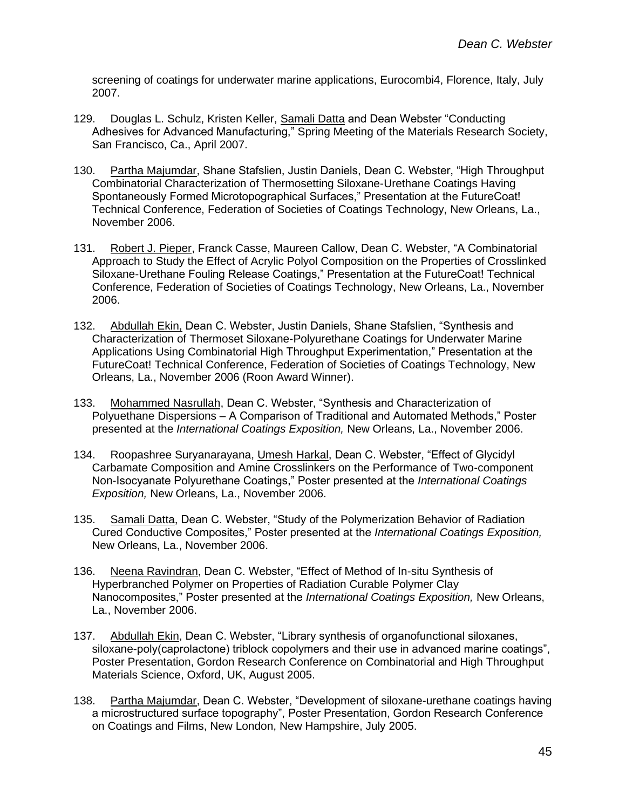screening of coatings for underwater marine applications, Eurocombi4, Florence, Italy, July 2007.

- 129. Douglas L. Schulz, Kristen Keller, Samali Datta and Dean Webster "Conducting Adhesives for Advanced Manufacturing," Spring Meeting of the Materials Research Society, San Francisco, Ca., April 2007.
- 130. Partha Majumdar, Shane Stafslien, Justin Daniels, Dean C. Webster, "High Throughput Combinatorial Characterization of Thermosetting Siloxane-Urethane Coatings Having Spontaneously Formed Microtopographical Surfaces," Presentation at the FutureCoat! Technical Conference, Federation of Societies of Coatings Technology, New Orleans, La., November 2006.
- 131. Robert J. Pieper, Franck Casse, Maureen Callow, Dean C. Webster, "A Combinatorial Approach to Study the Effect of Acrylic Polyol Composition on the Properties of Crosslinked Siloxane-Urethane Fouling Release Coatings," Presentation at the FutureCoat! Technical Conference, Federation of Societies of Coatings Technology, New Orleans, La., November 2006.
- 132. Abdullah Ekin, Dean C. Webster, Justin Daniels, Shane Stafslien, "Synthesis and Characterization of Thermoset Siloxane-Polyurethane Coatings for Underwater Marine Applications Using Combinatorial High Throughput Experimentation," Presentation at the FutureCoat! Technical Conference, Federation of Societies of Coatings Technology, New Orleans, La., November 2006 (Roon Award Winner).
- 133. Mohammed Nasrullah, Dean C. Webster, "Synthesis and Characterization of Polyuethane Dispersions – A Comparison of Traditional and Automated Methods," Poster presented at the *International Coatings Exposition,* New Orleans, La., November 2006.
- 134. Roopashree Suryanarayana, Umesh Harkal, Dean C. Webster, "Effect of Glycidyl Carbamate Composition and Amine Crosslinkers on the Performance of Two-component Non-Isocyanate Polyurethane Coatings," Poster presented at the *International Coatings Exposition,* New Orleans, La., November 2006.
- 135. Samali Datta, Dean C. Webster, "Study of the Polymerization Behavior of Radiation Cured Conductive Composites," Poster presented at the *International Coatings Exposition,* New Orleans, La., November 2006.
- 136. Neena Ravindran, Dean C. Webster, "Effect of Method of In-situ Synthesis of Hyperbranched Polymer on Properties of Radiation Curable Polymer Clay Nanocomposites," Poster presented at the *International Coatings Exposition,* New Orleans, La., November 2006.
- 137. Abdullah Ekin, Dean C. Webster, "Library synthesis of organofunctional siloxanes, siloxane-poly(caprolactone) triblock copolymers and their use in advanced marine coatings", Poster Presentation, Gordon Research Conference on Combinatorial and High Throughput Materials Science, Oxford, UK, August 2005.
- 138. Partha Majumdar, Dean C. Webster, "Development of siloxane-urethane coatings having a microstructured surface topography", Poster Presentation, Gordon Research Conference on Coatings and Films, New London, New Hampshire, July 2005.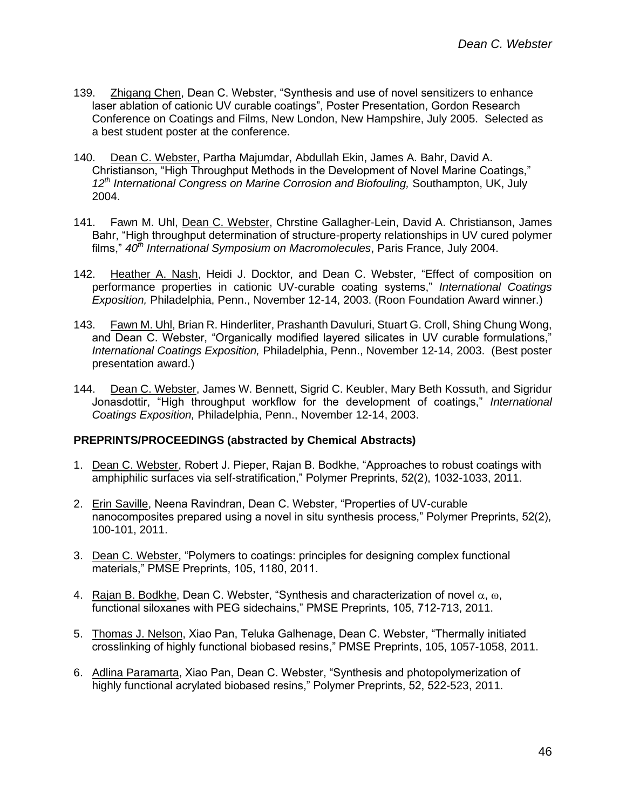- 139. Zhigang Chen, Dean C. Webster, "Synthesis and use of novel sensitizers to enhance laser ablation of cationic UV curable coatings", Poster Presentation, Gordon Research Conference on Coatings and Films, New London, New Hampshire, July 2005. Selected as a best student poster at the conference.
- 140. Dean C. Webster, Partha Majumdar, Abdullah Ekin, James A. Bahr, David A. Christianson, "High Throughput Methods in the Development of Novel Marine Coatings," *12th International Congress on Marine Corrosion and Biofouling,* Southampton, UK, July 2004.
- 141. Fawn M. Uhl, Dean C. Webster, Chrstine Gallagher-Lein, David A. Christianson, James Bahr, "High throughput determination of structure-property relationships in UV cured polymer films," *40th International Symposium on Macromolecules*, Paris France, July 2004.
- 142. Heather A. Nash, Heidi J. Docktor, and Dean C. Webster, "Effect of composition on performance properties in cationic UV-curable coating systems," *International Coatings Exposition,* Philadelphia, Penn., November 12-14, 2003. (Roon Foundation Award winner.)
- 143. Fawn M. Uhl, Brian R. Hinderliter, Prashanth Davuluri, Stuart G. Croll, Shing Chung Wong, and Dean C. Webster, "Organically modified layered silicates in UV curable formulations," *International Coatings Exposition,* Philadelphia, Penn., November 12-14, 2003. (Best poster presentation award.)
- 144. Dean C. Webster, James W. Bennett, Sigrid C. Keubler, Mary Beth Kossuth, and Sigridur Jonasdottir, "High throughput workflow for the development of coatings," *International Coatings Exposition,* Philadelphia, Penn., November 12-14, 2003.

## **PREPRINTS/PROCEEDINGS (abstracted by Chemical Abstracts)**

- 1. Dean C. Webster, Robert J. Pieper, Rajan B. Bodkhe, "Approaches to robust coatings with amphiphilic surfaces via self-stratification," Polymer Preprints, 52(2), 1032-1033, 2011.
- 2. Erin Saville, Neena Ravindran, Dean C. Webster, "Properties of UV-curable nanocomposites prepared using a novel in situ synthesis process," Polymer Preprints, 52(2), 100-101, 2011.
- 3. Dean C. Webster, "Polymers to coatings: principles for designing complex functional materials," PMSE Preprints, 105, 1180, 2011.
- 4. Rajan B. Bodkhe, Dean C. Webster, "Synthesis and characterization of novel  $\alpha$ ,  $\omega$ , functional siloxanes with PEG sidechains," PMSE Preprints, 105, 712-713, 2011.
- 5. Thomas J. Nelson, Xiao Pan, Teluka Galhenage, Dean C. Webster, "Thermally initiated crosslinking of highly functional biobased resins," PMSE Preprints, 105, 1057-1058, 2011.
- 6. Adlina Paramarta, Xiao Pan, Dean C. Webster, "Synthesis and photopolymerization of highly functional acrylated biobased resins," Polymer Preprints, 52, 522-523, 2011.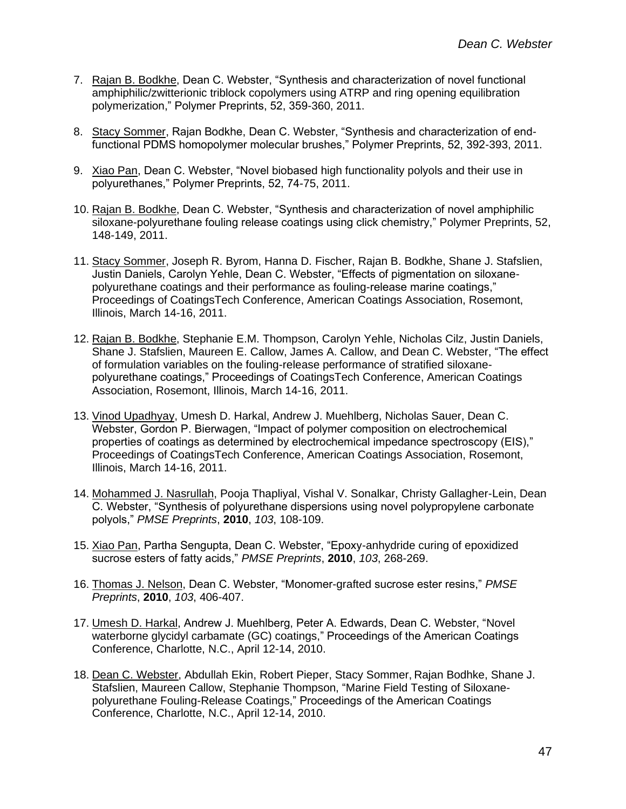- 7. Rajan B. Bodkhe, Dean C. Webster, "Synthesis and characterization of novel functional amphiphilic/zwitterionic triblock copolymers using ATRP and ring opening equilibration polymerization," Polymer Preprints, 52, 359-360, 2011.
- 8. Stacy Sommer, Rajan Bodkhe, Dean C. Webster, "Synthesis and characterization of endfunctional PDMS homopolymer molecular brushes," Polymer Preprints, 52, 392-393, 2011.
- 9. Xiao Pan, Dean C. Webster, "Novel biobased high functionality polyols and their use in polyurethanes," Polymer Preprints, 52, 74-75, 2011.
- 10. Rajan B. Bodkhe, Dean C. Webster, "Synthesis and characterization of novel amphiphilic siloxane-polyurethane fouling release coatings using click chemistry," Polymer Preprints, 52, 148-149, 2011.
- 11. Stacy Sommer, Joseph R. Byrom, Hanna D. Fischer, Rajan B. Bodkhe, Shane J. Stafslien, Justin Daniels, Carolyn Yehle, Dean C. Webster, "Effects of pigmentation on siloxanepolyurethane coatings and their performance as fouling-release marine coatings," Proceedings of CoatingsTech Conference, American Coatings Association, Rosemont, Illinois, March 14-16, 2011.
- 12. Rajan B. Bodkhe, Stephanie E.M. Thompson, Carolyn Yehle, Nicholas Cilz, Justin Daniels, Shane J. Stafslien, Maureen E. Callow, James A. Callow, and Dean C. Webster, "The effect of formulation variables on the fouling-release performance of stratified siloxanepolyurethane coatings," Proceedings of CoatingsTech Conference, American Coatings Association, Rosemont, Illinois, March 14-16, 2011.
- 13. Vinod Upadhyay, Umesh D. Harkal, Andrew J. Muehlberg, Nicholas Sauer, Dean C. Webster, Gordon P. Bierwagen, "Impact of polymer composition on electrochemical properties of coatings as determined by electrochemical impedance spectroscopy (EIS)," Proceedings of CoatingsTech Conference, American Coatings Association, Rosemont, Illinois, March 14-16, 2011.
- 14. Mohammed J. Nasrullah, Pooja Thapliyal, Vishal V. Sonalkar, Christy Gallagher-Lein, Dean C. Webster, "Synthesis of polyurethane dispersions using novel polypropylene carbonate polyols," *PMSE Preprints*, **2010**, *103*, 108-109.
- 15. Xiao Pan, Partha Sengupta, Dean C. Webster, "Epoxy-anhydride curing of epoxidized sucrose esters of fatty acids," *PMSE Preprints*, **2010**, *103*, 268-269.
- 16. Thomas J. Nelson, Dean C. Webster, "Monomer-grafted sucrose ester resins," *PMSE Preprints*, **2010**, *103*, 406-407.
- 17. Umesh D. Harkal, Andrew J. Muehlberg, Peter A. Edwards, Dean C. Webster, "Novel waterborne glycidyl carbamate (GC) coatings," Proceedings of the American Coatings Conference, Charlotte, N.C., April 12-14, 2010.
- 18. Dean C. Webster, Abdullah Ekin, Robert Pieper, Stacy Sommer, Rajan Bodhke, Shane J. Stafslien, Maureen Callow, Stephanie Thompson, "Marine Field Testing of Siloxanepolyurethane Fouling-Release Coatings," Proceedings of the American Coatings Conference, Charlotte, N.C., April 12-14, 2010.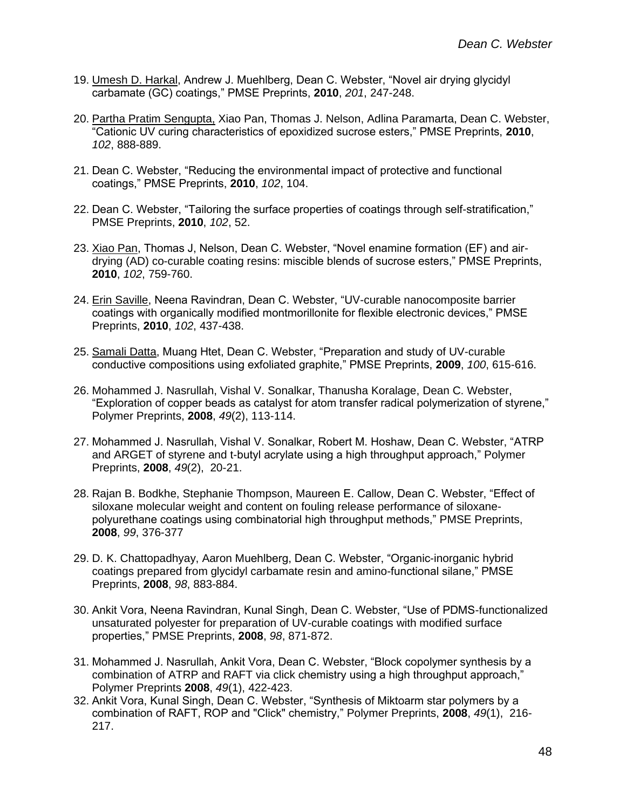- 19. Umesh D. Harkal, Andrew J. Muehlberg, Dean C. Webster, "Novel air drying glycidyl carbamate (GC) coatings," PMSE Preprints, **2010**, *201*, 247-248.
- 20. Partha Pratim Sengupta, Xiao Pan, Thomas J. Nelson, Adlina Paramarta, Dean C. Webster, "Cationic UV curing characteristics of epoxidized sucrose esters," PMSE Preprints, **2010**, *102*, 888-889.
- 21. Dean C. Webster, "Reducing the environmental impact of protective and functional coatings," PMSE Preprints, **2010**, *102*, 104.
- 22. Dean C. Webster, "Tailoring the surface properties of coatings through self-stratification," PMSE Preprints, **2010**, *102*, 52.
- 23. Xiao Pan, Thomas J, Nelson, Dean C. Webster, "Novel enamine formation (EF) and airdrying (AD) co-curable coating resins: miscible blends of sucrose esters," PMSE Preprints, **2010**, *102*, 759-760.
- 24. Erin Saville, Neena Ravindran, Dean C. Webster, "UV-curable nanocomposite barrier coatings with organically modified montmorillonite for flexible electronic devices," PMSE Preprints, **2010**, *102*, 437-438.
- 25. Samali Datta, Muang Htet, Dean C. Webster, "Preparation and study of UV-curable conductive compositions using exfoliated graphite," PMSE Preprints, **2009**, *100*, 615-616.
- 26. Mohammed J. Nasrullah, Vishal V. Sonalkar, Thanusha Koralage, Dean C. Webster, "Exploration of copper beads as catalyst for atom transfer radical polymerization of styrene," Polymer Preprints, **2008**, *49*(2), 113-114.
- 27. Mohammed J. Nasrullah, Vishal V. Sonalkar, Robert M. Hoshaw, Dean C. Webster, "ATRP and ARGET of styrene and t-butyl acrylate using a high throughput approach," Polymer Preprints, **2008**, *49*(2), 20-21.
- 28. Rajan B. Bodkhe, Stephanie Thompson, Maureen E. Callow, Dean C. Webster, "Effect of siloxane molecular weight and content on fouling release performance of siloxanepolyurethane coatings using combinatorial high throughput methods," PMSE Preprints, **2008**, *99*, 376-377
- 29. D. K. Chattopadhyay, Aaron Muehlberg, Dean C. Webster, "Organic-inorganic hybrid coatings prepared from glycidyl carbamate resin and amino-functional silane," PMSE Preprints, **2008**, *98*, 883-884.
- 30. Ankit Vora, Neena Ravindran, Kunal Singh, Dean C. Webster, "Use of PDMS-functionalized unsaturated polyester for preparation of UV-curable coatings with modified surface properties," PMSE Preprints, **2008**, *98*, 871-872.
- 31. Mohammed J. Nasrullah, Ankit Vora, Dean C. Webster, "Block copolymer synthesis by a combination of ATRP and RAFT via click chemistry using a high throughput approach," Polymer Preprints **2008**, *49*(1), 422-423.
- 32. Ankit Vora, Kunal Singh, Dean C. Webster, "Synthesis of Miktoarm star polymers by a combination of RAFT, ROP and "Click" chemistry," Polymer Preprints, **2008**, *49*(1), 216- 217.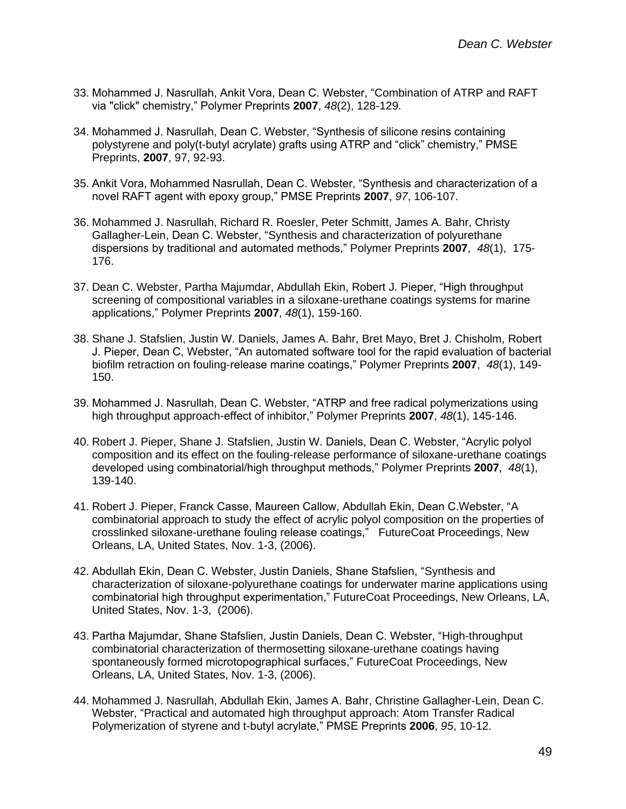- 33. Mohammed J. Nasrullah, Ankit Vora, Dean C. Webster, "Combination of ATRP and RAFT via "click" chemistry," Polymer Preprints **2007**, *48*(2), 128-129.
- 34. Mohammed J. Nasrullah, Dean C. Webster, "Synthesis of silicone resins containing polystyrene and poly(t-butyl acrylate) grafts using ATRP and "click" chemistry," PMSE Preprints, **2007**, 97, 92-93.
- 35. Ankit Vora, Mohammed Nasrullah, Dean C. Webster, "Synthesis and characterization of a novel RAFT agent with epoxy group," PMSE Preprints **2007**, *97*, 106-107.
- 36. Mohammed J. Nasrullah, Richard R. Roesler, Peter Schmitt, James A. Bahr, Christy Gallagher-Lein, Dean C. Webster, "Synthesis and characterization of polyurethane dispersions by traditional and automated methods," Polymer Preprints **2007**, *48*(1), 175- 176.
- 37. Dean C. Webster, Partha Majumdar, Abdullah Ekin, Robert J. Pieper, "High throughput screening of compositional variables in a siloxane-urethane coatings systems for marine applications," Polymer Preprints **2007**, *48*(1), 159-160.
- 38. Shane J. Stafslien, Justin W. Daniels, James A. Bahr, Bret Mayo, Bret J. Chisholm, Robert J. Pieper, Dean C, Webster, "An automated software tool for the rapid evaluation of bacterial biofilm retraction on fouling-release marine coatings," Polymer Preprints **2007**, *48*(1), 149- 150.
- 39. Mohammed J. Nasrullah, Dean C. Webster, "ATRP and free radical polymerizations using high throughput approach-effect of inhibitor," Polymer Preprints **2007**, *48*(1), 145-146.
- 40. Robert J. Pieper, Shane J. Stafslien, Justin W. Daniels, Dean C. Webster, "Acrylic polyol composition and its effect on the fouling-release performance of siloxane-urethane coatings developed using combinatorial/high throughput methods," Polymer Preprints **2007**, *48*(1), 139-140.
- 41. Robert J. Pieper, Franck Casse, Maureen Callow, Abdullah Ekin, Dean C.Webster, "A combinatorial approach to study the effect of acrylic polyol composition on the properties of crosslinked siloxane-urethane fouling release coatings," FutureCoat Proceedings, New Orleans, LA, United States, Nov. 1-3, (2006).
- 42. Abdullah Ekin, Dean C. Webster, Justin Daniels, Shane Stafslien, "Synthesis and characterization of siloxane-polyurethane coatings for underwater marine applications using combinatorial high throughput experimentation," FutureCoat Proceedings, New Orleans, LA, United States, Nov. 1-3, (2006).
- 43. Partha Majumdar, Shane Stafslien, Justin Daniels, Dean C. Webster, "High-throughput combinatorial characterization of thermosetting siloxane-urethane coatings having spontaneously formed microtopographical surfaces," FutureCoat Proceedings, New Orleans, LA, United States, Nov. 1-3, (2006).
- 44. Mohammed J. Nasrullah, Abdullah Ekin, James A. Bahr, Christine Gallagher-Lein, Dean C. Webster, "Practical and automated high throughput approach: Atom Transfer Radical Polymerization of styrene and t-butyl acrylate," PMSE Preprints **2006**, *95*, 10-12.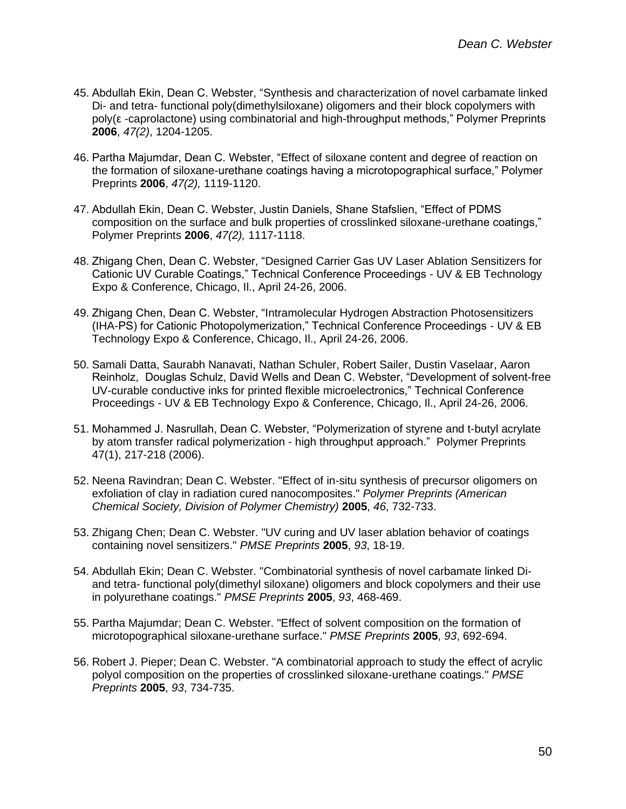- 45. Abdullah Ekin, Dean C. Webster, "Synthesis and characterization of novel carbamate linked Di- and tetra- functional poly(dimethylsiloxane) oligomers and their block copolymers with poly(ε -caprolactone) using combinatorial and high-throughput methods," Polymer Preprints **2006**, *47(2)*, 1204-1205.
- 46. Partha Majumdar, Dean C. Webster, "Effect of siloxane content and degree of reaction on the formation of siloxane-urethane coatings having a microtopographical surface," Polymer Preprints **2006**, *47(2),* 1119-1120.
- 47. Abdullah Ekin, Dean C. Webster, Justin Daniels, Shane Stafslien, "Effect of PDMS composition on the surface and bulk properties of crosslinked siloxane-urethane coatings," Polymer Preprints **2006**, *47(2),* 1117-1118.
- 48. Zhigang Chen, Dean C. Webster, "Designed Carrier Gas UV Laser Ablation Sensitizers for Cationic UV Curable Coatings," Technical Conference Proceedings - UV & EB Technology Expo & Conference, Chicago, Il., April 24-26, 2006.
- 49. Zhigang Chen, Dean C. Webster, "Intramolecular Hydrogen Abstraction Photosensitizers (IHA-PS) for Cationic Photopolymerization," Technical Conference Proceedings - UV & EB Technology Expo & Conference, Chicago, Il., April 24-26, 2006.
- 50. Samali Datta, Saurabh Nanavati, Nathan Schuler, Robert Sailer, Dustin Vaselaar, Aaron Reinholz, Douglas Schulz, David Wells and Dean C. Webster, "Development of solvent-free UV-curable conductive inks for printed flexible microelectronics," Technical Conference Proceedings - UV & EB Technology Expo & Conference, Chicago, Il., April 24-26, 2006.
- 51. Mohammed J. Nasrullah, Dean C. Webster, "Polymerization of styrene and t-butyl acrylate by atom transfer radical polymerization - high throughput approach." Polymer Preprints 47(1), 217-218 (2006).
- 52. Neena Ravindran; Dean C. Webster. "Effect of in-situ synthesis of precursor oligomers on exfoliation of clay in radiation cured nanocomposites." *Polymer Preprints (American Chemical Society, Division of Polymer Chemistry)* **2005**, *46*, 732-733.
- 53. Zhigang Chen; Dean C. Webster. "UV curing and UV laser ablation behavior of coatings containing novel sensitizers." *PMSE Preprints* **2005**, *93*, 18-19.
- 54. Abdullah Ekin; Dean C. Webster. "Combinatorial synthesis of novel carbamate linked Diand tetra- functional poly(dimethyl siloxane) oligomers and block copolymers and their use in polyurethane coatings." *PMSE Preprints* **2005**, *93*, 468-469.
- 55. Partha Majumdar; Dean C. Webster. "Effect of solvent composition on the formation of microtopographical siloxane-urethane surface." *PMSE Preprints* **2005**, *93*, 692-694.
- 56. Robert J. Pieper; Dean C. Webster. "A combinatorial approach to study the effect of acrylic polyol composition on the properties of crosslinked siloxane-urethane coatings." *PMSE Preprints* **2005**, *93*, 734-735.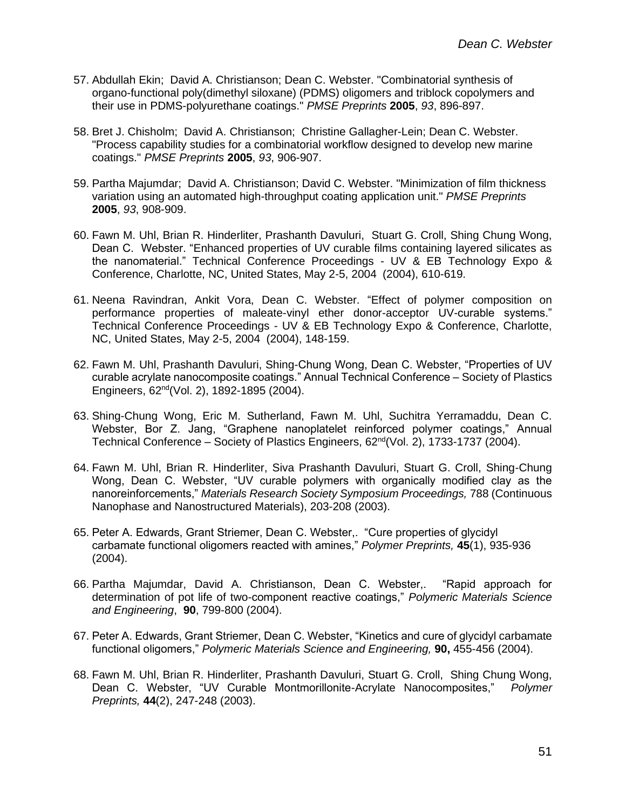- 57. Abdullah Ekin; David A. Christianson; Dean C. Webster. "Combinatorial synthesis of organo-functional poly(dimethyl siloxane) (PDMS) oligomers and triblock copolymers and their use in PDMS-polyurethane coatings." *PMSE Preprints* **2005**, *93*, 896-897.
- 58. Bret J. Chisholm; David A. Christianson; Christine Gallagher-Lein; Dean C. Webster. "Process capability studies for a combinatorial workflow designed to develop new marine coatings." *PMSE Preprints* **2005**, *93*, 906-907.
- 59. Partha Majumdar; David A. Christianson; David C. Webster. "Minimization of film thickness variation using an automated high-throughput coating application unit." *PMSE Preprints* **2005**, *93*, 908-909.
- 60. Fawn M. Uhl, Brian R. Hinderliter, Prashanth Davuluri, Stuart G. Croll, Shing Chung Wong, Dean C. Webster. "Enhanced properties of UV curable films containing layered silicates as the nanomaterial." Technical Conference Proceedings - UV & EB Technology Expo & Conference, Charlotte, NC, United States, May 2-5, 2004 (2004), 610-619.
- 61. Neena Ravindran, Ankit Vora, Dean C. Webster. "Effect of polymer composition on performance properties of maleate-vinyl ether donor-acceptor UV-curable systems." Technical Conference Proceedings - UV & EB Technology Expo & Conference, Charlotte, NC, United States, May 2-5, 2004 (2004), 148-159.
- 62. Fawn M. Uhl, Prashanth Davuluri, Shing-Chung Wong, Dean C. Webster, "Properties of UV curable acrylate nanocomposite coatings." Annual Technical Conference – Society of Plastics Engineers, 62nd(Vol. 2), 1892-1895 (2004).
- 63. Shing-Chung Wong, Eric M. Sutherland, Fawn M. Uhl, Suchitra Yerramaddu, Dean C. Webster, Bor Z. Jang, "Graphene nanoplatelet reinforced polymer coatings," Annual Technical Conference – Society of Plastics Engineers,  $62<sup>nd</sup>(Vol. 2)$ , 1733-1737 (2004).
- 64. Fawn M. Uhl, Brian R. Hinderliter, Siva Prashanth Davuluri, Stuart G. Croll, Shing-Chung Wong, Dean C. Webster, "UV curable polymers with organically modified clay as the nanoreinforcements," *Materials Research Society Symposium Proceedings,* 788 (Continuous Nanophase and Nanostructured Materials), 203-208 (2003).
- 65. Peter A. Edwards, Grant Striemer, Dean C. Webster,. "Cure properties of glycidyl carbamate functional oligomers reacted with amines," *Polymer Preprints,* **45**(1), 935-936 (2004).
- 66. Partha Majumdar, David A. Christianson, Dean C. Webster,. "Rapid approach for determination of pot life of two-component reactive coatings," *Polymeric Materials Science and Engineering*, **90**, 799-800 (2004).
- 67. Peter A. Edwards, Grant Striemer, Dean C. Webster, "Kinetics and cure of glycidyl carbamate functional oligomers," *Polymeric Materials Science and Engineering,* **90,** 455-456 (2004).
- 68. Fawn M. Uhl, Brian R. Hinderliter, Prashanth Davuluri, Stuart G. Croll, Shing Chung Wong, Dean C. Webster, "UV Curable Montmorillonite-Acrylate Nanocomposites," *Polymer Preprints,* **44**(2), 247-248 (2003).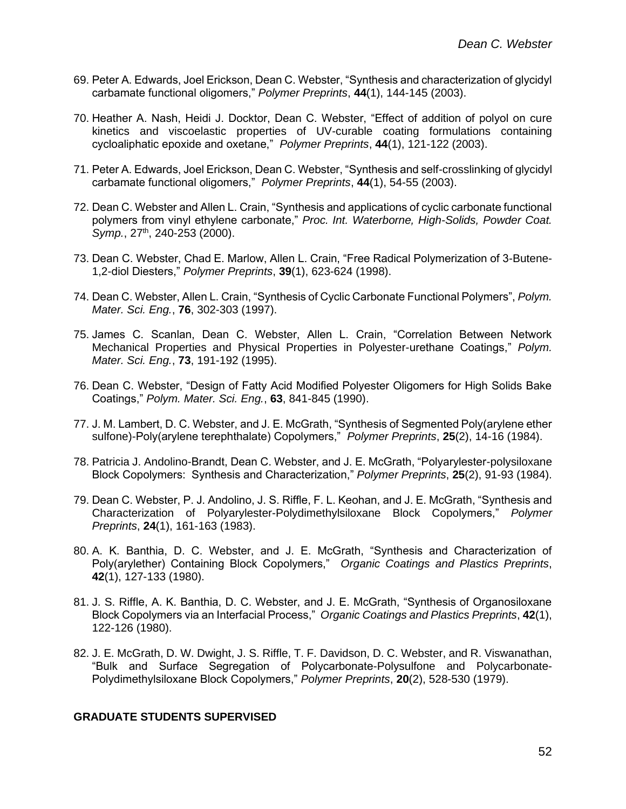- 69. Peter A. Edwards, Joel Erickson, Dean C. Webster, "Synthesis and characterization of glycidyl carbamate functional oligomers," *Polymer Preprints*, **44**(1), 144-145 (2003).
- 70. Heather A. Nash, Heidi J. Docktor, Dean C. Webster, "Effect of addition of polyol on cure kinetics and viscoelastic properties of UV-curable coating formulations containing cycloaliphatic epoxide and oxetane," *Polymer Preprints*, **44**(1), 121-122 (2003).
- 71. Peter A. Edwards, Joel Erickson, Dean C. Webster, "Synthesis and self-crosslinking of glycidyl carbamate functional oligomers," *Polymer Preprints*, **44**(1), 54-55 (2003).
- 72. Dean C. Webster and Allen L. Crain, "Synthesis and applications of cyclic carbonate functional polymers from vinyl ethylene carbonate," *Proc. Int. Waterborne, High-Solids, Powder Coat. Symp.*, 27<sup>th</sup>, 240-253 (2000).
- 73. Dean C. Webster, Chad E. Marlow, Allen L. Crain, "Free Radical Polymerization of 3-Butene-1,2-diol Diesters," *Polymer Preprints*, **39**(1), 623-624 (1998).
- 74. Dean C. Webster, Allen L. Crain, "Synthesis of Cyclic Carbonate Functional Polymers", *Polym. Mater. Sci. Eng.*, **76**, 302-303 (1997).
- 75. James C. Scanlan, Dean C. Webster, Allen L. Crain, "Correlation Between Network Mechanical Properties and Physical Properties in Polyester-urethane Coatings," *Polym. Mater. Sci. Eng.*, **73**, 191-192 (1995).
- 76. Dean C. Webster, "Design of Fatty Acid Modified Polyester Oligomers for High Solids Bake Coatings," *Polym. Mater. Sci. Eng.*, **63**, 841-845 (1990).
- 77. J. M. Lambert, D. C. Webster, and J. E. McGrath, "Synthesis of Segmented Poly(arylene ether sulfone)-Poly(arylene terephthalate) Copolymers," *Polymer Preprints*, **25**(2), 14-16 (1984).
- 78. Patricia J. Andolino-Brandt, Dean C. Webster, and J. E. McGrath, "Polyarylester-polysiloxane Block Copolymers: Synthesis and Characterization," *Polymer Preprints*, **25**(2), 91-93 (1984).
- 79. Dean C. Webster, P. J. Andolino, J. S. Riffle, F. L. Keohan, and J. E. McGrath, "Synthesis and Characterization of Polyarylester-Polydimethylsiloxane Block Copolymers," *Polymer Preprints*, **24**(1), 161-163 (1983).
- 80. A. K. Banthia, D. C. Webster, and J. E. McGrath, "Synthesis and Characterization of Poly(arylether) Containing Block Copolymers," *Organic Coatings and Plastics Preprints*, **42**(1), 127-133 (1980).
- 81. J. S. Riffle, A. K. Banthia, D. C. Webster, and J. E. McGrath, "Synthesis of Organosiloxane Block Copolymers via an Interfacial Process," *Organic Coatings and Plastics Preprints*, **42**(1), 122-126 (1980).
- 82. J. E. McGrath, D. W. Dwight, J. S. Riffle, T. F. Davidson, D. C. Webster, and R. Viswanathan, "Bulk and Surface Segregation of Polycarbonate-Polysulfone and Polycarbonate-Polydimethylsiloxane Block Copolymers," *Polymer Preprints*, **20**(2), 528-530 (1979).

#### **GRADUATE STUDENTS SUPERVISED**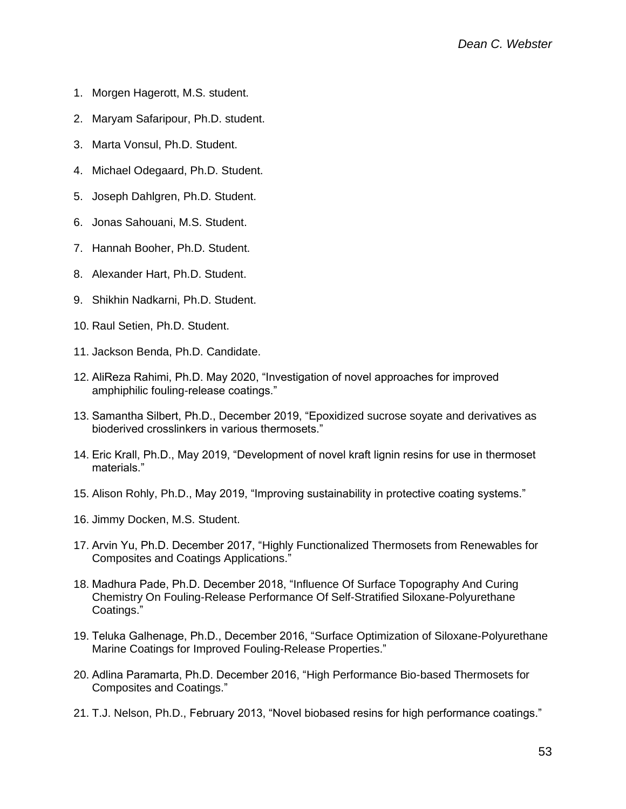- 1. Morgen Hagerott, M.S. student.
- 2. Maryam Safaripour, Ph.D. student.
- 3. Marta Vonsul, Ph.D. Student.
- 4. Michael Odegaard, Ph.D. Student.
- 5. Joseph Dahlgren, Ph.D. Student.
- 6. Jonas Sahouani, M.S. Student.
- 7. Hannah Booher, Ph.D. Student.
- 8. Alexander Hart, Ph.D. Student.
- 9. Shikhin Nadkarni, Ph.D. Student.
- 10. Raul Setien, Ph.D. Student.
- 11. Jackson Benda, Ph.D. Candidate.
- 12. AliReza Rahimi, Ph.D. May 2020, "Investigation of novel approaches for improved amphiphilic fouling-release coatings."
- 13. Samantha Silbert, Ph.D., December 2019, "Epoxidized sucrose soyate and derivatives as bioderived crosslinkers in various thermosets."
- 14. Eric Krall, Ph.D., May 2019, "Development of novel kraft lignin resins for use in thermoset materials."
- 15. Alison Rohly, Ph.D., May 2019, "Improving sustainability in protective coating systems."
- 16. Jimmy Docken, M.S. Student.
- 17. Arvin Yu, Ph.D. December 2017, "Highly Functionalized Thermosets from Renewables for Composites and Coatings Applications."
- 18. Madhura Pade, Ph.D. December 2018, "Influence Of Surface Topography And Curing Chemistry On Fouling-Release Performance Of Self-Stratified Siloxane-Polyurethane Coatings."
- 19. Teluka Galhenage, Ph.D., December 2016, "Surface Optimization of Siloxane-Polyurethane Marine Coatings for Improved Fouling-Release Properties."
- 20. Adlina Paramarta, Ph.D. December 2016, "High Performance Bio-based Thermosets for Composites and Coatings."
- 21. T.J. Nelson, Ph.D., February 2013, "Novel biobased resins for high performance coatings."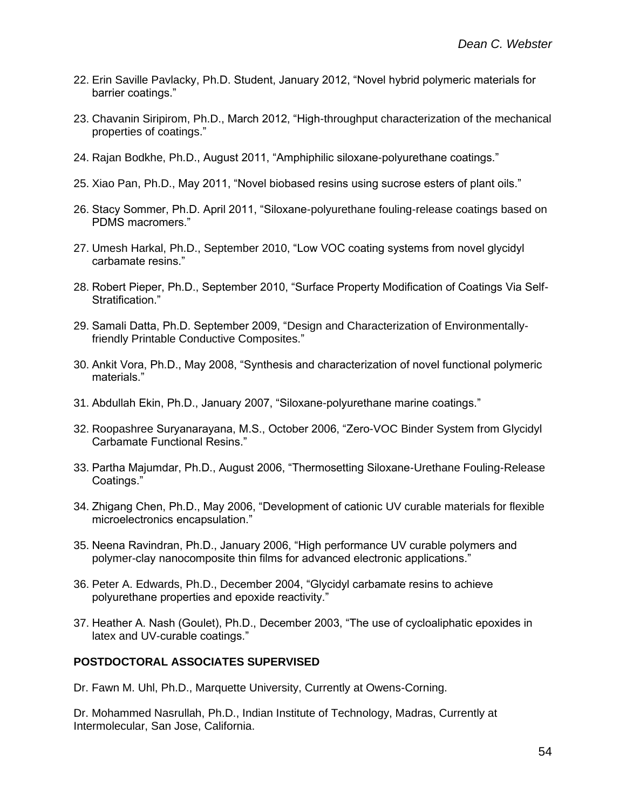- 22. Erin Saville Pavlacky, Ph.D. Student, January 2012, "Novel hybrid polymeric materials for barrier coatings."
- 23. Chavanin Siripirom, Ph.D., March 2012, "High-throughput characterization of the mechanical properties of coatings."
- 24. Rajan Bodkhe, Ph.D., August 2011, "Amphiphilic siloxane-polyurethane coatings."
- 25. Xiao Pan, Ph.D., May 2011, "Novel biobased resins using sucrose esters of plant oils."
- 26. Stacy Sommer, Ph.D. April 2011, "Siloxane-polyurethane fouling-release coatings based on PDMS macromers."
- 27. Umesh Harkal, Ph.D., September 2010, "Low VOC coating systems from novel glycidyl carbamate resins."
- 28. Robert Pieper, Ph.D., September 2010, "Surface Property Modification of Coatings Via Self-Stratification."
- 29. Samali Datta, Ph.D. September 2009, "Design and Characterization of Environmentallyfriendly Printable Conductive Composites."
- 30. Ankit Vora, Ph.D., May 2008, "Synthesis and characterization of novel functional polymeric materials."
- 31. Abdullah Ekin, Ph.D., January 2007, "Siloxane-polyurethane marine coatings."
- 32. Roopashree Suryanarayana, M.S., October 2006, "Zero-VOC Binder System from Glycidyl Carbamate Functional Resins."
- 33. Partha Majumdar, Ph.D., August 2006, "Thermosetting Siloxane-Urethane Fouling-Release Coatings."
- 34. Zhigang Chen, Ph.D., May 2006, "Development of cationic UV curable materials for flexible microelectronics encapsulation."
- 35. Neena Ravindran, Ph.D., January 2006, "High performance UV curable polymers and polymer-clay nanocomposite thin films for advanced electronic applications."
- 36. Peter A. Edwards, Ph.D., December 2004, "Glycidyl carbamate resins to achieve polyurethane properties and epoxide reactivity."
- 37. Heather A. Nash (Goulet), Ph.D., December 2003, "The use of cycloaliphatic epoxides in latex and UV-curable coatings."

## **POSTDOCTORAL ASSOCIATES SUPERVISED**

Dr. Fawn M. Uhl, Ph.D., Marquette University, Currently at Owens-Corning.

Dr. Mohammed Nasrullah, Ph.D., Indian Institute of Technology, Madras, Currently at Intermolecular, San Jose, California.